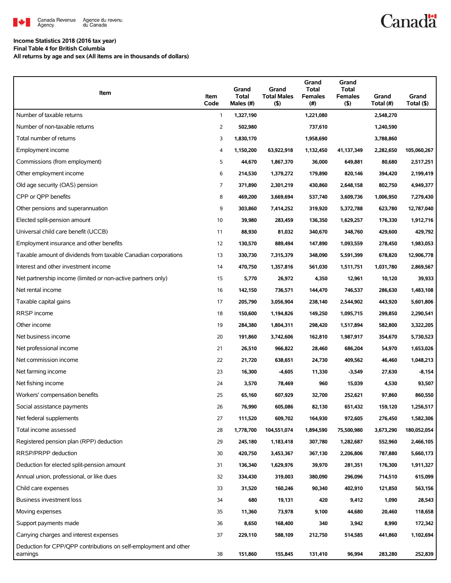

# **Canadä**

### **Income Statistics 2018 (2016 tax year)**

**Final Table 4 for British Columbia**

**All returns by age and sex (All items are in thousands of dollars)**

| Item                                                                         | Item<br>Code | Grand<br><b>Total</b><br>Males (#) | Grand<br><b>Total Males</b><br>(5) | Grand<br><b>Total</b><br><b>Females</b><br>(#) | Grand<br><b>Total</b><br><b>Females</b><br>(5) | Grand<br>Total (#) | Grand<br>Total (\$) |
|------------------------------------------------------------------------------|--------------|------------------------------------|------------------------------------|------------------------------------------------|------------------------------------------------|--------------------|---------------------|
| Number of taxable returns                                                    | $\mathbf{1}$ | 1,327,190                          |                                    | 1,221,080                                      |                                                | 2,548,270          |                     |
| Number of non-taxable returns                                                | 2            | 502,980                            |                                    | 737,610                                        |                                                | 1,240,590          |                     |
| Total number of returns                                                      | 3            | 1,830,170                          |                                    | 1,958,690                                      |                                                | 3,788,860          |                     |
| Employment income                                                            | 4            | 1,150,200                          | 63,922,918                         | 1,132,450                                      | 41,137,349                                     | 2,282,650          | 105,060,267         |
| Commissions (from employment)                                                | 5            | 44,670                             | 1,867,370                          | 36,000                                         | 649,881                                        | 80,680             | 2,517,251           |
| Other employment income                                                      | 6            | 214,530                            | 1,379,272                          | 179,890                                        | 820,146                                        | 394,420            | 2,199,419           |
| Old age security (OAS) pension                                               | 7            | 371,890                            | 2,301,219                          | 430,860                                        | 2,648,158                                      | 802,750            | 4,949,377           |
| CPP or QPP benefits                                                          | 8            | 469,200                            | 3,669,694                          | 537,740                                        | 3,609,736                                      | 1,006,950          | 7,279,430           |
| Other pensions and superannuation                                            | 9            | 303,860                            | 7,414,252                          | 319,920                                        | 5,372,788                                      | 623,780            | 12,787,040          |
| Elected split-pension amount                                                 | 10           | 39,980                             | 283,459                            | 136,350                                        | 1,629,257                                      | 176,330            | 1,912,716           |
| Universal child care benefit (UCCB)                                          | 11           | 88,930                             | 81,032                             | 340,670                                        | 348,760                                        | 429,600            | 429,792             |
| Employment insurance and other benefits                                      | 12           | 130,570                            | 889,494                            | 147,890                                        | 1,093,559                                      | 278,450            | 1,983,053           |
| Taxable amount of dividends from taxable Canadian corporations               | 13           | 330,730                            | 7,315,379                          | 348,090                                        | 5,591,399                                      | 678,820            | 12,906,778          |
| Interest and other investment income                                         | 14           | 470,750                            | 1,357,816                          | 561,030                                        | 1,511,751                                      | 1,031,780          | 2,869,567           |
| Net partnership income (limited or non-active partners only)                 | 15           | 5,770                              | 26,972                             | 4,350                                          | 12,961                                         | 10,120             | 39,933              |
| Net rental income                                                            | 16           | 142,150                            | 736,571                            | 144,470                                        | 746,537                                        | 286,630            | 1,483,108           |
| Taxable capital gains                                                        | 17           | 205,790                            | 3,056,904                          | 238,140                                        | 2,544,902                                      | 443,920            | 5,601,806           |
| RRSP income                                                                  | 18           | 150,600                            | 1,194,826                          | 149,250                                        | 1,095,715                                      | 299,850            | 2,290,541           |
| Other income                                                                 | 19           | 284,380                            | 1,804,311                          | 298,420                                        | 1,517,894                                      | 582,800            | 3,322,205           |
| Net business income                                                          | 20           | 191,860                            | 3,742,606                          | 162,810                                        | 1,987,917                                      | 354,670            | 5,730,523           |
| Net professional income                                                      | 21           | 26,510                             | 966,822                            | 28,460                                         | 686,204                                        | 54,970             | 1,653,026           |
| Net commission income                                                        | 22           | 21,720                             | 638,651                            | 24,730                                         | 409,562                                        | 46,460             | 1,048,213           |
| Net farming income                                                           | 23           | 16,300                             | $-4,605$                           | 11,330                                         | $-3,549$                                       | 27,630             | -8,154              |
| Net fishing income                                                           | 24           | 3,570                              | 78,469                             | 960                                            | 15,039                                         | 4,530              | 93,507              |
| Workers' compensation benefits                                               | 25           | 65,160                             | 607,929                            | 32,700                                         | 252,621                                        | 97,860             | 860,550             |
| Social assistance payments                                                   | 26           | 76,990                             | 605,086                            | 82,130                                         | 651,432                                        | 159,120            | 1,256,517           |
| Net federal supplements                                                      | 27           | 111,520                            | 609,702                            | 164,930                                        | 972,605                                        | 276,450            | 1,582,306           |
| Total income assessed                                                        | 28           | 1,778,700                          | 104,551,074                        | 1,894,590                                      | 75,500,980                                     | 3,673,290          | 180,052,054         |
| Registered pension plan (RPP) deduction                                      | 29           | 245,180                            | 1,183,418                          | 307,780                                        | 1,282,687                                      | 552,960            | 2,466,105           |
| RRSP/PRPP deduction                                                          | 30           | 420,750                            | 3,453,367                          | 367,130                                        | 2,206,806                                      | 787,880            | 5,660,173           |
| Deduction for elected split-pension amount                                   | 31           | 136,340                            | 1,629,976                          | 39,970                                         | 281,351                                        | 176,300            | 1,911,327           |
| Annual union, professional, or like dues                                     | 32           | 334,430                            | 319,003                            | 380,090                                        | 296,096                                        | 714,510            | 615,099             |
| Child care expenses                                                          | 33           | 31,520                             | 160,246                            | 90,340                                         | 402,910                                        | 121,850            | 563,156             |
| Business investment loss                                                     | 34           | 680                                | 19,131                             | 420                                            | 9,412                                          | 1,090              | 28,543              |
| Moving expenses                                                              | 35           | 11,360                             | 73,978                             | 9,100                                          | 44,680                                         | 20,460             | 118,658             |
| Support payments made                                                        | 36           | 8,650                              | 168,400                            | 340                                            | 3,942                                          | 8,990              | 172,342             |
| Carrying charges and interest expenses                                       | 37           | 229,110                            | 588,109                            | 212,750                                        | 514,585                                        | 441,860            | 1,102,694           |
| Deduction for CPP/QPP contributions on self-employment and other<br>earnings | 38           | 151,860                            | 155,845                            | 131,410                                        | 96,994                                         | 283,280            | 252,839             |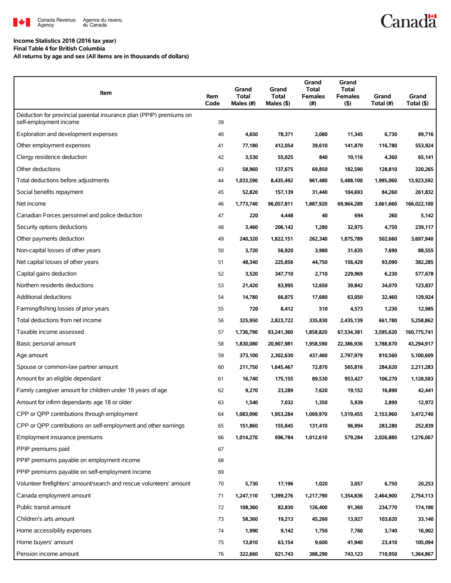

# **Canadä**

### **Income Statistics 2018 (2016 tax year)**

**Final Table 4 for British Columbia**

**All returns by age and sex (All items are in thousands of dollars)**

| Item                                                                                          | Item<br>Code | Grand<br><b>Total</b><br>Males (#) | Grand<br>Total<br>Males (\$) | Grand<br>Total<br><b>Females</b><br>(#) | Grand<br><b>Total</b><br><b>Females</b><br>$($ \$) | Grand<br>Total (#) | Grand<br>Total (\$) |
|-----------------------------------------------------------------------------------------------|--------------|------------------------------------|------------------------------|-----------------------------------------|----------------------------------------------------|--------------------|---------------------|
| Deduction for provincial parental insurance plan (PPIP) premiums on<br>self-employment income | 39           |                                    |                              |                                         |                                                    |                    |                     |
| Exploration and development expenses                                                          | 40           | 4,650                              | 78,371                       | 2,080                                   | 11,345                                             | 6,730              | 89,716              |
| Other employment expenses                                                                     | 41           | 77,180                             | 412,054                      | 39,610                                  | 141,870                                            | 116,780            | 553,924             |
| Clergy residence deduction                                                                    | 42           | 3,530                              | 55,025                       | 840                                     | 10,116                                             | 4,360              | 65,141              |
| Other deductions                                                                              | 43           | 58,960                             | 137,675                      | 69,850                                  | 182,590                                            | 128,810            | 320,265             |
| Total deductions before adjustments                                                           | 44           | 1,033,590                          | 8,435,492                    | 961,480                                 | 5,488,100                                          | 1,995,060          | 13,923,592          |
| Social benefits repayment                                                                     | 45           | 52,820                             | 157,139                      | 31,440                                  | 104,693                                            | 84,260             | 261,832             |
| Net income                                                                                    | 46           | 1,773,740                          | 96,057,811                   | 1,887,920                               | 69,964,289                                         | 3,661,660          | 166,022,100         |
| Canadian Forces personnel and police deduction                                                | 47           | 220                                | 4,448                        | 40                                      | 694                                                | 260                | 5,142               |
| Security options deductions                                                                   | 48           | 3,460                              | 206,142                      | 1,280                                   | 32,975                                             | 4,750              | 239,117             |
| Other payments deduction                                                                      | 49           | 240,320                            | 1,822,151                    | 262,340                                 | 1,875,789                                          | 502,660            | 3,697,940           |
| Non-capital losses of other years                                                             | 50           | 3,720                              | 56,920                       | 3,980                                   | 31,635                                             | 7,690              | 88,555              |
| Net capital losses of other years                                                             | 51           | 48,340                             | 225,856                      | 44,750                                  | 156,429                                            | 93,090             | 382,285             |
| Capital gains deduction                                                                       | 52           | 3,520                              | 347,710                      | 2,710                                   | 229,969                                            | 6,230              | 577,678             |
| Northern residents deductions                                                                 | 53           | 21,420                             | 83,995                       | 12,650                                  | 39,842                                             | 34,070             | 123,837             |
| Additional deductions                                                                         | 54           | 14,780                             | 66,875                       | 17,680                                  | 63,050                                             | 32,460             | 129,924             |
| Farming/fishing losses of prior years                                                         | 55           | 720                                | 8,412                        | 510                                     | 4,573                                              | 1,230              | 12,985              |
| Total deductions from net income                                                              | 56           | 325,950                            | 2,823,722                    | 335,830                                 | 2,435,139                                          | 661,780            | 5,258,862           |
| Taxable income assessed                                                                       | 57           | 1,736,790                          | 93,241,360                   | 1,858,820                               | 67,534,381                                         | 3,595,620          | 160,775,741         |
| Basic personal amount                                                                         | 58           | 1,830,080                          | 20,907,981                   | 1,958,590                               | 22,386,936                                         | 3,788,670          | 43,294,917          |
| Age amount                                                                                    | 59           | 373,100                            | 2,302,630                    | 437,460                                 | 2,797,979                                          | 810,560            | 5,100,609           |
| Spouse or common-law partner amount                                                           | 60           | 211,750                            | 1,645,467                    | 72,870                                  | 565,816                                            | 284,620            | 2,211,283           |
| Amount for an eligible dependant                                                              | 61           | 16,740                             | 175,155                      | 89,530                                  | 953,427                                            | 106,270            | 1,128,583           |
| Family caregiver amount for children under 18 years of age                                    | 62           | 9,270                              | 23,289                       | 7,620                                   | 19,152                                             | 16,890             | 42,441              |
| Amount for infirm dependants age 18 or older                                                  | 63           | 1,540                              | 7,032                        | 1,350                                   | 5,939                                              | 2,890              | 12,972              |
| CPP or QPP contributions through employment                                                   | 64           | 1,083,990                          | 1,953,284                    | 1,069,970                               | 1,519,455                                          | 2,153,960          | 3,472,740           |
| CPP or QPP contributions on self-employment and other earnings                                | 65           | 151,860                            | 155,845                      | 131,410                                 | 96,994                                             | 283,280            | 252,839             |
| Employment insurance premiums                                                                 | 66           | 1,014,270                          | 696,784                      | 1,012,610                               | 579,284                                            | 2,026,880          | 1,276,067           |
| PPIP premiums paid                                                                            | 67           |                                    |                              |                                         |                                                    |                    |                     |
| PPIP premiums payable on employment income                                                    | 68           |                                    |                              |                                         |                                                    |                    |                     |
| PPIP premiums payable on self-employment income                                               | 69           |                                    |                              |                                         |                                                    |                    |                     |
| Volunteer firefighters' amount/search and rescue volunteers' amount                           | 70           | 5,730                              | 17,196                       | 1,020                                   | 3,057                                              | 6,750              | 20,253              |
| Canada employment amount                                                                      | 71           | 1,247,110                          | 1,399,276                    | 1,217,790                               | 1,354,836                                          | 2,464,900          | 2,754,113           |
| Public transit amount                                                                         | 72           | 108,360                            | 82,830                       | 126,400                                 | 91,360                                             | 234,770            | 174,190             |
| Children's arts amount                                                                        | 73           | 58,360                             | 19,213                       | 45,260                                  | 13,927                                             | 103,620            | 33,140              |
| Home accessibility expenses                                                                   | 74           | 1,990                              | 9,142                        | 1,750                                   | 7,760                                              | 3,740              | 16,902              |
| Home buyers' amount                                                                           | 75           | 13,810                             | 63,154                       | 9,600                                   | 41,940                                             | 23,410             | 105,094             |
| Pension income amount                                                                         | 76           | 322,660                            | 621,743                      | 388,290                                 | 743,123                                            | 710,950            | 1,364,867           |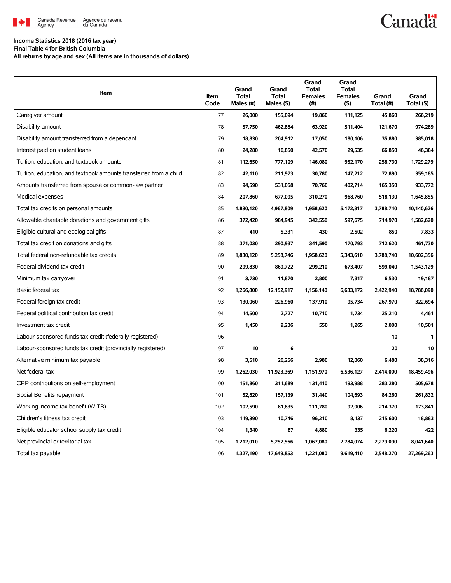

# **Canadä**

### **Income Statistics 2018 (2016 tax year)**

**Final Table 4 for British Columbia**

**All returns by age and sex (All items are in thousands of dollars)**

| Item                                                              | Item<br>Code | Grand<br><b>Total</b><br>Males (#) | Grand<br><b>Total</b><br>Males (\$) | Grand<br><b>Total</b><br><b>Females</b><br>(# ) | Grand<br><b>Total</b><br><b>Females</b><br>$($ \$) | Grand<br>Total (#) | Grand<br>Total (\$) |
|-------------------------------------------------------------------|--------------|------------------------------------|-------------------------------------|-------------------------------------------------|----------------------------------------------------|--------------------|---------------------|
| Caregiver amount                                                  | 77           | 26,000                             | 155,094                             | 19,860                                          | 111,125                                            | 45,860             | 266,219             |
| Disability amount                                                 | 78           | 57,750                             | 462,884                             | 63,920                                          | 511,404                                            | 121,670            | 974,289             |
| Disability amount transferred from a dependant                    | 79           | 18,830                             | 204,912                             | 17,050                                          | 180,106                                            | 35,880             | 385,018             |
| Interest paid on student loans                                    | 80           | 24,280                             | 16,850                              | 42,570                                          | 29,535                                             | 66,850             | 46,384              |
| Tuition, education, and textbook amounts                          | 81           | 112,650                            | 777,109                             | 146,080                                         | 952,170                                            | 258,730            | 1,729,279           |
| Tuition, education, and textbook amounts transferred from a child | 82           | 42,110                             | 211,973                             | 30,780                                          | 147,212                                            | 72,890             | 359,185             |
| Amounts transferred from spouse or common-law partner             | 83           | 94,590                             | 531,058                             | 70,760                                          | 402,714                                            | 165,350            | 933,772             |
| Medical expenses                                                  | 84           | 207,860                            | 677,095                             | 310,270                                         | 968,760                                            | 518,130            | 1,645,855           |
| Total tax credits on personal amounts                             | 85           | 1,830,120                          | 4,967,809                           | 1,958,620                                       | 5,172,817                                          | 3,788,740          | 10,140,626          |
| Allowable charitable donations and government gifts               | 86           | 372,420                            | 984,945                             | 342,550                                         | 597,675                                            | 714,970            | 1,582,620           |
| Eligible cultural and ecological gifts                            | 87           | 410                                | 5,331                               | 430                                             | 2,502                                              | 850                | 7,833               |
| Total tax credit on donations and gifts                           | 88           | 371,030                            | 290,937                             | 341,590                                         | 170,793                                            | 712,620            | 461,730             |
| Total federal non-refundable tax credits                          | 89           | 1,830,120                          | 5,258,746                           | 1,958,620                                       | 5,343,610                                          | 3,788,740          | 10,602,356          |
| Federal dividend tax credit                                       | 90           | 299,830                            | 869,722                             | 299,210                                         | 673,407                                            | 599,040            | 1,543,129           |
| Minimum tax carryover                                             | 91           | 3,730                              | 11,870                              | 2,800                                           | 7,317                                              | 6,530              | 19,187              |
| Basic federal tax                                                 | 92           | 1,266,800                          | 12, 152, 917                        | 1,156,140                                       | 6,633,172                                          | 2,422,940          | 18,786,090          |
| Federal foreign tax credit                                        | 93           | 130,060                            | 226,960                             | 137,910                                         | 95,734                                             | 267,970            | 322,694             |
| Federal political contribution tax credit                         | 94           | 14,500                             | 2,727                               | 10,710                                          | 1,734                                              | 25,210             | 4,461               |
| Investment tax credit                                             | 95           | 1,450                              | 9,236                               | 550                                             | 1,265                                              | 2,000              | 10,501              |
| Labour-sponsored funds tax credit (federally registered)          | 96           |                                    |                                     |                                                 |                                                    | 10                 | 1                   |
| Labour-sponsored funds tax credit (provincially registered)       | 97           | 10                                 | 6                                   |                                                 |                                                    | 20                 | 10                  |
| Alternative minimum tax payable                                   | 98           | 3,510                              | 26,256                              | 2,980                                           | 12,060                                             | 6,480              | 38,316              |
| Net federal tax                                                   | 99           | 1,262,030                          | 11,923,369                          | 1,151,970                                       | 6,536,127                                          | 2,414,000          | 18,459,496          |
| CPP contributions on self-employment                              | 100          | 151,860                            | 311,689                             | 131,410                                         | 193,988                                            | 283,280            | 505,678             |
| Social Benefits repayment                                         | 101          | 52,820                             | 157,139                             | 31,440                                          | 104,693                                            | 84,260             | 261,832             |
| Working income tax benefit (WITB)                                 | 102          | 102,590                            | 81,835                              | 111,780                                         | 92,006                                             | 214,370            | 173,841             |
| Children's fitness tax credit                                     | 103          | 119,390                            | 10,746                              | 96,210                                          | 8,137                                              | 215,600            | 18,883              |
| Eligible educator school supply tax credit                        | 104          | 1,340                              | 87                                  | 4,880                                           | 335                                                | 6,220              | 422                 |
| Net provincial or territorial tax                                 | 105          | 1,212,010                          | 5,257,566                           | 1,067,080                                       | 2,784,074                                          | 2,279,090          | 8,041,640           |
| Total tax payable                                                 | 106          | 1,327,190                          | 17,649,853                          | 1,221,080                                       | 9,619,410                                          | 2,548,270          | 27,269,263          |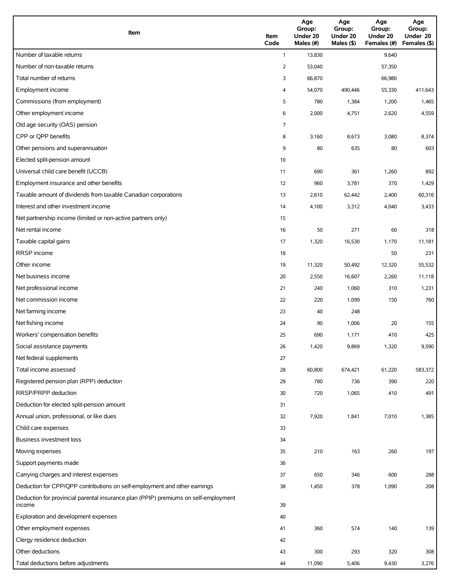| Item                                                                                          | Item<br>Code   | Age<br>Group:<br>Under 20<br>Males (#) | Age<br>Group:<br>Under 20<br>Males (\$) | Age<br>Group:<br>Under 20<br>Females (#) | Age<br>Group:<br>Under 20<br>Females (\$) |
|-----------------------------------------------------------------------------------------------|----------------|----------------------------------------|-----------------------------------------|------------------------------------------|-------------------------------------------|
| Number of taxable returns                                                                     | $\mathbf{1}$   | 13,830                                 |                                         | 9,640                                    |                                           |
| Number of non-taxable returns                                                                 | $\overline{2}$ | 53,040                                 |                                         | 57,350                                   |                                           |
| Total number of returns                                                                       | 3              | 66,870                                 |                                         | 66,980                                   |                                           |
| Employment income                                                                             | 4              | 54,070                                 | 490,446                                 | 55,330                                   | 411,643                                   |
| Commissions (from employment)                                                                 | 5              | 780                                    | 1,384                                   | 1,200                                    | 1,465                                     |
| Other employment income                                                                       | 6              | 2,000                                  | 4,751                                   | 2,620                                    | 4,559                                     |
| Old age security (OAS) pension                                                                | 7              |                                        |                                         |                                          |                                           |
| CPP or QPP benefits                                                                           | 8              | 3,160                                  | 8,673                                   | 3,080                                    | 8,374                                     |
| Other pensions and superannuation                                                             | 9              | 80                                     | 635                                     | 80                                       | 603                                       |
| Elected split-pension amount                                                                  | 10             |                                        |                                         |                                          |                                           |
| Universal child care benefit (UCCB)                                                           | 11             | 690                                    | 361                                     | 1,260                                    | 892                                       |
| Employment insurance and other benefits                                                       | 12             | 960                                    | 3,781                                   | 370                                      | 1,429                                     |
| Taxable amount of dividends from taxable Canadian corporations                                | 13             | 2,610                                  | 62,442                                  | 2,400                                    | 60,316                                    |
| Interest and other investment income                                                          | 14             | 4,100                                  | 3,312                                   | 4,040                                    | 3,433                                     |
| Net partnership income (limited or non-active partners only)                                  | 15             |                                        |                                         |                                          |                                           |
| Net rental income                                                                             | 16             | 50                                     | 271                                     | 60                                       | 318                                       |
| Taxable capital gains                                                                         | 17             | 1,320                                  | 16,530                                  | 1,170                                    | 11,181                                    |
| <b>RRSP</b> income                                                                            | 18             |                                        |                                         | 50                                       | 231                                       |
| Other income                                                                                  | 19             | 11,320                                 | 50,492                                  | 12,320                                   | 55,532                                    |
| Net business income                                                                           | 20             | 2,550                                  | 16,607                                  | 2,260                                    | 11,118                                    |
| Net professional income                                                                       | 21             | 240                                    | 1,060                                   | 310                                      | 1,231                                     |
| Net commission income                                                                         | 22             | 220                                    | 1,099                                   | 150                                      | 760                                       |
| Net farming income                                                                            | 23             | 40                                     | 248                                     |                                          |                                           |
| Net fishing income                                                                            | 24             | 90                                     | 1,006                                   | 20                                       | 155                                       |
| Workers' compensation benefits                                                                | 25             | 690                                    | 1,171                                   | 410                                      | 425                                       |
| Social assistance payments                                                                    | 26             | 1,420                                  | 9,869                                   | 1,320                                    | 9,590                                     |
| Net federal supplements                                                                       | 27             |                                        |                                         |                                          |                                           |
| Total income assessed                                                                         | 28             | 60,800                                 | 674,421                                 | 61,220                                   | 583,372                                   |
| Registered pension plan (RPP) deduction                                                       | 29             | 780                                    | 736                                     | 390                                      | 220                                       |
| RRSP/PRPP deduction                                                                           | 30             | 720                                    | 1,065                                   | 410                                      | 491                                       |
| Deduction for elected split-pension amount                                                    | 31             |                                        |                                         |                                          |                                           |
| Annual union, professional, or like dues                                                      | 32             | 7,920                                  | 1,841                                   | 7,010                                    | 1,385                                     |
| Child care expenses                                                                           | 33             |                                        |                                         |                                          |                                           |
| Business investment loss                                                                      | 34             |                                        |                                         |                                          |                                           |
| Moving expenses                                                                               | 35             | 210                                    | 163                                     | 260                                      | 197                                       |
| Support payments made                                                                         | 36             |                                        |                                         |                                          |                                           |
| Carrying charges and interest expenses                                                        | 37             | 650                                    | 346                                     | 600                                      | 288                                       |
| Deduction for CPP/QPP contributions on self-employment and other earnings                     | 38             | 1,450                                  | 378                                     | 1,090                                    | 208                                       |
| Deduction for provincial parental insurance plan (PPIP) premiums on self-employment<br>income | 39             |                                        |                                         |                                          |                                           |
| Exploration and development expenses                                                          | 40             |                                        |                                         |                                          |                                           |
| Other employment expenses                                                                     | 41             | 360                                    | 574                                     | 140                                      | 139                                       |
| Clergy residence deduction                                                                    | 42             |                                        |                                         |                                          |                                           |
| Other deductions                                                                              | 43             | 300                                    | 293                                     | 320                                      | 308                                       |
| Total deductions before adjustments                                                           | 44             | 11,090                                 | 5,406                                   | 9,430                                    | 3,276                                     |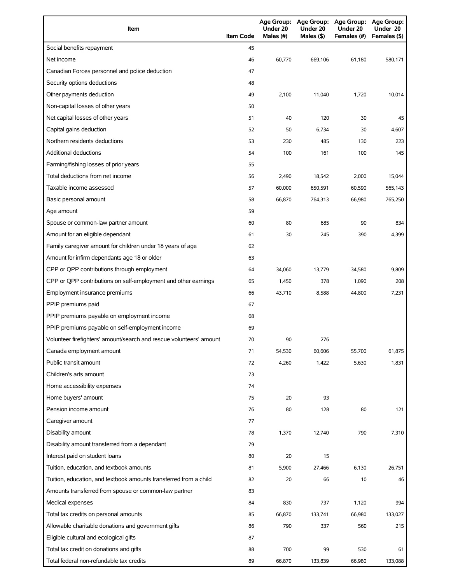| Item                                                                | <b>Item Code</b> | Under 20<br>Males (#) | Age Group: Age Group:<br>Under 20<br>Males (\$) | Age Group: Age Group:<br>Under 20<br>Females (#) | Under 20<br>Females (\$) |
|---------------------------------------------------------------------|------------------|-----------------------|-------------------------------------------------|--------------------------------------------------|--------------------------|
| Social benefits repayment                                           | 45               |                       |                                                 |                                                  |                          |
| Net income                                                          | 46               | 60.770                | 669,106                                         | 61,180                                           | 580,171                  |
| Canadian Forces personnel and police deduction                      | 47               |                       |                                                 |                                                  |                          |
| Security options deductions                                         | 48               |                       |                                                 |                                                  |                          |
| Other payments deduction                                            | 49               | 2,100                 | 11,040                                          | 1,720                                            | 10,014                   |
| Non-capital losses of other years                                   | 50               |                       |                                                 |                                                  |                          |
| Net capital losses of other years                                   | 51               | 40                    | 120                                             | 30                                               | 45                       |
| Capital gains deduction                                             | 52               | 50                    | 6,734                                           | 30                                               | 4,607                    |
| Northern residents deductions                                       | 53               | 230                   | 485                                             | 130                                              | 223                      |
| <b>Additional deductions</b>                                        | 54               | 100                   | 161                                             | 100                                              | 145                      |
| Farming/fishing losses of prior years                               | 55               |                       |                                                 |                                                  |                          |
| Total deductions from net income                                    | 56               | 2,490                 | 18,542                                          | 2,000                                            | 15,044                   |
| Taxable income assessed                                             | 57               | 60,000                | 650,591                                         | 60,590                                           | 565,143                  |
| Basic personal amount                                               | 58               | 66,870                | 764,313                                         | 66,980                                           | 765,250                  |
| Age amount                                                          | 59               |                       |                                                 |                                                  |                          |
| Spouse or common-law partner amount                                 | 60               | 80                    | 685                                             | 90                                               | 834                      |
| Amount for an eligible dependant                                    | 61               | 30                    | 245                                             | 390                                              | 4,399                    |
| Family caregiver amount for children under 18 years of age          | 62               |                       |                                                 |                                                  |                          |
| Amount for infirm dependants age 18 or older                        | 63               |                       |                                                 |                                                  |                          |
| CPP or QPP contributions through employment                         | 64               | 34,060                | 13,779                                          | 34,580                                           | 9,809                    |
| CPP or QPP contributions on self-employment and other earnings      | 65               | 1,450                 | 378                                             | 1,090                                            | 208                      |
| Employment insurance premiums                                       | 66               | 43,710                | 8,588                                           | 44,800                                           | 7,231                    |
| PPIP premiums paid                                                  | 67               |                       |                                                 |                                                  |                          |
| PPIP premiums payable on employment income                          | 68               |                       |                                                 |                                                  |                          |
| PPIP premiums payable on self-employment income                     | 69               |                       |                                                 |                                                  |                          |
| Volunteer firefighters' amount/search and rescue volunteers' amount | 70               | 90                    | 276                                             |                                                  |                          |
| Canada employment amount                                            | 71               | 54,530                | 60,606                                          | 55,700                                           | 61,875                   |
| Public transit amount                                               | 72               | 4,260                 | 1,422                                           | 5,630                                            | 1,831                    |
| Children's arts amount                                              | 73               |                       |                                                 |                                                  |                          |
| Home accessibility expenses                                         | 74               |                       |                                                 |                                                  |                          |
| Home buyers' amount                                                 | 75               | 20                    | 93                                              |                                                  |                          |
| Pension income amount                                               | 76               | 80                    | 128                                             | 80                                               | 121                      |
| Caregiver amount                                                    | 77               |                       |                                                 |                                                  |                          |
| Disability amount                                                   | 78               | 1,370                 | 12,740                                          | 790                                              | 7,310                    |
| Disability amount transferred from a dependant                      | 79               |                       |                                                 |                                                  |                          |
| Interest paid on student loans                                      | 80               | 20                    | 15                                              |                                                  |                          |
| Tuition, education, and textbook amounts                            | 81               | 5,900                 | 27,466                                          | 6,130                                            | 26,751                   |
| Tuition, education, and textbook amounts transferred from a child   | 82               | 20                    | 66                                              | 10                                               | 46                       |
| Amounts transferred from spouse or common-law partner               | 83               |                       |                                                 |                                                  |                          |
| Medical expenses                                                    | 84               | 830                   | 737                                             | 1,120                                            | 994                      |
| Total tax credits on personal amounts                               | 85               | 66,870                | 133,741                                         | 66,980                                           | 133,027                  |
| Allowable charitable donations and government gifts                 | 86               | 790                   | 337                                             | 560                                              | 215                      |
| Eligible cultural and ecological gifts                              | 87               |                       |                                                 |                                                  |                          |
| Total tax credit on donations and gifts                             | 88               | 700                   | 99                                              | 530                                              | 61                       |
| Total federal non-refundable tax credits                            | 89               | 66,870                | 133,839                                         | 66,980                                           | 133,088                  |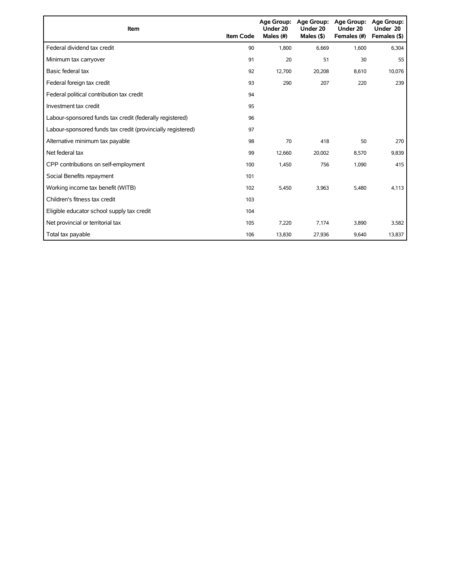| Item                                                        | <b>Item Code</b> | <b>Age Group:</b><br>Under 20<br>Males (#) | Age Group:<br>Under 20<br>Males $($ \$) | <b>Age Group:</b><br>Under 20<br>Females (#) | <b>Age Group:</b><br>Under 20<br>Females (\$) |
|-------------------------------------------------------------|------------------|--------------------------------------------|-----------------------------------------|----------------------------------------------|-----------------------------------------------|
| Federal dividend tax credit                                 | 90               | 1,800                                      | 6.669                                   | 1,600                                        | 6,304                                         |
| Minimum tax carryover                                       | 91               | 20                                         | 51                                      | 30                                           | 55                                            |
| Basic federal tax                                           | 92               | 12,700                                     | 20,208                                  | 8,610                                        | 10,076                                        |
| Federal foreign tax credit                                  | 93               | 290                                        | 207                                     | 220                                          | 239                                           |
| Federal political contribution tax credit                   | 94               |                                            |                                         |                                              |                                               |
| Investment tax credit                                       | 95               |                                            |                                         |                                              |                                               |
| Labour-sponsored funds tax credit (federally registered)    | 96               |                                            |                                         |                                              |                                               |
| Labour-sponsored funds tax credit (provincially registered) | 97               |                                            |                                         |                                              |                                               |
| Alternative minimum tax payable                             | 98               | 70                                         | 418                                     | 50                                           | 270                                           |
| Net federal tax                                             | 99               | 12,660                                     | 20,002                                  | 8,570                                        | 9,839                                         |
| CPP contributions on self-employment                        | 100              | 1,450                                      | 756                                     | 1,090                                        | 415                                           |
| Social Benefits repayment                                   | 101              |                                            |                                         |                                              |                                               |
| Working income tax benefit (WITB)                           | 102              | 5,450                                      | 3,963                                   | 5,480                                        | 4,113                                         |
| Children's fitness tax credit                               | 103              |                                            |                                         |                                              |                                               |
| Eligible educator school supply tax credit                  | 104              |                                            |                                         |                                              |                                               |
| Net provincial or territorial tax                           | 105              | 7,220                                      | 7,174                                   | 3,890                                        | 3,582                                         |
| Total tax payable                                           | 106              | 13,830                                     | 27,936                                  | 9,640                                        | 13,837                                        |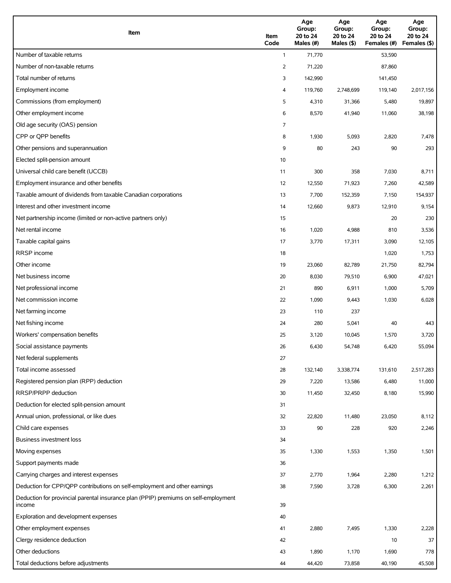| Item                                                                                          | Item<br>Code | Age<br>Group:<br>20 to 24<br>Males (#) | Age<br>Group:<br>20 to 24<br>Males (\$) | Age<br>Group:<br>20 to 24<br>Females (#) | Age<br>Group:<br>20 to 24<br>Females (\$) |
|-----------------------------------------------------------------------------------------------|--------------|----------------------------------------|-----------------------------------------|------------------------------------------|-------------------------------------------|
| Number of taxable returns                                                                     | $\mathbf{1}$ | 71,770                                 |                                         | 53,590                                   |                                           |
| Number of non-taxable returns                                                                 | 2            | 71,220                                 |                                         | 87,860                                   |                                           |
| Total number of returns                                                                       | 3            | 142,990                                |                                         | 141,450                                  |                                           |
| Employment income                                                                             | 4            | 119,760                                | 2,748,699                               | 119,140                                  | 2,017,156                                 |
| Commissions (from employment)                                                                 | 5            | 4,310                                  | 31,366                                  | 5,480                                    | 19,897                                    |
| Other employment income                                                                       | 6            | 8,570                                  | 41,940                                  | 11,060                                   | 38,198                                    |
| Old age security (OAS) pension                                                                | 7            |                                        |                                         |                                          |                                           |
| CPP or OPP benefits                                                                           | 8            | 1,930                                  | 5,093                                   | 2,820                                    | 7,478                                     |
| Other pensions and superannuation                                                             | 9            | 80                                     | 243                                     | 90                                       | 293                                       |
| Elected split-pension amount                                                                  | 10           |                                        |                                         |                                          |                                           |
| Universal child care benefit (UCCB)                                                           | 11           | 300                                    | 358                                     | 7,030                                    | 8,711                                     |
| Employment insurance and other benefits                                                       | 12           | 12,550                                 | 71,923                                  | 7,260                                    | 42,589                                    |
| Taxable amount of dividends from taxable Canadian corporations                                | 13           | 7,700                                  | 152,359                                 | 7,150                                    | 154,937                                   |
| Interest and other investment income                                                          | 14           | 12,660                                 | 9,873                                   | 12,910                                   | 9,154                                     |
| Net partnership income (limited or non-active partners only)                                  | 15           |                                        |                                         | 20                                       | 230                                       |
| Net rental income                                                                             | 16           | 1,020                                  | 4,988                                   | 810                                      | 3,536                                     |
| Taxable capital gains                                                                         | 17           | 3,770                                  | 17,311                                  | 3,090                                    | 12,105                                    |
| <b>RRSP</b> income                                                                            | 18           |                                        |                                         | 1,020                                    | 1,753                                     |
| Other income                                                                                  | 19           | 23,060                                 | 82,789                                  | 21,750                                   | 82,794                                    |
| Net business income                                                                           | 20           | 8,030                                  | 79,510                                  | 6,900                                    | 47,021                                    |
| Net professional income                                                                       | 21           | 890                                    | 6,911                                   | 1,000                                    | 5,709                                     |
| Net commission income                                                                         | 22           | 1,090                                  | 9,443                                   | 1,030                                    | 6,028                                     |
| Net farming income                                                                            | 23           | 110                                    | 237                                     |                                          |                                           |
| Net fishing income                                                                            | 24           | 280                                    | 5,041                                   | 40                                       | 443                                       |
| Workers' compensation benefits                                                                | 25           | 3,120                                  | 10,045                                  | 1,570                                    | 3,720                                     |
| Social assistance payments                                                                    | 26           | 6,430                                  | 54,748                                  | 6,420                                    | 55,094                                    |
| Net federal supplements                                                                       | 27           |                                        |                                         |                                          |                                           |
| Total income assessed                                                                         | 28           | 132,140                                | 3,338,774                               | 131,610                                  | 2,517,283                                 |
| Registered pension plan (RPP) deduction                                                       | 29           | 7,220                                  | 13,586                                  | 6,480                                    | 11,000                                    |
| RRSP/PRPP deduction                                                                           | 30           | 11,450                                 | 32,450                                  | 8,180                                    | 15,990                                    |
| Deduction for elected split-pension amount                                                    | 31           |                                        |                                         |                                          |                                           |
| Annual union, professional, or like dues                                                      | 32           | 22,820                                 | 11,480                                  | 23,050                                   | 8,112                                     |
| Child care expenses                                                                           | 33           | 90                                     | 228                                     | 920                                      | 2,246                                     |
| Business investment loss                                                                      | 34           |                                        |                                         |                                          |                                           |
| Moving expenses                                                                               | 35           | 1,330                                  | 1,553                                   | 1,350                                    | 1,501                                     |
| Support payments made                                                                         | 36           |                                        |                                         |                                          |                                           |
| Carrying charges and interest expenses                                                        | 37           | 2,770                                  | 1,964                                   | 2,280                                    | 1,212                                     |
| Deduction for CPP/QPP contributions on self-employment and other earnings                     | 38           | 7,590                                  | 3,728                                   | 6,300                                    | 2,261                                     |
| Deduction for provincial parental insurance plan (PPIP) premiums on self-employment<br>income | 39           |                                        |                                         |                                          |                                           |
| Exploration and development expenses                                                          | 40           |                                        |                                         |                                          |                                           |
| Other employment expenses                                                                     | 41           | 2,880                                  | 7,495                                   | 1,330                                    | 2,228                                     |
| Clergy residence deduction                                                                    | 42           |                                        |                                         | 10                                       | 37                                        |
| Other deductions                                                                              | 43           | 1,890                                  | 1,170                                   | 1,690                                    | 778                                       |
| Total deductions before adjustments                                                           | 44           | 44,420                                 | 73,858                                  | 40,190                                   | 45,508                                    |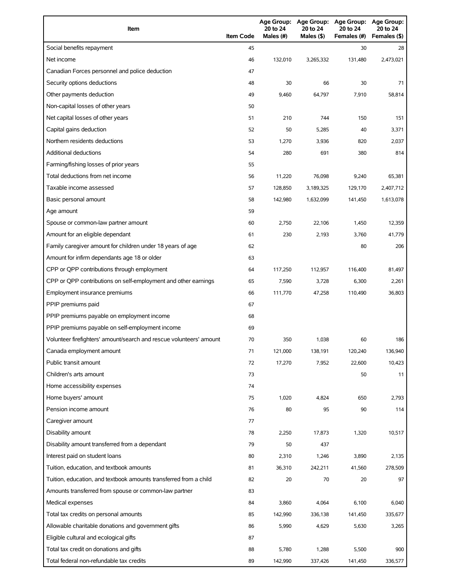| Item                                                                | <b>Item Code</b> | 20 to 24<br>Males (#) | 20 to 24<br>Males (\$) | Age Group: Age Group: Age Group:<br>20 to 24<br>Females (#) | <b>Age Group:</b><br>20 to 24<br>Females (\$) |
|---------------------------------------------------------------------|------------------|-----------------------|------------------------|-------------------------------------------------------------|-----------------------------------------------|
| Social benefits repayment                                           | 45               |                       |                        | 30                                                          | 28                                            |
| Net income                                                          | 46               | 132,010               | 3,265,332              | 131,480                                                     | 2,473,021                                     |
| Canadian Forces personnel and police deduction                      | 47               |                       |                        |                                                             |                                               |
| Security options deductions                                         | 48               | 30                    | 66                     | 30                                                          | 71                                            |
| Other payments deduction                                            | 49               | 9,460                 | 64,797                 | 7,910                                                       | 58,814                                        |
| Non-capital losses of other years                                   | 50               |                       |                        |                                                             |                                               |
| Net capital losses of other years                                   | 51               | 210                   | 744                    | 150                                                         | 151                                           |
| Capital gains deduction                                             | 52               | 50                    | 5,285                  | 40                                                          | 3,371                                         |
| Northern residents deductions                                       | 53               | 1,270                 | 3,936                  | 820                                                         | 2,037                                         |
| Additional deductions                                               | 54               | 280                   | 691                    | 380                                                         | 814                                           |
| Farming/fishing losses of prior years                               | 55               |                       |                        |                                                             |                                               |
| Total deductions from net income                                    | 56               | 11,220                | 76,098                 | 9,240                                                       | 65,381                                        |
| Taxable income assessed                                             | 57               | 128,850               | 3,189,325              | 129,170                                                     | 2,407,712                                     |
| Basic personal amount                                               | 58               | 142,980               | 1,632,099              | 141,450                                                     | 1,613,078                                     |
| Age amount                                                          | 59               |                       |                        |                                                             |                                               |
| Spouse or common-law partner amount                                 | 60               | 2,750                 | 22.106                 | 1,450                                                       | 12,359                                        |
| Amount for an eligible dependant                                    | 61               | 230                   | 2,193                  | 3,760                                                       | 41,779                                        |
| Family caregiver amount for children under 18 years of age          | 62               |                       |                        | 80                                                          | 206                                           |
| Amount for infirm dependants age 18 or older                        | 63               |                       |                        |                                                             |                                               |
| CPP or QPP contributions through employment                         | 64               | 117,250               | 112,957                | 116,400                                                     | 81,497                                        |
| CPP or QPP contributions on self-employment and other earnings      | 65               | 7,590                 | 3,728                  | 6,300                                                       | 2,261                                         |
| Employment insurance premiums                                       | 66               | 111,770               | 47,258                 | 110,490                                                     | 36,803                                        |
| PPIP premiums paid                                                  | 67               |                       |                        |                                                             |                                               |
| PPIP premiums payable on employment income                          | 68               |                       |                        |                                                             |                                               |
| PPIP premiums payable on self-employment income                     | 69               |                       |                        |                                                             |                                               |
| Volunteer firefighters' amount/search and rescue volunteers' amount | 70               | 350                   | 1,038                  | 60                                                          | 186                                           |
| Canada employment amount                                            | 71               | 121,000               | 138,191                | 120,240                                                     | 136,940                                       |
| Public transit amount                                               | 72               | 17,270                | 7,952                  | 22,600                                                      | 10,423                                        |
| Children's arts amount                                              | 73               |                       |                        | 50                                                          | 11                                            |
| Home accessibility expenses                                         | 74               |                       |                        |                                                             |                                               |
| Home buyers' amount                                                 | 75               | 1,020                 | 4,824                  | 650                                                         | 2,793                                         |
| Pension income amount                                               | 76               | 80                    | 95                     | 90                                                          | 114                                           |
| Caregiver amount                                                    | 77               |                       |                        |                                                             |                                               |
| Disability amount                                                   | 78               | 2,250                 | 17,873                 | 1,320                                                       | 10,517                                        |
| Disability amount transferred from a dependant                      | 79               | 50                    | 437                    |                                                             |                                               |
| Interest paid on student loans                                      | 80               | 2,310                 | 1,246                  | 3,890                                                       | 2,135                                         |
| Tuition, education, and textbook amounts                            | 81               | 36,310                | 242,211                | 41,560                                                      | 278,509                                       |
| Tuition, education, and textbook amounts transferred from a child   | 82               | 20                    | 70                     | 20                                                          | 97                                            |
| Amounts transferred from spouse or common-law partner               | 83               |                       |                        |                                                             |                                               |
| Medical expenses                                                    | 84               | 3,860                 | 4,064                  | 6,100                                                       | 6,040                                         |
| Total tax credits on personal amounts                               | 85               | 142,990               | 336,138                | 141,450                                                     | 335,677                                       |
| Allowable charitable donations and government gifts                 | 86               | 5,990                 | 4,629                  | 5,630                                                       | 3,265                                         |
| Eligible cultural and ecological gifts                              | 87               |                       |                        |                                                             |                                               |
| Total tax credit on donations and gifts                             | 88               | 5,780                 | 1,288                  | 5,500                                                       | 900                                           |
| Total federal non-refundable tax credits                            | 89               | 142,990               | 337,426                | 141,450                                                     | 336,577                                       |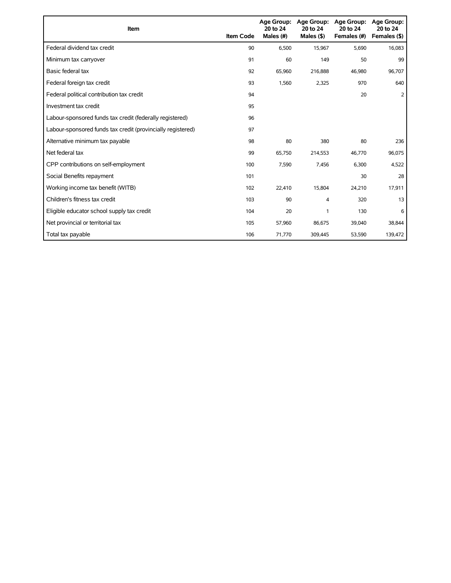| Item                                                        | <b>Item Code</b> | <b>Age Group:</b><br>20 to 24<br>Males (#) | <b>Age Group:</b><br>20 to 24<br>Males $($ \$) | <b>Age Group:</b><br>20 to 24<br>Females (#) | <b>Age Group:</b><br>20 to 24<br>Females (\$) |
|-------------------------------------------------------------|------------------|--------------------------------------------|------------------------------------------------|----------------------------------------------|-----------------------------------------------|
| Federal dividend tax credit                                 | 90               | 6,500                                      | 15,967                                         | 5,690                                        | 16,083                                        |
| Minimum tax carryover                                       | 91               | 60                                         | 149                                            | 50                                           | 99                                            |
| Basic federal tax                                           | 92               | 65,960                                     | 216,888                                        | 46,980                                       | 96,707                                        |
| Federal foreign tax credit                                  | 93               | 1,560                                      | 2,325                                          | 970                                          | 640                                           |
| Federal political contribution tax credit                   | 94               |                                            |                                                | 20                                           | 2                                             |
| Investment tax credit                                       | 95               |                                            |                                                |                                              |                                               |
| Labour-sponsored funds tax credit (federally registered)    | 96               |                                            |                                                |                                              |                                               |
| Labour-sponsored funds tax credit (provincially registered) | 97               |                                            |                                                |                                              |                                               |
| Alternative minimum tax payable                             | 98               | 80                                         | 380                                            | 80                                           | 236                                           |
| Net federal tax                                             | 99               | 65,750                                     | 214,553                                        | 46,770                                       | 96,075                                        |
| CPP contributions on self-employment                        | 100              | 7,590                                      | 7,456                                          | 6,300                                        | 4,522                                         |
| Social Benefits repayment                                   | 101              |                                            |                                                | 30                                           | 28                                            |
| Working income tax benefit (WITB)                           | 102              | 22,410                                     | 15,804                                         | 24,210                                       | 17,911                                        |
| Children's fitness tax credit                               | 103              | 90                                         | 4                                              | 320                                          | 13                                            |
| Eligible educator school supply tax credit                  | 104              | 20                                         | 1                                              | 130                                          | 6                                             |
| Net provincial or territorial tax                           | 105              | 57,960                                     | 86,675                                         | 39,040                                       | 38,844                                        |
| Total tax payable                                           | 106              | 71,770                                     | 309,445                                        | 53,590                                       | 139,472                                       |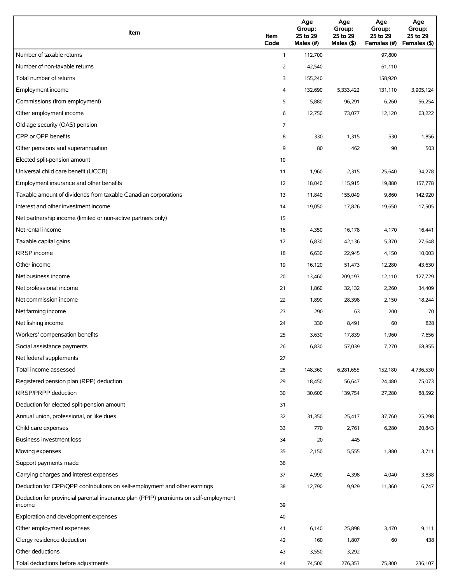| Item                                                                                          | Item<br>Code | Age<br>Group:<br>25 to 29<br>Males (#) | Age<br>Group:<br>25 to 29<br>Males (\$) | Age<br>Group:<br>25 to 29<br>Females (#) | Age<br>Group:<br>25 to 29<br>Females (\$) |
|-----------------------------------------------------------------------------------------------|--------------|----------------------------------------|-----------------------------------------|------------------------------------------|-------------------------------------------|
| Number of taxable returns                                                                     | $\mathbf{1}$ | 112,700                                |                                         | 97,800                                   |                                           |
| Number of non-taxable returns                                                                 | 2            | 42,540                                 |                                         | 61,110                                   |                                           |
| Total number of returns                                                                       | 3            | 155,240                                |                                         | 158,920                                  |                                           |
| Employment income                                                                             | 4            | 132,690                                | 5,333,422                               | 131,110                                  | 3,905,124                                 |
| Commissions (from employment)                                                                 | 5            | 5,880                                  | 96,291                                  | 6,260                                    | 56,254                                    |
| Other employment income                                                                       | 6            | 12,750                                 | 73,077                                  | 12,120                                   | 63,222                                    |
| Old age security (OAS) pension                                                                | 7            |                                        |                                         |                                          |                                           |
| CPP or QPP benefits                                                                           | 8            | 330                                    | 1,315                                   | 530                                      | 1,856                                     |
| Other pensions and superannuation                                                             | 9            | 80                                     | 462                                     | 90                                       | 503                                       |
| Elected split-pension amount                                                                  | 10           |                                        |                                         |                                          |                                           |
| Universal child care benefit (UCCB)                                                           | 11           | 1,960                                  | 2,315                                   | 25,640                                   | 34,278                                    |
| Employment insurance and other benefits                                                       | 12           | 18,040                                 | 115,915                                 | 19,880                                   | 157,778                                   |
| Taxable amount of dividends from taxable Canadian corporations                                | 13           | 11,840                                 | 155,049                                 | 9,860                                    | 142,920                                   |
| Interest and other investment income                                                          | 14           | 19,050                                 | 17,826                                  | 19,650                                   | 17,505                                    |
| Net partnership income (limited or non-active partners only)                                  | 15           |                                        |                                         |                                          |                                           |
| Net rental income                                                                             | 16           | 4,350                                  | 16,178                                  | 4,170                                    | 16,441                                    |
| Taxable capital gains                                                                         | 17           | 6,830                                  | 42,136                                  | 5,370                                    | 27,648                                    |
| <b>RRSP</b> income                                                                            | 18           | 6,630                                  | 22,945                                  | 4,150                                    | 10,003                                    |
| Other income                                                                                  | 19           | 16,120                                 | 51,473                                  | 12,280                                   | 43,630                                    |
| Net business income                                                                           | 20           | 13,460                                 | 209,193                                 | 12,110                                   | 127,729                                   |
| Net professional income                                                                       | 21           | 1,860                                  | 32,132                                  | 2,260                                    | 34,409                                    |
| Net commission income                                                                         | 22           | 1,890                                  | 28,398                                  | 2,150                                    | 18,244                                    |
| Net farming income                                                                            | 23           | 290                                    | 63                                      | 200                                      | $-70$                                     |
| Net fishing income                                                                            | 24           | 330                                    | 8,491                                   | 60                                       | 828                                       |
| Workers' compensation benefits                                                                | 25           | 3,630                                  | 17,839                                  | 1,960                                    | 7,656                                     |
| Social assistance payments                                                                    | 26           | 6,830                                  | 57,039                                  | 7,270                                    | 68,855                                    |
| Net federal supplements                                                                       | 27           |                                        |                                         |                                          |                                           |
| Total income assessed                                                                         | 28           | 148,360                                | 6,281,655                               | 152,180                                  | 4,736,530                                 |
| Registered pension plan (RPP) deduction                                                       | 29           | 18,450                                 | 56,647                                  | 24,480                                   | 75,073                                    |
| RRSP/PRPP deduction                                                                           | 30           | 30,600                                 | 139,754                                 | 27,280                                   | 88,592                                    |
| Deduction for elected split-pension amount                                                    | 31           |                                        |                                         |                                          |                                           |
| Annual union, professional, or like dues                                                      | 32           | 31,350                                 | 25,417                                  | 37,760                                   | 25,298                                    |
| Child care expenses                                                                           | 33           | 770                                    | 2,761                                   | 6,280                                    | 20,843                                    |
| <b>Business investment loss</b>                                                               | 34           | 20                                     | 445                                     |                                          |                                           |
| Moving expenses                                                                               | 35           | 2,150                                  | 5,555                                   | 1,880                                    | 3,711                                     |
| Support payments made                                                                         | 36           |                                        |                                         |                                          |                                           |
| Carrying charges and interest expenses                                                        | 37           | 4,990                                  | 4,398                                   | 4,040                                    | 3,838                                     |
| Deduction for CPP/QPP contributions on self-employment and other earnings                     | 38           | 12,790                                 | 9,929                                   | 11,360                                   | 6,747                                     |
| Deduction for provincial parental insurance plan (PPIP) premiums on self-employment<br>income | 39           |                                        |                                         |                                          |                                           |
| Exploration and development expenses                                                          | 40           |                                        |                                         |                                          |                                           |
| Other employment expenses                                                                     | 41           | 6,140                                  | 25,898                                  | 3,470                                    | 9,111                                     |
| Clergy residence deduction                                                                    | 42           | 160                                    | 1,807                                   | 60                                       | 438                                       |
| Other deductions                                                                              | 43           | 3,550                                  | 3,292                                   |                                          |                                           |
| Total deductions before adjustments                                                           | 44           | 74,500                                 | 276,353                                 | 75,800                                   | 236,107                                   |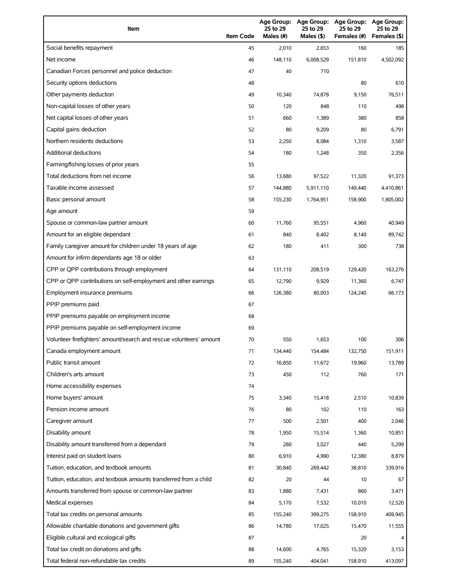| Item                                                                | <b>Item Code</b> | Age Group:<br>25 to 29<br>Males (#) | <b>Age Group:</b><br>25 to 29<br>Males (\$) | <b>Age Group:</b><br>25 to 29<br>Females (#) | <b>Age Group:</b><br>25 to 29<br>Females (\$) |
|---------------------------------------------------------------------|------------------|-------------------------------------|---------------------------------------------|----------------------------------------------|-----------------------------------------------|
| Social benefits repayment                                           | 45               | 2,010                               | 2,653                                       | 160                                          | 185                                           |
| Net income                                                          | 46               | 148,110                             | 6,008,529                                   | 151,810                                      | 4,502,092                                     |
| Canadian Forces personnel and police deduction                      | 47               | 40                                  | 710                                         |                                              |                                               |
| Security options deductions                                         | 48               |                                     |                                             | 80                                           | 610                                           |
| Other payments deduction                                            | 49               | 10,340                              | 74,878                                      | 9,150                                        | 76,511                                        |
| Non-capital losses of other years                                   | 50               | 120                                 | 848                                         | 110                                          | 498                                           |
| Net capital losses of other years                                   | 51               | 660                                 | 1,389                                       | 380                                          | 858                                           |
| Capital gains deduction                                             | 52               | 80                                  | 9,209                                       | 80                                           | 6,791                                         |
| Northern residents deductions                                       | 53               | 2,250                               | 8,084                                       | 1,310                                        | 3,587                                         |
| <b>Additional deductions</b>                                        | 54               | 180                                 | 1,248                                       | 350                                          | 2,356                                         |
| Farming/fishing losses of prior years                               | 55               |                                     |                                             |                                              |                                               |
| Total deductions from net income                                    | 56               | 13,680                              | 97,522                                      | 11,320                                       | 91,373                                        |
| Taxable income assessed                                             | 57               | 144,880                             | 5,911,110                                   | 149,440                                      | 4,410,861                                     |
| Basic personal amount                                               | 58               | 155,230                             | 1,764,951                                   | 158,900                                      | 1,805,002                                     |
| Age amount                                                          | 59               |                                     |                                             |                                              |                                               |
| Spouse or common-law partner amount                                 | 60               | 11,760                              | 95,551                                      | 4,960                                        | 40,949                                        |
| Amount for an eligible dependant                                    | 61               | 840                                 | 8,402                                       | 8,140                                        | 89,742                                        |
| Family caregiver amount for children under 18 years of age          | 62               | 180                                 | 411                                         | 300                                          | 738                                           |
| Amount for infirm dependants age 18 or older                        | 63               |                                     |                                             |                                              |                                               |
| CPP or QPP contributions through employment                         | 64               | 131,110                             | 208,519                                     | 129,420                                      | 163,276                                       |
| CPP or QPP contributions on self-employment and other earnings      | 65               | 12,790                              | 9,929                                       | 11,360                                       | 6,747                                         |
| Employment insurance premiums                                       | 66               | 126,380                             | 80,003                                      | 124,240                                      | 66,173                                        |
| PPIP premiums paid                                                  | 67               |                                     |                                             |                                              |                                               |
| PPIP premiums payable on employment income                          | 68               |                                     |                                             |                                              |                                               |
| PPIP premiums payable on self-employment income                     | 69               |                                     |                                             |                                              |                                               |
| Volunteer firefighters' amount/search and rescue volunteers' amount | 70               | 550                                 | 1,653                                       | 100                                          | 306                                           |
| Canada employment amount                                            | 71               | 134,440                             | 154,484                                     | 132,750                                      | 151,911                                       |
| Public transit amount                                               | 72               | 16,850                              | 11,672                                      | 19,960                                       | 13,789                                        |
| Children's arts amount                                              | 73               | 450                                 | 112                                         | 760                                          | 171                                           |
| Home accessibility expenses                                         | 74               |                                     |                                             |                                              |                                               |
| Home buyers' amount                                                 | 75               | 3,340                               | 15,418                                      | 2,510                                        | 10,839                                        |
| Pension income amount                                               | 76               | 80                                  | 102                                         | 110                                          | 163                                           |
| Caregiver amount                                                    | 77               | 500                                 | 2,501                                       | 400                                          | 2,046                                         |
| Disability amount                                                   | 78               | 1,950                               | 15,514                                      | 1,360                                        | 10,851                                        |
| Disability amount transferred from a dependant                      | 79               | 280                                 | 3,027                                       | 440                                          | 5,299                                         |
| Interest paid on student loans                                      | 80               | 6,910                               | 4,990                                       | 12,380                                       | 8,879                                         |
| Tuition, education, and textbook amounts                            | 81               | 30,840                              | 269,442                                     | 38,810                                       | 339,916                                       |
| Tuition, education, and textbook amounts transferred from a child   | 82               | 20                                  | 44                                          | 10                                           | 67                                            |
| Amounts transferred from spouse or common-law partner               | 83               | 1,880                               | 7,431                                       | 860                                          | 3,471                                         |
| Medical expenses                                                    | 84               | 5,170                               | 7,532                                       | 10,010                                       | 12,520                                        |
| Total tax credits on personal amounts                               | 85               | 155,240                             | 399,275                                     | 158,910                                      | 409,945                                       |
| Allowable charitable donations and government gifts                 | 86               | 14,780                              | 17,025                                      | 15,470                                       | 11,555                                        |
| Eligible cultural and ecological gifts                              | 87               |                                     |                                             | 20                                           |                                               |
| Total tax credit on donations and gifts                             | 88               | 14,600                              | 4,765                                       | 15,320                                       | 3,153                                         |
| Total federal non-refundable tax credits                            | 89               | 155,240                             | 404,041                                     | 158,910                                      | 413,097                                       |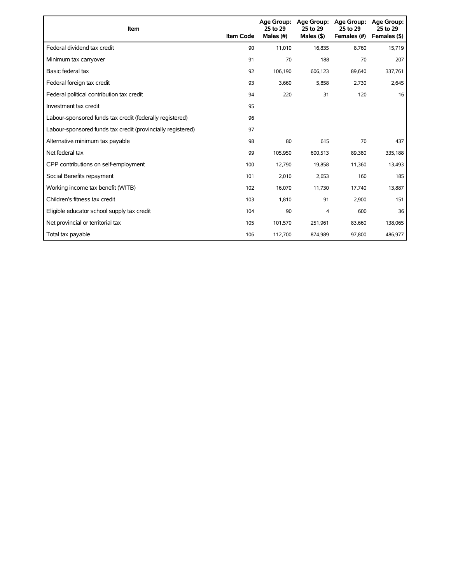| Item                                                        | <b>Item Code</b> | 25 to 29<br>Males (#) | Age Group: Age Group:<br>25 to 29<br>Males $($ \$) | <b>Age Group:</b><br>25 to 29<br>Females (#) | <b>Age Group:</b><br>25 to 29<br>Females (\$) |
|-------------------------------------------------------------|------------------|-----------------------|----------------------------------------------------|----------------------------------------------|-----------------------------------------------|
| Federal dividend tax credit                                 | 90               | 11,010                | 16,835                                             | 8,760                                        | 15,719                                        |
| Minimum tax carryover                                       | 91               | 70                    | 188                                                | 70                                           | 207                                           |
| Basic federal tax                                           | 92               | 106,190               | 606,123                                            | 89,640                                       | 337,761                                       |
| Federal foreign tax credit                                  | 93               | 3,660                 | 5,858                                              | 2,730                                        | 2,645                                         |
| Federal political contribution tax credit                   | 94               | 220                   | 31                                                 | 120                                          | 16                                            |
| Investment tax credit                                       | 95               |                       |                                                    |                                              |                                               |
| Labour-sponsored funds tax credit (federally registered)    | 96               |                       |                                                    |                                              |                                               |
| Labour-sponsored funds tax credit (provincially registered) | 97               |                       |                                                    |                                              |                                               |
| Alternative minimum tax payable                             | 98               | 80                    | 615                                                | 70                                           | 437                                           |
| Net federal tax                                             | 99               | 105,950               | 600,513                                            | 89,380                                       | 335,188                                       |
| CPP contributions on self-employment                        | 100              | 12,790                | 19,858                                             | 11,360                                       | 13,493                                        |
| Social Benefits repayment                                   | 101              | 2,010                 | 2,653                                              | 160                                          | 185                                           |
| Working income tax benefit (WITB)                           | 102              | 16,070                | 11,730                                             | 17,740                                       | 13,887                                        |
| Children's fitness tax credit                               | 103              | 1,810                 | 91                                                 | 2,900                                        | 151                                           |
| Eligible educator school supply tax credit                  | 104              | 90                    | 4                                                  | 600                                          | 36                                            |
| Net provincial or territorial tax                           | 105              | 101,570               | 251,961                                            | 83,660                                       | 138,065                                       |
| Total tax payable                                           | 106              | 112,700               | 874,989                                            | 97,800                                       | 486,977                                       |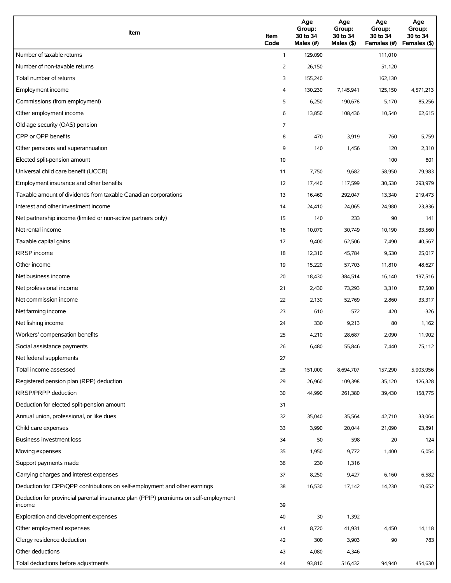| Item                                                                                          | Item<br>Code   | Age<br>Group:<br>30 to 34<br>Males (#) | Age<br>Group:<br>30 to 34<br>Males (\$) | Age<br>Group:<br>30 to 34<br>Females (#) | Age<br>Group:<br>30 to 34<br>Females (\$) |
|-----------------------------------------------------------------------------------------------|----------------|----------------------------------------|-----------------------------------------|------------------------------------------|-------------------------------------------|
| Number of taxable returns                                                                     | $\mathbf{1}$   | 129,090                                |                                         | 111,010                                  |                                           |
| Number of non-taxable returns                                                                 | $\overline{2}$ | 26,150                                 |                                         | 51,120                                   |                                           |
| Total number of returns                                                                       | 3              | 155,240                                |                                         | 162,130                                  |                                           |
| Employment income                                                                             | 4              | 130,230                                | 7,145,941                               | 125,150                                  | 4,571,213                                 |
| Commissions (from employment)                                                                 | 5              | 6,250                                  | 190,678                                 | 5,170                                    | 85,256                                    |
| Other employment income                                                                       | 6              | 13,850                                 | 108,436                                 | 10,540                                   | 62,615                                    |
| Old age security (OAS) pension                                                                | 7              |                                        |                                         |                                          |                                           |
| CPP or QPP benefits                                                                           | 8              | 470                                    | 3,919                                   | 760                                      | 5,759                                     |
| Other pensions and superannuation                                                             | 9              | 140                                    | 1,456                                   | 120                                      | 2,310                                     |
| Elected split-pension amount                                                                  | 10             |                                        |                                         | 100                                      | 801                                       |
| Universal child care benefit (UCCB)                                                           | 11             | 7,750                                  | 9,682                                   | 58,950                                   | 79,983                                    |
| Employment insurance and other benefits                                                       | 12             | 17,440                                 | 117,599                                 | 30,530                                   | 293,979                                   |
| Taxable amount of dividends from taxable Canadian corporations                                | 13             | 16,460                                 | 292,047                                 | 13,340                                   | 219,473                                   |
| Interest and other investment income                                                          | 14             | 24,410                                 | 24,065                                  | 24,980                                   | 23,836                                    |
| Net partnership income (limited or non-active partners only)                                  | 15             | 140                                    | 233                                     | 90                                       | 141                                       |
| Net rental income                                                                             | 16             | 10,070                                 | 30,749                                  | 10,190                                   | 33,560                                    |
| Taxable capital gains                                                                         | 17             | 9,400                                  | 62,506                                  | 7,490                                    | 40,567                                    |
| <b>RRSP</b> income                                                                            | 18             | 12,310                                 | 45,784                                  | 9,530                                    | 25,017                                    |
| Other income                                                                                  | 19             | 15,220                                 | 57,703                                  | 11,810                                   | 48,627                                    |
| Net business income                                                                           | 20             | 18,430                                 | 384,514                                 | 16,140                                   | 197,516                                   |
| Net professional income                                                                       | 21             | 2,430                                  | 73,293                                  | 3,310                                    | 87,500                                    |
| Net commission income                                                                         | 22             | 2,130                                  | 52,769                                  | 2,860                                    | 33,317                                    |
| Net farming income                                                                            | 23             | 610                                    | $-572$                                  | 420                                      | $-326$                                    |
| Net fishing income                                                                            | 24             | 330                                    | 9,213                                   | 80                                       | 1,162                                     |
| Workers' compensation benefits                                                                | 25             | 4,210                                  | 28,687                                  | 2,090                                    | 11,902                                    |
| Social assistance payments                                                                    | 26             | 6,480                                  | 55,846                                  | 7,440                                    | 75,112                                    |
| Net federal supplements                                                                       | 27             |                                        |                                         |                                          |                                           |
| Total income assessed                                                                         | 28             | 151,000                                | 8,694,707                               | 157,290                                  | 5,903,956                                 |
| Registered pension plan (RPP) deduction                                                       | 29             | 26,960                                 | 109,398                                 | 35,120                                   | 126,328                                   |
| RRSP/PRPP deduction                                                                           | 30             | 44,990                                 | 261,380                                 | 39,430                                   | 158,775                                   |
| Deduction for elected split-pension amount                                                    | 31             |                                        |                                         |                                          |                                           |
| Annual union, professional, or like dues                                                      | 32             | 35,040                                 | 35,564                                  | 42,710                                   | 33,064                                    |
| Child care expenses                                                                           | 33             | 3,990                                  | 20,044                                  | 21,090                                   | 93,891                                    |
| Business investment loss                                                                      | 34             | 50                                     | 598                                     | 20                                       | 124                                       |
| Moving expenses                                                                               | 35             | 1,950                                  | 9,772                                   | 1,400                                    | 6,054                                     |
| Support payments made                                                                         | 36             | 230                                    | 1,316                                   |                                          |                                           |
| Carrying charges and interest expenses                                                        | 37             | 8,250                                  | 9,427                                   | 6,160                                    | 6,582                                     |
| Deduction for CPP/QPP contributions on self-employment and other earnings                     | 38             | 16,530                                 | 17,142                                  | 14,230                                   | 10,652                                    |
| Deduction for provincial parental insurance plan (PPIP) premiums on self-employment<br>income | 39             |                                        |                                         |                                          |                                           |
| Exploration and development expenses                                                          | 40             | 30                                     | 1,392                                   |                                          |                                           |
| Other employment expenses                                                                     | 41             | 8,720                                  | 41,931                                  | 4,450                                    | 14,118                                    |
| Clergy residence deduction                                                                    | 42             | 300                                    | 3,903                                   | 90                                       | 783                                       |
| Other deductions                                                                              | 43             | 4,080                                  | 4,346                                   |                                          |                                           |
| Total deductions before adjustments                                                           | 44             | 93,810                                 | 516,432                                 | 94,940                                   | 454,630                                   |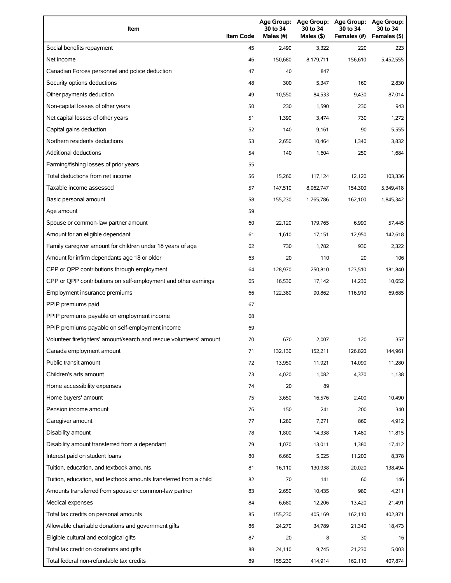| Item                                                                | <b>Item Code</b> | 30 to 34<br>Males (#) | 30 to 34<br>Males (\$) | Age Group: Age Group: Age Group:<br>30 to 34<br>Females (#) | Age Group:<br>30 to 34<br>Females (\$) |
|---------------------------------------------------------------------|------------------|-----------------------|------------------------|-------------------------------------------------------------|----------------------------------------|
| Social benefits repayment                                           | 45               | 2,490                 | 3,322                  | 220                                                         | 223                                    |
| Net income                                                          | 46               | 150,680               | 8,179,711              | 156,610                                                     | 5,452,555                              |
| Canadian Forces personnel and police deduction                      | 47               | 40                    | 847                    |                                                             |                                        |
| Security options deductions                                         | 48               | 300                   | 5,347                  | 160                                                         | 2,830                                  |
| Other payments deduction                                            | 49               | 10,550                | 84,533                 | 9,430                                                       | 87,014                                 |
| Non-capital losses of other years                                   | 50               | 230                   | 1,590                  | 230                                                         | 943                                    |
| Net capital losses of other years                                   | 51               | 1,390                 | 3,474                  | 730                                                         | 1,272                                  |
| Capital gains deduction                                             | 52               | 140                   | 9,161                  | 90                                                          | 5,555                                  |
| Northern residents deductions                                       | 53               | 2,650                 | 10,464                 | 1,340                                                       | 3,832                                  |
| Additional deductions                                               | 54               | 140                   | 1,604                  | 250                                                         | 1,684                                  |
| Farming/fishing losses of prior years                               | 55               |                       |                        |                                                             |                                        |
| Total deductions from net income                                    | 56               | 15,260                | 117,124                | 12,120                                                      | 103,336                                |
| Taxable income assessed                                             | 57               | 147,510               | 8,062,747              | 154,300                                                     | 5,349,418                              |
| Basic personal amount                                               | 58               | 155,230               | 1,765,786              | 162,100                                                     | 1,845,342                              |
| Age amount                                                          | 59               |                       |                        |                                                             |                                        |
| Spouse or common-law partner amount                                 | 60               | 22,120                | 179,765                | 6,990                                                       | 57,445                                 |
| Amount for an eligible dependant                                    | 61               | 1,610                 | 17,151                 | 12,950                                                      | 142,618                                |
| Family caregiver amount for children under 18 years of age          | 62               | 730                   | 1,782                  | 930                                                         | 2,322                                  |
| Amount for infirm dependants age 18 or older                        | 63               | 20                    | 110                    | 20                                                          | 106                                    |
| CPP or QPP contributions through employment                         | 64               | 128,970               | 250,810                | 123,510                                                     | 181,840                                |
| CPP or QPP contributions on self-employment and other earnings      | 65               | 16,530                | 17,142                 | 14,230                                                      | 10,652                                 |
| Employment insurance premiums                                       | 66               | 122,380               | 90,862                 | 116,910                                                     | 69,685                                 |
| PPIP premiums paid                                                  | 67               |                       |                        |                                                             |                                        |
| PPIP premiums payable on employment income                          | 68               |                       |                        |                                                             |                                        |
| PPIP premiums payable on self-employment income                     | 69               |                       |                        |                                                             |                                        |
| Volunteer firefighters' amount/search and rescue volunteers' amount | 70               | 670                   | 2,007                  | 120                                                         | 357                                    |
| Canada employment amount                                            | 71               | 132,130               | 152,211                | 126,820                                                     | 144,961                                |
| Public transit amount                                               | 72               | 13,950                | 11,921                 | 14,090                                                      | 11,280                                 |
| Children's arts amount                                              | 73               | 4,020                 | 1,082                  | 4,370                                                       | 1,138                                  |
| Home accessibility expenses                                         | 74               | 20                    | 89                     |                                                             |                                        |
| Home buyers' amount                                                 | 75               | 3,650                 | 16,576                 | 2,400                                                       | 10,490                                 |
| Pension income amount                                               | 76               | 150                   | 241                    | 200                                                         | 340                                    |
| Caregiver amount                                                    | 77               | 1,280                 | 7,271                  | 860                                                         | 4,912                                  |
| Disability amount                                                   | 78               | 1,800                 | 14,338                 | 1,480                                                       | 11,815                                 |
| Disability amount transferred from a dependant                      | 79               | 1,070                 | 13,011                 | 1,380                                                       | 17,412                                 |
| Interest paid on student loans                                      | 80               | 6,660                 | 5,025                  | 11,200                                                      | 8,378                                  |
| Tuition, education, and textbook amounts                            | 81               | 16,110                | 130,938                | 20,020                                                      | 138,494                                |
| Tuition, education, and textbook amounts transferred from a child   | 82               | 70                    | 141                    | 60                                                          | 146                                    |
| Amounts transferred from spouse or common-law partner               | 83               | 2,650                 | 10,435                 | 980                                                         | 4,211                                  |
| Medical expenses                                                    | 84               | 6,680                 | 12,206                 | 13,420                                                      | 21,491                                 |
| Total tax credits on personal amounts                               | 85               | 155,230               | 405,169                | 162,110                                                     | 402,871                                |
| Allowable charitable donations and government gifts                 | 86               | 24,270                | 34,789                 | 21,340                                                      | 18,473                                 |
| Eligible cultural and ecological gifts                              | 87               | 20                    | 8                      | 30                                                          | 16                                     |
| Total tax credit on donations and gifts                             | 88               | 24,110                | 9,745                  | 21,230                                                      | 5,003                                  |
| Total federal non-refundable tax credits                            | 89               | 155,230               | 414,914                | 162,110                                                     | 407,874                                |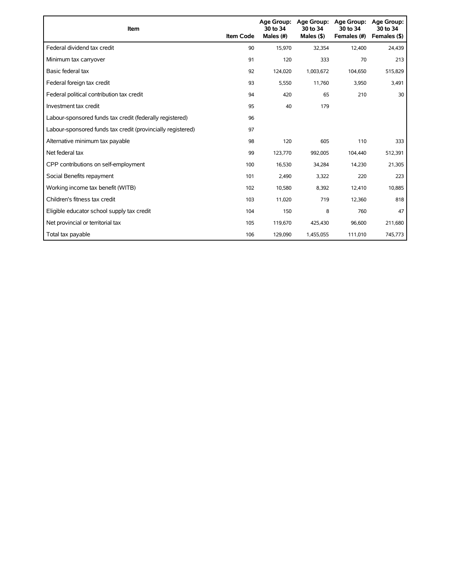| Item                                                        | <b>Item Code</b> | <b>Age Group:</b><br>30 to 34<br>Males (#) | Age Group:<br>30 to 34<br>Males $($ \$) | <b>Age Group:</b><br>30 to 34<br>Females (#) | <b>Age Group:</b><br>30 to 34<br>Females (\$) |
|-------------------------------------------------------------|------------------|--------------------------------------------|-----------------------------------------|----------------------------------------------|-----------------------------------------------|
| Federal dividend tax credit                                 | 90               | 15,970                                     | 32,354                                  | 12,400                                       | 24,439                                        |
| Minimum tax carryover                                       | 91               | 120                                        | 333                                     | 70                                           | 213                                           |
| Basic federal tax                                           | 92               | 124,020                                    | 1,003,672                               | 104,650                                      | 515,829                                       |
| Federal foreign tax credit                                  | 93               | 5,550                                      | 11,760                                  | 3,950                                        | 3,491                                         |
| Federal political contribution tax credit                   | 94               | 420                                        | 65                                      | 210                                          | 30                                            |
| Investment tax credit                                       | 95               | 40                                         | 179                                     |                                              |                                               |
| Labour-sponsored funds tax credit (federally registered)    | 96               |                                            |                                         |                                              |                                               |
| Labour-sponsored funds tax credit (provincially registered) | 97               |                                            |                                         |                                              |                                               |
| Alternative minimum tax payable                             | 98               | 120                                        | 605                                     | 110                                          | 333                                           |
| Net federal tax                                             | 99               | 123,770                                    | 992,005                                 | 104,440                                      | 512,391                                       |
| CPP contributions on self-employment                        | 100              | 16,530                                     | 34,284                                  | 14,230                                       | 21,305                                        |
| Social Benefits repayment                                   | 101              | 2,490                                      | 3,322                                   | 220                                          | 223                                           |
| Working income tax benefit (WITB)                           | 102              | 10,580                                     | 8,392                                   | 12,410                                       | 10,885                                        |
| Children's fitness tax credit                               | 103              | 11,020                                     | 719                                     | 12,360                                       | 818                                           |
| Eligible educator school supply tax credit                  | 104              | 150                                        | 8                                       | 760                                          | 47                                            |
| Net provincial or territorial tax                           | 105              | 119,670                                    | 425,430                                 | 96,600                                       | 211,680                                       |
| Total tax payable                                           | 106              | 129,090                                    | 1,455,055                               | 111,010                                      | 745,773                                       |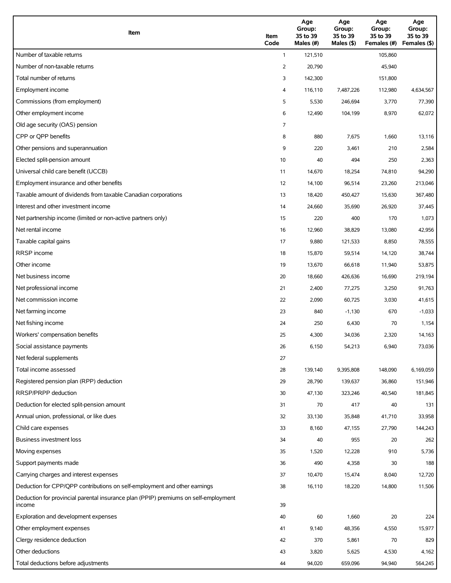| Item                                                                                          | Item<br>Code | Age<br>Group:<br>35 to 39<br>Males (#) | Age<br>Group:<br>35 to 39<br>Males (\$) | Age<br>Group:<br>35 to 39<br>Females (#) | Age<br>Group:<br>35 to 39<br>Females (\$) |
|-----------------------------------------------------------------------------------------------|--------------|----------------------------------------|-----------------------------------------|------------------------------------------|-------------------------------------------|
| Number of taxable returns                                                                     | $\mathbf{1}$ | 121,510                                |                                         | 105,860                                  |                                           |
| Number of non-taxable returns                                                                 | 2            | 20,790                                 |                                         | 45,940                                   |                                           |
| Total number of returns                                                                       | 3            | 142,300                                |                                         | 151,800                                  |                                           |
| Employment income                                                                             | 4            | 116,110                                | 7,487,226                               | 112,980                                  | 4,634,567                                 |
| Commissions (from employment)                                                                 | 5            | 5,530                                  | 246,694                                 | 3,770                                    | 77,390                                    |
| Other employment income                                                                       | 6            | 12,490                                 | 104,199                                 | 8,970                                    | 62,072                                    |
| Old age security (OAS) pension                                                                | 7            |                                        |                                         |                                          |                                           |
| CPP or QPP benefits                                                                           | 8            | 880                                    | 7,675                                   | 1,660                                    | 13,116                                    |
| Other pensions and superannuation                                                             | 9            | 220                                    | 3,461                                   | 210                                      | 2,584                                     |
| Elected split-pension amount                                                                  | 10           | 40                                     | 494                                     | 250                                      | 2,363                                     |
| Universal child care benefit (UCCB)                                                           | 11           | 14,670                                 | 18,254                                  | 74,810                                   | 94,290                                    |
| Employment insurance and other benefits                                                       | 12           | 14,100                                 | 96,514                                  | 23,260                                   | 213,046                                   |
| Taxable amount of dividends from taxable Canadian corporations                                | 13           | 18,420                                 | 450,427                                 | 15,630                                   | 367,480                                   |
| Interest and other investment income                                                          | 14           | 24,660                                 | 35,690                                  | 26,920                                   | 37,445                                    |
| Net partnership income (limited or non-active partners only)                                  | 15           | 220                                    | 400                                     | 170                                      | 1,073                                     |
| Net rental income                                                                             | 16           | 12,960                                 | 38,829                                  | 13,080                                   | 42,956                                    |
| Taxable capital gains                                                                         | 17           | 9,880                                  | 121,533                                 | 8,850                                    | 78,555                                    |
| <b>RRSP</b> income                                                                            | 18           | 15,870                                 | 59,514                                  | 14,120                                   | 38,744                                    |
| Other income                                                                                  | 19           | 13,670                                 | 66,618                                  | 11,940                                   | 53,875                                    |
| Net business income                                                                           | 20           | 18,660                                 | 426,636                                 | 16,690                                   | 219,194                                   |
| Net professional income                                                                       | 21           | 2,400                                  | 77,275                                  | 3,250                                    | 91,763                                    |
| Net commission income                                                                         | 22           | 2,090                                  | 60,725                                  | 3,030                                    | 41,615                                    |
| Net farming income                                                                            | 23           | 840                                    | $-1,130$                                | 670                                      | $-1,033$                                  |
| Net fishing income                                                                            | 24           | 250                                    | 6,430                                   | 70                                       | 1,154                                     |
| Workers' compensation benefits                                                                | 25           | 4,300                                  | 34,036                                  | 2,320                                    | 14,163                                    |
| Social assistance payments                                                                    | 26           | 6,150                                  | 54,213                                  | 6,940                                    | 73,036                                    |
| Net federal supplements                                                                       | 27           |                                        |                                         |                                          |                                           |
| Total income assessed                                                                         | 28           | 139,140                                | 9,395,808                               | 148,090                                  | 6,169,059                                 |
| Registered pension plan (RPP) deduction                                                       | 29           | 28,790                                 | 139,637                                 | 36,860                                   | 151,946                                   |
| RRSP/PRPP deduction                                                                           | 30           | 47,130                                 | 323,246                                 | 40,540                                   | 181,845                                   |
| Deduction for elected split-pension amount                                                    | 31           | 70                                     | 417                                     | 40                                       | 131                                       |
| Annual union, professional, or like dues                                                      | 32           | 33,130                                 | 35,848                                  | 41,710                                   | 33,958                                    |
| Child care expenses                                                                           | 33           | 8,160                                  | 47,155                                  | 27,790                                   | 144,243                                   |
| Business investment loss                                                                      | 34           | 40                                     | 955                                     | 20                                       | 262                                       |
| Moving expenses                                                                               | 35           | 1,520                                  | 12,228                                  | 910                                      | 5,736                                     |
| Support payments made                                                                         | 36           | 490                                    | 4,358                                   | 30                                       | 188                                       |
| Carrying charges and interest expenses                                                        | 37           | 10,470                                 | 15,474                                  | 8,040                                    | 12,720                                    |
| Deduction for CPP/QPP contributions on self-employment and other earnings                     | 38           | 16,110                                 | 18,220                                  | 14,800                                   | 11,506                                    |
| Deduction for provincial parental insurance plan (PPIP) premiums on self-employment<br>income | 39           |                                        |                                         |                                          |                                           |
| Exploration and development expenses                                                          | 40           | 60                                     | 1,660                                   | 20                                       | 224                                       |
| Other employment expenses                                                                     | 41           | 9,140                                  | 48,356                                  | 4,550                                    | 15,977                                    |
| Clergy residence deduction                                                                    | 42           | 370                                    | 5,861                                   | 70                                       | 829                                       |
| Other deductions                                                                              | 43           | 3,820                                  | 5,625                                   | 4,530                                    | 4,162                                     |
| Total deductions before adjustments                                                           | 44           | 94,020                                 | 659,096                                 | 94,940                                   | 564,245                                   |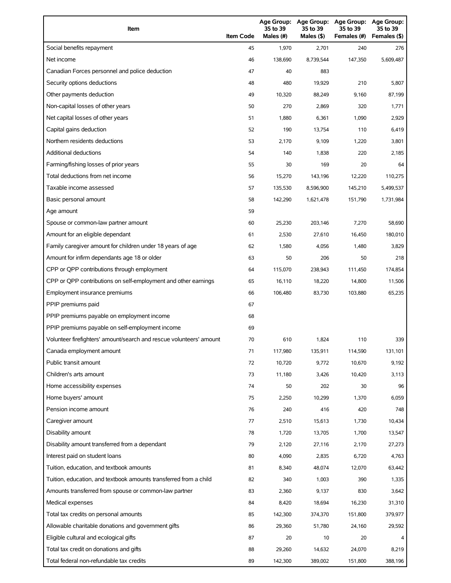| Item                                                                | <b>Item Code</b> | Age Group:<br>35 to 39<br>Males (#) | Age Group:<br>35 to 39<br>Males (\$) | <b>Age Group:</b><br>35 to 39<br>Females (#) | <b>Age Group:</b><br>35 to 39<br>Females (\$) |
|---------------------------------------------------------------------|------------------|-------------------------------------|--------------------------------------|----------------------------------------------|-----------------------------------------------|
| Social benefits repayment                                           | 45               | 1,970                               | 2,701                                | 240                                          | 276                                           |
| Net income                                                          | 46               | 138,690                             | 8,739,544                            | 147,350                                      | 5,609,487                                     |
| Canadian Forces personnel and police deduction                      | 47               | 40                                  | 883                                  |                                              |                                               |
| Security options deductions                                         | 48               | 480                                 | 19,929                               | 210                                          | 5,807                                         |
| Other payments deduction                                            | 49               | 10,320                              | 88,249                               | 9,160                                        | 87,199                                        |
| Non-capital losses of other years                                   | 50               | 270                                 | 2,869                                | 320                                          | 1,771                                         |
| Net capital losses of other years                                   | 51               | 1,880                               | 6,361                                | 1,090                                        | 2,929                                         |
| Capital gains deduction                                             | 52               | 190                                 | 13,754                               | 110                                          | 6,419                                         |
| Northern residents deductions                                       | 53               | 2,170                               | 9,109                                | 1,220                                        | 3,801                                         |
| <b>Additional deductions</b>                                        | 54               | 140                                 | 1,838                                | 220                                          | 2,185                                         |
| Farming/fishing losses of prior years                               | 55               | 30                                  | 169                                  | 20                                           | 64                                            |
| Total deductions from net income                                    | 56               | 15,270                              | 143,196                              | 12,220                                       | 110,275                                       |
| Taxable income assessed                                             | 57               | 135,530                             | 8,596,900                            | 145,210                                      | 5,499,537                                     |
| Basic personal amount                                               | 58               | 142,290                             | 1,621,478                            | 151,790                                      | 1,731,984                                     |
| Age amount                                                          | 59               |                                     |                                      |                                              |                                               |
| Spouse or common-law partner amount                                 | 60               | 25,230                              | 203,146                              | 7,270                                        | 58,690                                        |
| Amount for an eligible dependant                                    | 61               | 2,530                               | 27,610                               | 16,450                                       | 180,010                                       |
| Family caregiver amount for children under 18 years of age          | 62               | 1,580                               | 4,056                                | 1,480                                        | 3,829                                         |
| Amount for infirm dependants age 18 or older                        | 63               | 50                                  | 206                                  | 50                                           | 218                                           |
| CPP or QPP contributions through employment                         | 64               | 115,070                             | 238,943                              | 111,450                                      | 174,854                                       |
| CPP or QPP contributions on self-employment and other earnings      | 65               | 16,110                              | 18,220                               | 14,800                                       | 11,506                                        |
| Employment insurance premiums                                       | 66               | 106,480                             | 83,730                               | 103,880                                      | 65,235                                        |
| PPIP premiums paid                                                  | 67               |                                     |                                      |                                              |                                               |
| PPIP premiums payable on employment income                          | 68               |                                     |                                      |                                              |                                               |
| PPIP premiums payable on self-employment income                     | 69               |                                     |                                      |                                              |                                               |
| Volunteer firefighters' amount/search and rescue volunteers' amount | 70               | 610                                 | 1,824                                | 110                                          | 339                                           |
| Canada employment amount                                            | 71               | 117,980                             | 135,911                              | 114,590                                      | 131,101                                       |
| Public transit amount                                               | 72               | 10,720                              | 9,772                                | 10,670                                       | 9,192                                         |
| Children's arts amount                                              | 73               | 11,180                              | 3,426                                | 10,420                                       | 3,113                                         |
| Home accessibility expenses                                         | 74               | 50                                  | 202                                  | 30                                           | 96                                            |
| Home buyers' amount                                                 | 75               | 2,250                               | 10,299                               | 1,370                                        | 6,059                                         |
| Pension income amount                                               | 76               | 240                                 | 416                                  | 420                                          | 748                                           |
| Caregiver amount                                                    | 77               | 2,510                               | 15,613                               | 1,730                                        | 10,434                                        |
| Disability amount                                                   | 78               | 1,720                               | 13,705                               | 1,700                                        | 13,547                                        |
| Disability amount transferred from a dependant                      | 79               | 2,120                               | 27,116                               | 2,170                                        | 27,273                                        |
| Interest paid on student loans                                      | 80               | 4,090                               | 2,835                                | 6,720                                        | 4,763                                         |
| Tuition, education, and textbook amounts                            | 81               | 8,340                               | 48,074                               | 12,070                                       | 63,442                                        |
| Tuition, education, and textbook amounts transferred from a child   | 82               | 340                                 | 1,003                                | 390                                          | 1,335                                         |
| Amounts transferred from spouse or common-law partner               | 83               | 2,360                               | 9,137                                | 830                                          | 3,642                                         |
| Medical expenses                                                    | 84               | 8,420                               | 18,694                               | 16,230                                       | 31,310                                        |
| Total tax credits on personal amounts                               | 85               | 142,300                             | 374,370                              | 151,800                                      | 379,977                                       |
| Allowable charitable donations and government gifts                 | 86               | 29,360                              | 51,780                               | 24,160                                       | 29,592                                        |
| Eligible cultural and ecological gifts                              | 87               | 20                                  | 10                                   | 20                                           |                                               |
| Total tax credit on donations and gifts                             | 88               | 29,260                              | 14,632                               | 24,070                                       | 8,219                                         |
| Total federal non-refundable tax credits                            | 89               | 142,300                             | 389,002                              | 151,800                                      | 388,196                                       |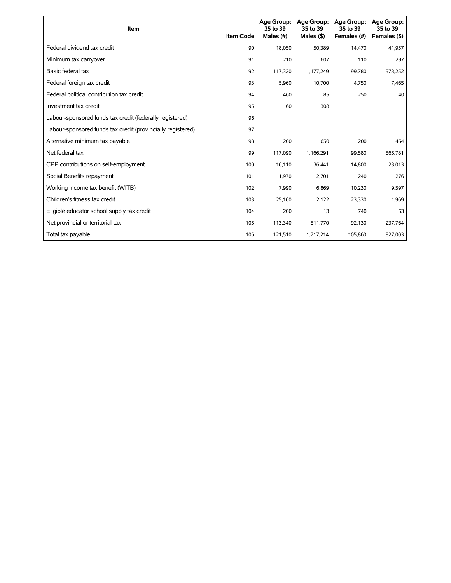| Item                                                        | <b>Item Code</b> | <b>Age Group:</b><br>35 to 39<br>Males (#) | <b>Age Group:</b><br>35 to 39<br>Males $(§)$ | <b>Age Group:</b><br>35 to 39<br>Females (#) | <b>Age Group:</b><br>35 to 39<br>Females (\$) |
|-------------------------------------------------------------|------------------|--------------------------------------------|----------------------------------------------|----------------------------------------------|-----------------------------------------------|
| Federal dividend tax credit                                 | 90               | 18,050                                     | 50,389                                       | 14,470                                       | 41,957                                        |
| Minimum tax carryover                                       | 91               | 210                                        | 607                                          | 110                                          | 297                                           |
| Basic federal tax                                           | 92               | 117,320                                    | 1,177,249                                    | 99,780                                       | 573,252                                       |
| Federal foreign tax credit                                  | 93               | 5,960                                      | 10,700                                       | 4,750                                        | 7,465                                         |
| Federal political contribution tax credit                   | 94               | 460                                        | 85                                           | 250                                          | 40                                            |
| Investment tax credit                                       | 95               | 60                                         | 308                                          |                                              |                                               |
| Labour-sponsored funds tax credit (federally registered)    | 96               |                                            |                                              |                                              |                                               |
| Labour-sponsored funds tax credit (provincially registered) | 97               |                                            |                                              |                                              |                                               |
| Alternative minimum tax payable                             | 98               | 200                                        | 650                                          | 200                                          | 454                                           |
| Net federal tax                                             | 99               | 117,090                                    | 1,166,291                                    | 99,580                                       | 565,781                                       |
| CPP contributions on self-employment                        | 100              | 16,110                                     | 36,441                                       | 14,800                                       | 23,013                                        |
| Social Benefits repayment                                   | 101              | 1,970                                      | 2,701                                        | 240                                          | 276                                           |
| Working income tax benefit (WITB)                           | 102              | 7,990                                      | 6,869                                        | 10,230                                       | 9,597                                         |
| Children's fitness tax credit                               | 103              | 25,160                                     | 2,122                                        | 23,330                                       | 1,969                                         |
| Eligible educator school supply tax credit                  | 104              | 200                                        | 13                                           | 740                                          | 53                                            |
| Net provincial or territorial tax                           | 105              | 113,340                                    | 511,770                                      | 92,130                                       | 237,764                                       |
| Total tax payable                                           | 106              | 121,510                                    | 1,717,214                                    | 105,860                                      | 827,003                                       |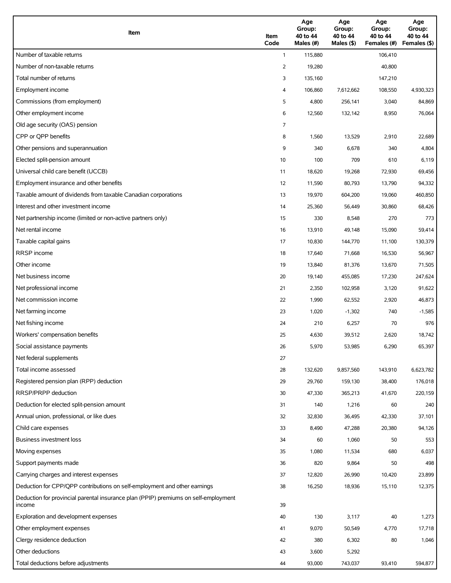| Item                                                                                          | Item<br>Code | Age<br>Group:<br>40 to 44<br>Males (#) | Age<br>Group:<br>40 to 44<br>Males (\$) | Age<br>Group:<br>40 to 44<br>Females (#) | Age<br>Group:<br>40 to 44<br>Females (\$) |
|-----------------------------------------------------------------------------------------------|--------------|----------------------------------------|-----------------------------------------|------------------------------------------|-------------------------------------------|
| Number of taxable returns                                                                     | $\mathbf{1}$ | 115,880                                |                                         | 106,410                                  |                                           |
| Number of non-taxable returns                                                                 | 2            | 19,280                                 |                                         | 40,800                                   |                                           |
| Total number of returns                                                                       | 3            | 135,160                                |                                         | 147,210                                  |                                           |
| Employment income                                                                             | 4            | 106,860                                | 7,612,662                               | 108,550                                  | 4,930,323                                 |
| Commissions (from employment)                                                                 | 5            | 4,800                                  | 256,141                                 | 3,040                                    | 84,869                                    |
| Other employment income                                                                       | 6            | 12,560                                 | 132,142                                 | 8,950                                    | 76,064                                    |
| Old age security (OAS) pension                                                                | 7            |                                        |                                         |                                          |                                           |
| CPP or QPP benefits                                                                           | 8            | 1,560                                  | 13,529                                  | 2,910                                    | 22,689                                    |
| Other pensions and superannuation                                                             | 9            | 340                                    | 6,678                                   | 340                                      | 4,804                                     |
| Elected split-pension amount                                                                  | 10           | 100                                    | 709                                     | 610                                      | 6,119                                     |
| Universal child care benefit (UCCB)                                                           | 11           | 18,620                                 | 19,268                                  | 72,930                                   | 69,456                                    |
| Employment insurance and other benefits                                                       | 12           | 11,590                                 | 80,793                                  | 13,790                                   | 94,332                                    |
| Taxable amount of dividends from taxable Canadian corporations                                | 13           | 19,970                                 | 604,200                                 | 19,060                                   | 460,850                                   |
| Interest and other investment income                                                          | 14           | 25,360                                 | 56,449                                  | 30,860                                   | 68,426                                    |
| Net partnership income (limited or non-active partners only)                                  | 15           | 330                                    | 8,548                                   | 270                                      | 773                                       |
| Net rental income                                                                             | 16           | 13,910                                 | 49,148                                  | 15,090                                   | 59,414                                    |
| Taxable capital gains                                                                         | 17           | 10,830                                 | 144,770                                 | 11,100                                   | 130,379                                   |
| <b>RRSP</b> income                                                                            | 18           | 17,640                                 | 71,668                                  | 16,530                                   | 56,967                                    |
| Other income                                                                                  | 19           | 13,840                                 | 81,376                                  | 13,670                                   | 71,505                                    |
| Net business income                                                                           | 20           | 19,140                                 | 455,085                                 | 17,230                                   | 247,624                                   |
| Net professional income                                                                       | 21           | 2,350                                  | 102,958                                 | 3,120                                    | 91,622                                    |
| Net commission income                                                                         | 22           | 1,990                                  | 62,552                                  | 2,920                                    | 46,873                                    |
| Net farming income                                                                            | 23           | 1,020                                  | $-1,302$                                | 740                                      | $-1,585$                                  |
| Net fishing income                                                                            | 24           | 210                                    | 6,257                                   | 70                                       | 976                                       |
| Workers' compensation benefits                                                                | 25           | 4,630                                  | 39,512                                  | 2,620                                    | 18,742                                    |
| Social assistance payments                                                                    | 26           | 5,970                                  | 53,985                                  | 6,290                                    | 65,397                                    |
| Net federal supplements                                                                       | 27           |                                        |                                         |                                          |                                           |
| Total income assessed                                                                         | 28           | 132,620                                | 9,857,560                               | 143,910                                  | 6,623,782                                 |
| Registered pension plan (RPP) deduction                                                       | 29           | 29,760                                 | 159,130                                 | 38,400                                   | 176,018                                   |
| RRSP/PRPP deduction                                                                           | 30           | 47,330                                 | 365,213                                 | 41,670                                   | 220,159                                   |
| Deduction for elected split-pension amount                                                    | 31           | 140                                    | 1,216                                   | 60                                       | 240                                       |
| Annual union, professional, or like dues                                                      | 32           | 32,830                                 | 36,495                                  | 42,330                                   | 37,101                                    |
| Child care expenses                                                                           | 33           | 8,490                                  | 47,288                                  | 20,380                                   | 94,126                                    |
| Business investment loss                                                                      | 34           | 60                                     | 1,060                                   | 50                                       | 553                                       |
| Moving expenses                                                                               | 35           | 1,080                                  | 11,534                                  | 680                                      | 6,037                                     |
| Support payments made                                                                         | 36           | 820                                    | 9,864                                   | 50                                       | 498                                       |
| Carrying charges and interest expenses                                                        | 37           | 12,820                                 | 26,990                                  | 10,420                                   | 23,899                                    |
| Deduction for CPP/QPP contributions on self-employment and other earnings                     | 38           | 16,250                                 | 18,936                                  | 15,110                                   | 12,375                                    |
| Deduction for provincial parental insurance plan (PPIP) premiums on self-employment<br>income | 39           |                                        |                                         |                                          |                                           |
| Exploration and development expenses                                                          | 40           | 130                                    | 3,117                                   | 40                                       | 1,273                                     |
| Other employment expenses                                                                     | 41           | 9,070                                  | 50,549                                  | 4,770                                    | 17,718                                    |
| Clergy residence deduction                                                                    | 42           | 380                                    | 6,302                                   | 80                                       | 1,046                                     |
| Other deductions                                                                              | 43           | 3,600                                  | 5,292                                   |                                          |                                           |
| Total deductions before adjustments                                                           | 44           | 93,000                                 | 743,037                                 | 93,410                                   | 594,877                                   |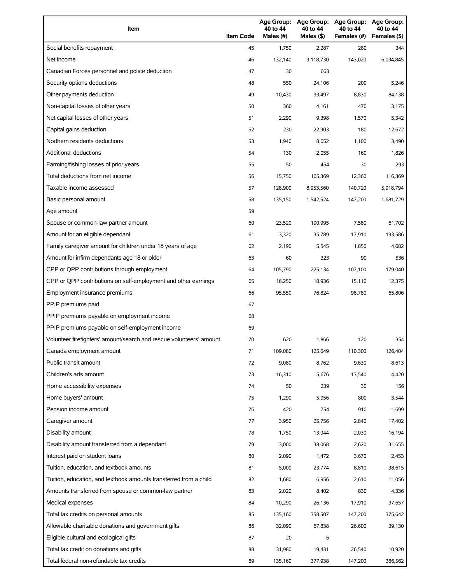| Item                                                                | <b>Item Code</b> | 40 to 44<br>Males (#) | 40 to 44<br>Males (\$) | Age Group: Age Group: Age Group:<br>40 to 44<br>Females (#) | Age Group:<br>40 to 44<br>Females (\$) |
|---------------------------------------------------------------------|------------------|-----------------------|------------------------|-------------------------------------------------------------|----------------------------------------|
| Social benefits repayment                                           | 45               | 1,750                 | 2,287                  | 280                                                         | 344                                    |
| Net income                                                          | 46               | 132,140               | 9,118,730              | 143,020                                                     | 6,034,845                              |
| Canadian Forces personnel and police deduction                      | 47               | 30                    | 663                    |                                                             |                                        |
| Security options deductions                                         | 48               | 550                   | 24,106                 | 200                                                         | 5,246                                  |
| Other payments deduction                                            | 49               | 10,430                | 93,497                 | 8,830                                                       | 84,138                                 |
| Non-capital losses of other years                                   | 50               | 360                   | 4,161                  | 470                                                         | 3,175                                  |
| Net capital losses of other years                                   | 51               | 2,290                 | 9,398                  | 1,570                                                       | 5,342                                  |
| Capital gains deduction                                             | 52               | 230                   | 22,903                 | 180                                                         | 12,672                                 |
| Northern residents deductions                                       | 53               | 1,940                 | 8,052                  | 1,100                                                       | 3,490                                  |
| <b>Additional deductions</b>                                        | 54               | 130                   | 2,055                  | 160                                                         | 1,826                                  |
| Farming/fishing losses of prior years                               | 55               | 50                    | 454                    | 30                                                          | 293                                    |
| Total deductions from net income                                    | 56               | 15,750                | 165,369                | 12,360                                                      | 116,369                                |
| Taxable income assessed                                             | 57               | 128,900               | 8,953,560              | 140,720                                                     | 5,918,794                              |
| Basic personal amount                                               | 58               | 135,150               | 1,542,524              | 147,200                                                     | 1,681,729                              |
| Age amount                                                          | 59               |                       |                        |                                                             |                                        |
| Spouse or common-law partner amount                                 | 60               | 23,520                | 190,995                | 7,580                                                       | 61,702                                 |
| Amount for an eligible dependant                                    | 61               | 3,320                 | 35,789                 | 17,910                                                      | 193,586                                |
| Family caregiver amount for children under 18 years of age          | 62               | 2,190                 | 5,545                  | 1,850                                                       | 4,682                                  |
| Amount for infirm dependants age 18 or older                        | 63               | 60                    | 323                    | 90                                                          | 536                                    |
| CPP or QPP contributions through employment                         | 64               | 105,790               | 225,134                | 107,100                                                     | 179,040                                |
| CPP or QPP contributions on self-employment and other earnings      | 65               | 16,250                | 18,936                 | 15,110                                                      | 12,375                                 |
| Employment insurance premiums                                       | 66               | 95,550                | 76,824                 | 98,780                                                      | 65,806                                 |
| PPIP premiums paid                                                  | 67               |                       |                        |                                                             |                                        |
| PPIP premiums payable on employment income                          | 68               |                       |                        |                                                             |                                        |
| PPIP premiums payable on self-employment income                     | 69               |                       |                        |                                                             |                                        |
| Volunteer firefighters' amount/search and rescue volunteers' amount | 70               | 620                   | 1,866                  | 120                                                         | 354                                    |
| Canada employment amount                                            | 71               | 109,080               | 125,649                | 110,300                                                     | 126,404                                |
| Public transit amount                                               | 72               | 9,080                 | 8,762                  | 9,630                                                       | 8,613                                  |
| Children's arts amount                                              | 73               | 16,310                | 5,676                  | 13,540                                                      | 4,420                                  |
| Home accessibility expenses                                         | 74               | 50                    | 239                    | 30                                                          | 156                                    |
| Home buyers' amount                                                 | 75               | 1,290                 | 5,956                  | 800                                                         | 3,544                                  |
| Pension income amount                                               | 76               | 420                   | 754                    | 910                                                         | 1,699                                  |
| Caregiver amount                                                    | 77               | 3,950                 | 25,756                 | 2,840                                                       | 17,402                                 |
| Disability amount                                                   | 78               | 1,750                 | 13,944                 | 2,030                                                       | 16,194                                 |
| Disability amount transferred from a dependant                      | 79               | 3,000                 | 38,068                 | 2,620                                                       | 31,655                                 |
| Interest paid on student loans                                      | 80               | 2,090                 | 1,472                  | 3,670                                                       | 2,453                                  |
| Tuition, education, and textbook amounts                            | 81               | 5,000                 | 23,774                 | 8,810                                                       | 38,615                                 |
| Tuition, education, and textbook amounts transferred from a child   | 82               | 1,680                 | 6,956                  | 2,610                                                       | 11,056                                 |
| Amounts transferred from spouse or common-law partner               | 83               | 2,020                 | 8,402                  | 830                                                         | 4,336                                  |
| Medical expenses                                                    | 84               | 10,290                | 26,136                 | 17,910                                                      | 37,657                                 |
| Total tax credits on personal amounts                               | 85               | 135,160               | 358,507                | 147,200                                                     | 375,642                                |
| Allowable charitable donations and government gifts                 | 86               | 32,090                | 67,838                 | 26,600                                                      | 39,130                                 |
| Eligible cultural and ecological gifts                              | 87               | 20                    | 6                      |                                                             |                                        |
| Total tax credit on donations and gifts                             | 88               | 31,980                | 19,431                 | 26,540                                                      | 10,920                                 |
| Total federal non-refundable tax credits                            | 89               | 135,160               | 377,938                | 147,200                                                     | 386,562                                |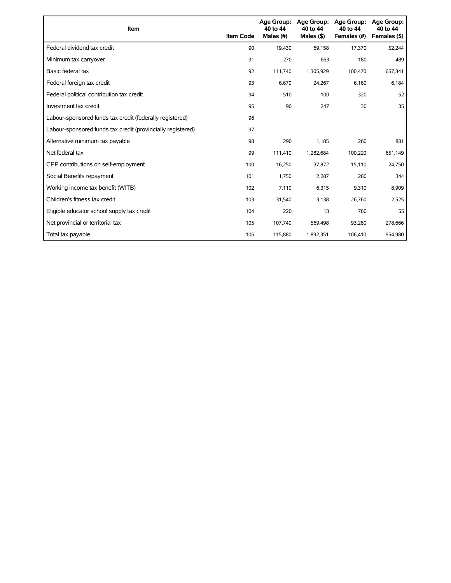| Item                                                        | <b>Item Code</b> | <b>Age Group:</b><br>40 to 44<br>Males (#) | Age Group:<br>40 to 44<br>Males $(§)$ | <b>Age Group:</b><br>40 to 44<br>Females (#) | <b>Age Group:</b><br>40 to 44<br>Females (\$) |
|-------------------------------------------------------------|------------------|--------------------------------------------|---------------------------------------|----------------------------------------------|-----------------------------------------------|
| Federal dividend tax credit                                 | 90               | 19,430                                     | 69,158                                | 17,370                                       | 52,244                                        |
| Minimum tax carryover                                       | 91               | 270                                        | 663                                   | 180                                          | 489                                           |
| Basic federal tax                                           | 92               | 111,740                                    | 1,305,929                             | 100,470                                      | 657,341                                       |
| Federal foreign tax credit                                  | 93               | 6,670                                      | 24,267                                | 6,160                                        | 6,184                                         |
| Federal political contribution tax credit                   | 94               | 510                                        | 100                                   | 320                                          | 52                                            |
| Investment tax credit                                       | 95               | 90                                         | 247                                   | 30                                           | 35                                            |
| Labour-sponsored funds tax credit (federally registered)    | 96               |                                            |                                       |                                              |                                               |
| Labour-sponsored funds tax credit (provincially registered) | 97               |                                            |                                       |                                              |                                               |
| Alternative minimum tax payable                             | 98               | 290                                        | 1,185                                 | 260                                          | 881                                           |
| Net federal tax                                             | 99               | 111,410                                    | 1,282,684                             | 100,220                                      | 651,149                                       |
| CPP contributions on self-employment                        | 100              | 16,250                                     | 37,872                                | 15,110                                       | 24,750                                        |
| Social Benefits repayment                                   | 101              | 1,750                                      | 2,287                                 | 280                                          | 344                                           |
| Working income tax benefit (WITB)                           | 102              | 7,110                                      | 6,315                                 | 9,310                                        | 8,909                                         |
| Children's fitness tax credit                               | 103              | 31,540                                     | 3,138                                 | 26,760                                       | 2,525                                         |
| Eligible educator school supply tax credit                  | 104              | 220                                        | 13                                    | 780                                          | 55                                            |
| Net provincial or territorial tax                           | 105              | 107,740                                    | 569,498                               | 93,280                                       | 278,666                                       |
| Total tax payable                                           | 106              | 115,880                                    | 1,892,351                             | 106,410                                      | 954,980                                       |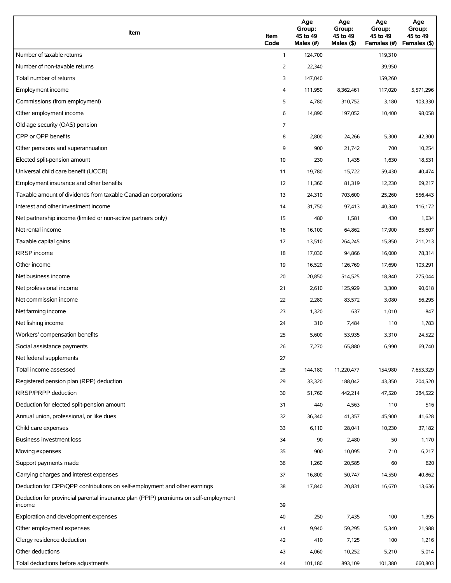| Item                                                                                          | Item<br>Code | Age<br>Group:<br>45 to 49<br>Males (#) | Age<br>Group:<br>45 to 49<br>Males (\$) | Age<br>Group:<br>45 to 49<br>Females (#) | Age<br>Group:<br>45 to 49<br>Females (\$) |
|-----------------------------------------------------------------------------------------------|--------------|----------------------------------------|-----------------------------------------|------------------------------------------|-------------------------------------------|
| Number of taxable returns                                                                     | $\mathbf{1}$ | 124,700                                |                                         | 119,310                                  |                                           |
| Number of non-taxable returns                                                                 | 2            | 22,340                                 |                                         | 39,950                                   |                                           |
| Total number of returns                                                                       | 3            | 147,040                                |                                         | 159,260                                  |                                           |
| Employment income                                                                             | 4            | 111,950                                | 8,362,461                               | 117,020                                  | 5,571,296                                 |
| Commissions (from employment)                                                                 | 5            | 4,780                                  | 310,752                                 | 3,180                                    | 103,330                                   |
| Other employment income                                                                       | 6            | 14,890                                 | 197,052                                 | 10,400                                   | 98,058                                    |
| Old age security (OAS) pension                                                                | 7            |                                        |                                         |                                          |                                           |
| CPP or OPP benefits                                                                           | 8            | 2,800                                  | 24,266                                  | 5,300                                    | 42,300                                    |
| Other pensions and superannuation                                                             | 9            | 900                                    | 21,742                                  | 700                                      | 10,254                                    |
| Elected split-pension amount                                                                  | 10           | 230                                    | 1,435                                   | 1,630                                    | 18,531                                    |
| Universal child care benefit (UCCB)                                                           | 11           | 19,780                                 | 15,722                                  | 59,430                                   | 40,474                                    |
| Employment insurance and other benefits                                                       | 12           | 11,360                                 | 81,319                                  | 12,230                                   | 69,217                                    |
| Taxable amount of dividends from taxable Canadian corporations                                | 13           | 24,310                                 | 703,600                                 | 25,260                                   | 556,443                                   |
| Interest and other investment income                                                          | 14           | 31,750                                 | 97,413                                  | 40,340                                   | 116,172                                   |
| Net partnership income (limited or non-active partners only)                                  | 15           | 480                                    | 1,581                                   | 430                                      | 1,634                                     |
| Net rental income                                                                             | 16           | 16,100                                 | 64,862                                  | 17,900                                   | 85,607                                    |
| Taxable capital gains                                                                         | 17           | 13,510                                 | 264,245                                 | 15,850                                   | 211,213                                   |
| <b>RRSP</b> income                                                                            | 18           | 17,030                                 | 94,866                                  | 16,000                                   | 78,314                                    |
| Other income                                                                                  | 19           | 16,520                                 | 126,769                                 | 17,690                                   | 103,291                                   |
| Net business income                                                                           | 20           | 20,850                                 | 514,525                                 | 18,840                                   | 275,044                                   |
| Net professional income                                                                       | 21           | 2,610                                  | 125,929                                 | 3,300                                    | 90,618                                    |
| Net commission income                                                                         | 22           | 2,280                                  | 83,572                                  | 3,080                                    | 56,295                                    |
| Net farming income                                                                            | 23           | 1,320                                  | 637                                     | 1,010                                    | $-847$                                    |
| Net fishing income                                                                            | 24           | 310                                    | 7,484                                   | 110                                      | 1,783                                     |
| Workers' compensation benefits                                                                | 25           | 5,600                                  | 53,935                                  | 3,310                                    | 24,522                                    |
| Social assistance payments                                                                    | 26           | 7,270                                  | 65,880                                  | 6,990                                    | 69,740                                    |
| Net federal supplements                                                                       | 27           |                                        |                                         |                                          |                                           |
| Total income assessed                                                                         | 28           | 144,180                                | 11,220,477                              | 154,980                                  | 7,653,329                                 |
| Registered pension plan (RPP) deduction                                                       | 29           | 33,320                                 | 188,042                                 | 43,350                                   | 204,520                                   |
| RRSP/PRPP deduction                                                                           | 30           | 51,760                                 | 442,214                                 | 47,520                                   | 284,522                                   |
| Deduction for elected split-pension amount                                                    | 31           | 440                                    | 4,563                                   | 110                                      | 516                                       |
| Annual union, professional, or like dues                                                      | 32           | 36,340                                 | 41,357                                  | 45,900                                   | 41,628                                    |
| Child care expenses                                                                           | 33           | 6,110                                  | 28,041                                  | 10,230                                   | 37,182                                    |
| Business investment loss                                                                      | 34           | 90                                     | 2,480                                   | 50                                       | 1,170                                     |
| Moving expenses                                                                               | 35           | 900                                    | 10,095                                  | 710                                      | 6,217                                     |
| Support payments made                                                                         | 36           | 1,260                                  | 20,585                                  | 60                                       | 620                                       |
| Carrying charges and interest expenses                                                        | 37           | 16,800                                 | 50,747                                  | 14,550                                   | 40,862                                    |
| Deduction for CPP/QPP contributions on self-employment and other earnings                     | 38           | 17,840                                 | 20,831                                  | 16,670                                   | 13,636                                    |
| Deduction for provincial parental insurance plan (PPIP) premiums on self-employment<br>income | 39           |                                        |                                         |                                          |                                           |
| Exploration and development expenses                                                          | 40           | 250                                    | 7,435                                   | 100                                      | 1,395                                     |
| Other employment expenses                                                                     | 41           | 9,940                                  | 59,295                                  | 5,340                                    | 21,988                                    |
| Clergy residence deduction                                                                    | 42           | 410                                    | 7,125                                   | 100                                      | 1,216                                     |
| Other deductions                                                                              | 43           | 4,060                                  | 10,252                                  | 5,210                                    | 5,014                                     |
| Total deductions before adjustments                                                           | 44           | 101,180                                | 893,109                                 | 101,380                                  | 660,803                                   |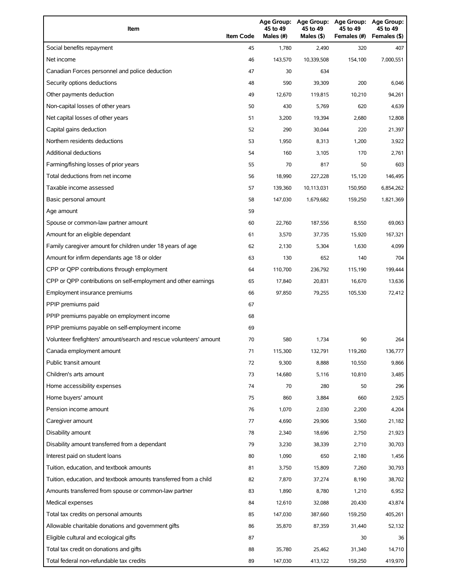| Item                                                                | <b>Item Code</b> | 45 to 49<br>Males (#) | 45 to 49<br>Males (\$) | Age Group: Age Group: Age Group:<br>45 to 49<br>Females (#) | Age Group:<br>45 to 49<br>Females (\$) |
|---------------------------------------------------------------------|------------------|-----------------------|------------------------|-------------------------------------------------------------|----------------------------------------|
| Social benefits repayment                                           | 45               | 1,780                 | 2,490                  | 320                                                         | 407                                    |
| Net income                                                          | 46               | 143,570               | 10,339,508             | 154,100                                                     | 7,000,551                              |
| Canadian Forces personnel and police deduction                      | 47               | 30                    | 634                    |                                                             |                                        |
| Security options deductions                                         | 48               | 590                   | 39,309                 | 200                                                         | 6,046                                  |
| Other payments deduction                                            | 49               | 12,670                | 119,815                | 10,210                                                      | 94,261                                 |
| Non-capital losses of other years                                   | 50               | 430                   | 5,769                  | 620                                                         | 4,639                                  |
| Net capital losses of other years                                   | 51               | 3,200                 | 19,394                 | 2,680                                                       | 12,808                                 |
| Capital gains deduction                                             | 52               | 290                   | 30,044                 | 220                                                         | 21,397                                 |
| Northern residents deductions                                       | 53               | 1,950                 | 8,313                  | 1,200                                                       | 3,922                                  |
| <b>Additional deductions</b>                                        | 54               | 160                   | 3,105                  | 170                                                         | 2,761                                  |
| Farming/fishing losses of prior years                               | 55               | 70                    | 817                    | 50                                                          | 603                                    |
| Total deductions from net income                                    | 56               | 18,990                | 227,228                | 15,120                                                      | 146,495                                |
| Taxable income assessed                                             | 57               | 139,360               | 10,113,031             | 150,950                                                     | 6,854,262                              |
| Basic personal amount                                               | 58               | 147,030               | 1,679,682              | 159,250                                                     | 1,821,369                              |
| Age amount                                                          | 59               |                       |                        |                                                             |                                        |
| Spouse or common-law partner amount                                 | 60               | 22,760                | 187,556                | 8,550                                                       | 69.063                                 |
| Amount for an eligible dependant                                    | 61               | 3,570                 | 37,735                 | 15,920                                                      | 167,321                                |
| Family caregiver amount for children under 18 years of age          | 62               | 2,130                 | 5,304                  | 1,630                                                       | 4,099                                  |
| Amount for infirm dependants age 18 or older                        | 63               | 130                   | 652                    | 140                                                         | 704                                    |
| CPP or QPP contributions through employment                         | 64               | 110,700               | 236,792                | 115,190                                                     | 199,444                                |
| CPP or QPP contributions on self-employment and other earnings      | 65               | 17,840                | 20,831                 | 16,670                                                      | 13,636                                 |
| Employment insurance premiums                                       | 66               | 97,850                | 79,255                 | 105,530                                                     | 72,412                                 |
| PPIP premiums paid                                                  | 67               |                       |                        |                                                             |                                        |
| PPIP premiums payable on employment income                          | 68               |                       |                        |                                                             |                                        |
| PPIP premiums payable on self-employment income                     | 69               |                       |                        |                                                             |                                        |
| Volunteer firefighters' amount/search and rescue volunteers' amount | 70               | 580                   | 1,734                  | 90                                                          | 264                                    |
| Canada employment amount                                            | 71               | 115,300               | 132,791                | 119,260                                                     | 136,777                                |
| Public transit amount                                               | 72               | 9,300                 | 8,888                  | 10,550                                                      | 9,866                                  |
| Children's arts amount                                              | 73               | 14,680                | 5,116                  | 10,810                                                      | 3,485                                  |
| Home accessibility expenses                                         | 74               | 70                    | 280                    | 50                                                          | 296                                    |
| Home buyers' amount                                                 | 75               | 860                   | 3,884                  | 660                                                         | 2,925                                  |
| Pension income amount                                               | 76               | 1,070                 | 2,030                  | 2,200                                                       | 4,204                                  |
| Caregiver amount                                                    | 77               | 4,690                 | 29,906                 | 3,560                                                       | 21,182                                 |
| Disability amount                                                   | 78               | 2,340                 | 18,696                 | 2,750                                                       | 21,923                                 |
| Disability amount transferred from a dependant                      | 79               | 3,230                 | 38,339                 | 2,710                                                       | 30,703                                 |
| Interest paid on student loans                                      | 80               | 1,090                 | 650                    | 2,180                                                       | 1,456                                  |
| Tuition, education, and textbook amounts                            | 81               | 3,750                 | 15,809                 | 7,260                                                       | 30,793                                 |
| Tuition, education, and textbook amounts transferred from a child   | 82               | 7,870                 | 37,274                 | 8,190                                                       | 38,702                                 |
| Amounts transferred from spouse or common-law partner               | 83               | 1,890                 | 8,780                  | 1,210                                                       | 6,952                                  |
| Medical expenses                                                    | 84               | 12,610                | 32,088                 | 20,430                                                      | 43,874                                 |
| Total tax credits on personal amounts                               | 85               | 147,030               | 387,660                | 159,250                                                     | 405,261                                |
| Allowable charitable donations and government gifts                 | 86               | 35,870                | 87,359                 | 31,440                                                      | 52,132                                 |
| Eligible cultural and ecological gifts                              | 87               |                       |                        | 30                                                          | 36                                     |
| Total tax credit on donations and gifts                             | 88               | 35,780                | 25,462                 | 31,340                                                      | 14,710                                 |
| Total federal non-refundable tax credits                            | 89               | 147,030               | 413,122                | 159,250                                                     | 419,970                                |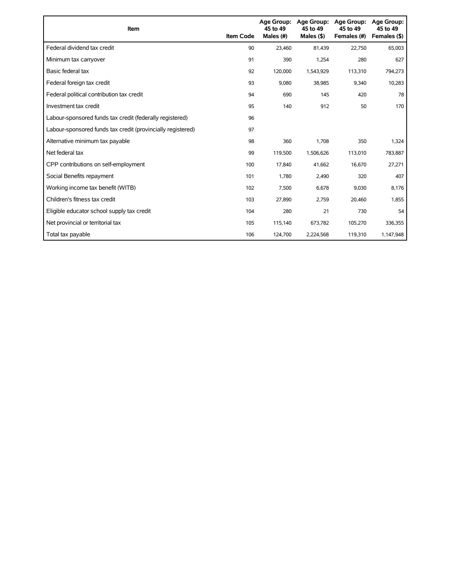| Item                                                        | <b>Item Code</b> | <b>Age Group:</b><br>45 to 49<br>Males (#) | Age Group:<br>45 to 49<br>Males $($ \$) | <b>Age Group:</b><br>45 to 49<br>Females (#) | <b>Age Group:</b><br>45 to 49<br>Females (\$) |
|-------------------------------------------------------------|------------------|--------------------------------------------|-----------------------------------------|----------------------------------------------|-----------------------------------------------|
| Federal dividend tax credit                                 | 90               | 23.460                                     | 81,439                                  | 22,750                                       | 65,003                                        |
| Minimum tax carryover                                       | 91               | 390                                        | 1,254                                   | 280                                          | 627                                           |
| Basic federal tax                                           | 92               | 120,000                                    | 1,543,929                               | 113,310                                      | 794,273                                       |
| Federal foreign tax credit                                  | 93               | 9,080                                      | 38,985                                  | 9,340                                        | 10,283                                        |
| Federal political contribution tax credit                   | 94               | 690                                        | 145                                     | 420                                          | 78                                            |
| Investment tax credit                                       | 95               | 140                                        | 912                                     | 50                                           | 170                                           |
| Labour-sponsored funds tax credit (federally registered)    | 96               |                                            |                                         |                                              |                                               |
| Labour-sponsored funds tax credit (provincially registered) | 97               |                                            |                                         |                                              |                                               |
| Alternative minimum tax payable                             | 98               | 360                                        | 1,708                                   | 350                                          | 1,324                                         |
| Net federal tax                                             | 99               | 119,500                                    | 1,506,626                               | 113,010                                      | 783,887                                       |
| CPP contributions on self-employment                        | 100              | 17.840                                     | 41,662                                  | 16,670                                       | 27,271                                        |
| Social Benefits repayment                                   | 101              | 1,780                                      | 2,490                                   | 320                                          | 407                                           |
| Working income tax benefit (WITB)                           | 102              | 7,500                                      | 6,678                                   | 9,030                                        | 8,176                                         |
| Children's fitness tax credit                               | 103              | 27,890                                     | 2,759                                   | 20,460                                       | 1,855                                         |
| Eligible educator school supply tax credit                  | 104              | 280                                        | 21                                      | 730                                          | 54                                            |
| Net provincial or territorial tax                           | 105              | 115,140                                    | 673,782                                 | 105,270                                      | 336,355                                       |
| Total tax payable                                           | 106              | 124,700                                    | 2,224,568                               | 119,310                                      | 1,147,948                                     |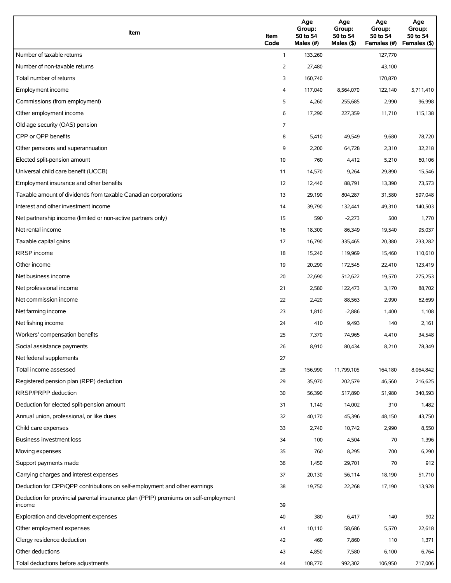| Item                                                                                          | Item<br>Code   | Age<br>Group:<br>50 to 54<br>Males (#) | Age<br>Group:<br>50 to 54<br>Males $(\$)$ | Age<br>Group:<br>50 to 54<br>Females (#) | Age<br>Group:<br>50 to 54<br>Females (\$) |
|-----------------------------------------------------------------------------------------------|----------------|----------------------------------------|-------------------------------------------|------------------------------------------|-------------------------------------------|
| Number of taxable returns                                                                     | $\mathbf{1}$   | 133,260                                |                                           | 127,770                                  |                                           |
| Number of non-taxable returns                                                                 | 2              | 27,480                                 |                                           | 43,100                                   |                                           |
| Total number of returns                                                                       | 3              | 160,740                                |                                           | 170,870                                  |                                           |
| Employment income                                                                             | 4              | 117,040                                | 8,564,070                                 | 122,140                                  | 5,711,410                                 |
| Commissions (from employment)                                                                 | 5              | 4,260                                  | 255,685                                   | 2,990                                    | 96,998                                    |
| Other employment income                                                                       | 6              | 17,290                                 | 227,359                                   | 11,710                                   | 115,138                                   |
| Old age security (OAS) pension                                                                | $\overline{7}$ |                                        |                                           |                                          |                                           |
| CPP or OPP benefits                                                                           | 8              | 5,410                                  | 49,549                                    | 9,680                                    | 78,720                                    |
| Other pensions and superannuation                                                             | 9              | 2,200                                  | 64,728                                    | 2,310                                    | 32,218                                    |
| Elected split-pension amount                                                                  | 10             | 760                                    | 4,412                                     | 5,210                                    | 60,106                                    |
| Universal child care benefit (UCCB)                                                           | 11             | 14,570                                 | 9,264                                     | 29,890                                   | 15,546                                    |
| Employment insurance and other benefits                                                       | 12             | 12,440                                 | 88,791                                    | 13,390                                   | 73,573                                    |
| Taxable amount of dividends from taxable Canadian corporations                                | 13             | 29,190                                 | 804,287                                   | 31,580                                   | 597,048                                   |
| Interest and other investment income                                                          | 14             | 39,790                                 | 132,441                                   | 49,310                                   | 140,503                                   |
| Net partnership income (limited or non-active partners only)                                  | 15             | 590                                    | $-2,273$                                  | 500                                      | 1,770                                     |
| Net rental income                                                                             | 16             | 18,300                                 | 86,349                                    | 19,540                                   | 95,037                                    |
| Taxable capital gains                                                                         | 17             | 16,790                                 | 335,465                                   | 20,380                                   | 233,282                                   |
| <b>RRSP</b> income                                                                            | 18             | 15,240                                 | 119,969                                   | 15,460                                   | 110,610                                   |
| Other income                                                                                  | 19             | 20,290                                 | 172,545                                   | 22,410                                   | 123,419                                   |
| Net business income                                                                           | 20             | 22,690                                 | 512,622                                   | 19,570                                   | 275,253                                   |
| Net professional income                                                                       | 21             | 2,580                                  | 122,473                                   | 3,170                                    | 88,702                                    |
| Net commission income                                                                         | 22             | 2,420                                  | 88,563                                    | 2,990                                    | 62,699                                    |
| Net farming income                                                                            | 23             | 1,810                                  | $-2,886$                                  | 1,400                                    | 1,108                                     |
| Net fishing income                                                                            | 24             | 410                                    | 9,493                                     | 140                                      | 2,161                                     |
| Workers' compensation benefits                                                                | 25             | 7,370                                  | 74,965                                    | 4,410                                    | 34,548                                    |
| Social assistance payments                                                                    | 26             | 8,910                                  | 80,434                                    | 8,210                                    | 78,349                                    |
| Net federal supplements                                                                       | 27             |                                        |                                           |                                          |                                           |
| Total income assessed                                                                         | 28             | 156,990                                | 11,799,105                                | 164,180                                  | 8,064,842                                 |
| Registered pension plan (RPP) deduction                                                       | 29             | 35,970                                 | 202,579                                   | 46,560                                   | 216,625                                   |
| RRSP/PRPP deduction                                                                           | 30             | 56,390                                 | 517,890                                   | 51,980                                   | 340,593                                   |
| Deduction for elected split-pension amount                                                    | 31             | 1,140                                  | 14,002                                    | 310                                      | 1,482                                     |
| Annual union, professional, or like dues                                                      | 32             | 40,170                                 | 45,396                                    | 48,150                                   | 43,750                                    |
| Child care expenses                                                                           | 33             | 2,740                                  | 10,742                                    | 2,990                                    | 8,550                                     |
| <b>Business investment loss</b>                                                               | 34             | 100                                    | 4,504                                     | 70                                       | 1,396                                     |
| Moving expenses                                                                               | 35             | 760                                    | 8,295                                     | 700                                      | 6,290                                     |
| Support payments made                                                                         | 36             | 1,450                                  | 29,701                                    | 70                                       | 912                                       |
| Carrying charges and interest expenses                                                        | 37             | 20,130                                 | 56,114                                    | 18,190                                   | 51,710                                    |
| Deduction for CPP/QPP contributions on self-employment and other earnings                     | 38             | 19,750                                 | 22,268                                    | 17,190                                   | 13,928                                    |
| Deduction for provincial parental insurance plan (PPIP) premiums on self-employment<br>income | 39             |                                        |                                           |                                          |                                           |
| Exploration and development expenses                                                          | 40             | 380                                    | 6,417                                     | 140                                      | 902                                       |
| Other employment expenses                                                                     | 41             | 10,110                                 | 58,686                                    | 5,570                                    | 22,618                                    |
| Clergy residence deduction                                                                    | 42             | 460                                    | 7,860                                     | 110                                      | 1,371                                     |
| Other deductions                                                                              | 43             | 4,850                                  | 7,580                                     | 6,100                                    | 6,764                                     |
| Total deductions before adjustments                                                           | 44             | 108,770                                | 992,302                                   | 106,950                                  | 717,006                                   |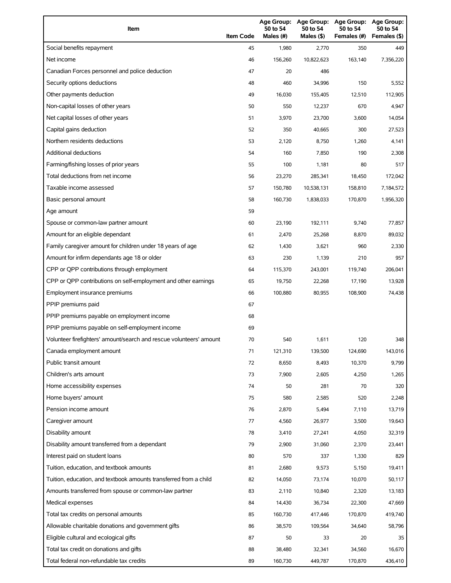| Item                                                                | <b>Item Code</b> | 50 to 54<br>Males (#) | 50 to 54<br>Males (\$) | Age Group: Age Group: Age Group:<br>50 to 54<br>Females (#) | Age Group:<br>50 to 54<br>Females (\$) |
|---------------------------------------------------------------------|------------------|-----------------------|------------------------|-------------------------------------------------------------|----------------------------------------|
| Social benefits repayment                                           | 45               | 1,980                 | 2,770                  | 350                                                         | 449                                    |
| Net income                                                          | 46               | 156,260               | 10,822,623             | 163,140                                                     | 7,356,220                              |
| Canadian Forces personnel and police deduction                      | 47               | 20                    | 486                    |                                                             |                                        |
| Security options deductions                                         | 48               | 460                   | 34,996                 | 150                                                         | 5,552                                  |
| Other payments deduction                                            | 49               | 16,030                | 155,405                | 12,510                                                      | 112,905                                |
| Non-capital losses of other years                                   | 50               | 550                   | 12,237                 | 670                                                         | 4,947                                  |
| Net capital losses of other years                                   | 51               | 3,970                 | 23,700                 | 3,600                                                       | 14,054                                 |
| Capital gains deduction                                             | 52               | 350                   | 40,665                 | 300                                                         | 27,523                                 |
| Northern residents deductions                                       | 53               | 2,120                 | 8,750                  | 1,260                                                       | 4,141                                  |
| <b>Additional deductions</b>                                        | 54               | 160                   | 7,850                  | 190                                                         | 2,308                                  |
| Farming/fishing losses of prior years                               | 55               | 100                   | 1,181                  | 80                                                          | 517                                    |
| Total deductions from net income                                    | 56               | 23,270                | 285,341                | 18,450                                                      | 172,042                                |
| Taxable income assessed                                             | 57               | 150,780               | 10,538,131             | 158,810                                                     | 7,184,572                              |
| Basic personal amount                                               | 58               | 160,730               | 1,838,033              | 170,870                                                     | 1,956,320                              |
| Age amount                                                          | 59               |                       |                        |                                                             |                                        |
| Spouse or common-law partner amount                                 | 60               | 23.190                | 192,111                | 9,740                                                       | 77,857                                 |
| Amount for an eligible dependant                                    | 61               | 2,470                 | 25,268                 | 8,870                                                       | 89,032                                 |
| Family caregiver amount for children under 18 years of age          | 62               | 1,430                 | 3,621                  | 960                                                         | 2,330                                  |
| Amount for infirm dependants age 18 or older                        | 63               | 230                   | 1,139                  | 210                                                         | 957                                    |
| CPP or QPP contributions through employment                         | 64               | 115,370               | 243,001                | 119,740                                                     | 206,041                                |
| CPP or QPP contributions on self-employment and other earnings      | 65               | 19,750                | 22,268                 | 17,190                                                      | 13,928                                 |
| Employment insurance premiums                                       | 66               | 100,880               | 80,955                 | 108,900                                                     | 74,438                                 |
| PPIP premiums paid                                                  | 67               |                       |                        |                                                             |                                        |
| PPIP premiums payable on employment income                          | 68               |                       |                        |                                                             |                                        |
| PPIP premiums payable on self-employment income                     | 69               |                       |                        |                                                             |                                        |
| Volunteer firefighters' amount/search and rescue volunteers' amount | 70               | 540                   | 1,611                  | 120                                                         | 348                                    |
| Canada employment amount                                            | 71               | 121,310               | 139,500                | 124,690                                                     | 143,016                                |
| Public transit amount                                               | 72               | 8,650                 | 8,493                  | 10,370                                                      | 9,799                                  |
| Children's arts amount                                              | 73               | 7,900                 | 2,605                  | 4,250                                                       | 1,265                                  |
| Home accessibility expenses                                         | 74               | 50                    | 281                    | 70                                                          | 320                                    |
| Home buyers' amount                                                 | 75               | 580                   | 2,585                  | 520                                                         | 2,248                                  |
| Pension income amount                                               | 76               | 2,870                 | 5,494                  | 7,110                                                       | 13,719                                 |
| Caregiver amount                                                    | 77               | 4,560                 | 26,977                 | 3,500                                                       | 19,643                                 |
| Disability amount                                                   | 78               | 3,410                 | 27,241                 | 4,050                                                       | 32,319                                 |
| Disability amount transferred from a dependant                      | 79               | 2,900                 | 31,060                 | 2,370                                                       | 23,441                                 |
| Interest paid on student loans                                      | 80               | 570                   | 337                    | 1,330                                                       | 829                                    |
| Tuition, education, and textbook amounts                            | 81               | 2,680                 | 9,573                  | 5,150                                                       | 19,411                                 |
| Tuition, education, and textbook amounts transferred from a child   | 82               | 14,050                | 73,174                 | 10,070                                                      | 50,117                                 |
| Amounts transferred from spouse or common-law partner               | 83               | 2,110                 | 10,840                 | 2,320                                                       | 13,183                                 |
| Medical expenses                                                    | 84               | 14,430                | 36,734                 | 22,300                                                      | 47,669                                 |
| Total tax credits on personal amounts                               | 85               | 160,730               | 417,446                | 170,870                                                     | 419,740                                |
| Allowable charitable donations and government gifts                 | 86               | 38,570                | 109,564                | 34,640                                                      | 58,796                                 |
| Eligible cultural and ecological gifts                              | 87               | 50                    | 33                     | 20                                                          | 35                                     |
| Total tax credit on donations and gifts                             | 88               | 38,480                | 32,341                 | 34,560                                                      | 16,670                                 |
| Total federal non-refundable tax credits                            | 89               | 160,730               | 449,787                | 170,870                                                     | 436,410                                |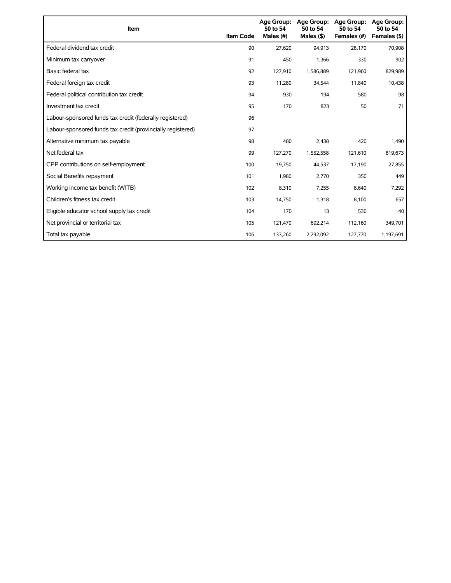| Item                                                        | <b>Item Code</b> | 50 to 54<br>Males (#) | Age Group: Age Group:<br>50 to 54<br>Males $($ \$) | <b>Age Group:</b><br>50 to 54<br>Females (#) | <b>Age Group:</b><br>50 to 54<br>Females (\$) |
|-------------------------------------------------------------|------------------|-----------------------|----------------------------------------------------|----------------------------------------------|-----------------------------------------------|
| Federal dividend tax credit                                 | 90               | 27,620                | 94,913                                             | 28,170                                       | 70,908                                        |
| Minimum tax carryover                                       | 91               | 450                   | 1,366                                              | 330                                          | 902                                           |
| Basic federal tax                                           | 92               | 127,910               | 1,586,889                                          | 121,960                                      | 829,989                                       |
| Federal foreign tax credit                                  | 93               | 11,280                | 34,544                                             | 11,840                                       | 10,438                                        |
| Federal political contribution tax credit                   | 94               | 930                   | 194                                                | 580                                          | 98                                            |
| Investment tax credit                                       | 95               | 170                   | 823                                                | 50                                           | 71                                            |
| Labour-sponsored funds tax credit (federally registered)    | 96               |                       |                                                    |                                              |                                               |
| Labour-sponsored funds tax credit (provincially registered) | 97               |                       |                                                    |                                              |                                               |
| Alternative minimum tax payable                             | 98               | 480                   | 2,438                                              | 420                                          | 1,490                                         |
| Net federal tax                                             | 99               | 127,270               | 1,552,558                                          | 121,610                                      | 819,673                                       |
| CPP contributions on self-employment                        | 100              | 19,750                | 44,537                                             | 17,190                                       | 27,855                                        |
| Social Benefits repayment                                   | 101              | 1,980                 | 2,770                                              | 350                                          | 449                                           |
| Working income tax benefit (WITB)                           | 102              | 8,310                 | 7,255                                              | 8,640                                        | 7,292                                         |
| Children's fitness tax credit                               | 103              | 14,750                | 1,318                                              | 8,100                                        | 657                                           |
| Eligible educator school supply tax credit                  | 104              | 170                   | 13                                                 | 530                                          | 40                                            |
| Net provincial or territorial tax                           | 105              | 121,470               | 692,214                                            | 112,160                                      | 349,701                                       |
| Total tax payable                                           | 106              | 133,260               | 2,292,092                                          | 127,770                                      | 1,197,691                                     |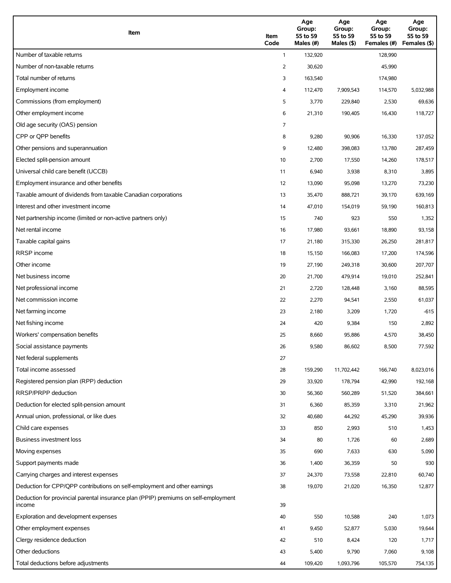| Item                                                                                          | Item<br>Code   | Age<br>Group:<br>55 to 59<br>Males (#) | Age<br>Group:<br>55 to 59<br>Males $(\$)$ | Age<br>Group:<br>55 to 59<br>Females (#) | Age<br>Group:<br>55 to 59<br>Females (\$) |
|-----------------------------------------------------------------------------------------------|----------------|----------------------------------------|-------------------------------------------|------------------------------------------|-------------------------------------------|
| Number of taxable returns                                                                     | $\mathbf{1}$   | 132,920                                |                                           | 128,990                                  |                                           |
| Number of non-taxable returns                                                                 | 2              | 30,620                                 |                                           | 45,990                                   |                                           |
| Total number of returns                                                                       | 3              | 163,540                                |                                           | 174,980                                  |                                           |
| Employment income                                                                             | 4              | 112,470                                | 7,909,543                                 | 114,570                                  | 5,032,988                                 |
| Commissions (from employment)                                                                 | 5              | 3,770                                  | 229,840                                   | 2,530                                    | 69,636                                    |
| Other employment income                                                                       | 6              | 21,310                                 | 190,405                                   | 16,430                                   | 118,727                                   |
| Old age security (OAS) pension                                                                | $\overline{7}$ |                                        |                                           |                                          |                                           |
| CPP or OPP benefits                                                                           | 8              | 9,280                                  | 90,906                                    | 16,330                                   | 137,052                                   |
| Other pensions and superannuation                                                             | 9              | 12,480                                 | 398,083                                   | 13,780                                   | 287,459                                   |
| Elected split-pension amount                                                                  | 10             | 2,700                                  | 17,550                                    | 14,260                                   | 178,517                                   |
| Universal child care benefit (UCCB)                                                           | 11             | 6,940                                  | 3,938                                     | 8,310                                    | 3,895                                     |
| Employment insurance and other benefits                                                       | 12             | 13,090                                 | 95,098                                    | 13,270                                   | 73,230                                    |
| Taxable amount of dividends from taxable Canadian corporations                                | 13             | 35,470                                 | 888,721                                   | 39,170                                   | 639,169                                   |
| Interest and other investment income                                                          | 14             | 47,010                                 | 154,019                                   | 59,190                                   | 160,813                                   |
| Net partnership income (limited or non-active partners only)                                  | 15             | 740                                    | 923                                       | 550                                      | 1,352                                     |
| Net rental income                                                                             | 16             | 17,980                                 | 93,661                                    | 18,890                                   | 93,158                                    |
| Taxable capital gains                                                                         | 17             | 21,180                                 | 315,330                                   | 26,250                                   | 281,817                                   |
| <b>RRSP</b> income                                                                            | 18             | 15,150                                 | 166,083                                   | 17,200                                   | 174,596                                   |
| Other income                                                                                  | 19             | 27,190                                 | 249,318                                   | 30,600                                   | 207,707                                   |
| Net business income                                                                           | 20             | 21,700                                 | 479,914                                   | 19,010                                   | 252,841                                   |
| Net professional income                                                                       | 21             | 2,720                                  | 128,448                                   | 3,160                                    | 88,595                                    |
| Net commission income                                                                         | 22             | 2,270                                  | 94,541                                    | 2,550                                    | 61,037                                    |
| Net farming income                                                                            | 23             | 2,180                                  | 3,209                                     | 1,720                                    | $-615$                                    |
| Net fishing income                                                                            | 24             | 420                                    | 9,384                                     | 150                                      | 2,892                                     |
| Workers' compensation benefits                                                                | 25             | 8,660                                  | 95,886                                    | 4,570                                    | 38,450                                    |
| Social assistance payments                                                                    | 26             | 9,580                                  | 86,602                                    | 8,500                                    | 77,592                                    |
| Net federal supplements                                                                       | 27             |                                        |                                           |                                          |                                           |
| Total income assessed                                                                         | 28             | 159,290                                | 11,702,442                                | 166,740                                  | 8,023,016                                 |
| Registered pension plan (RPP) deduction                                                       | 29             | 33,920                                 | 178,794                                   | 42,990                                   | 192,168                                   |
| RRSP/PRPP deduction                                                                           | 30             | 56,360                                 | 560,289                                   | 51,520                                   | 384,661                                   |
| Deduction for elected split-pension amount                                                    | 31             | 6,360                                  | 85,359                                    | 3,310                                    | 21,962                                    |
| Annual union, professional, or like dues                                                      | 32             | 40,680                                 | 44,292                                    | 45,290                                   | 39,936                                    |
| Child care expenses                                                                           | 33             | 850                                    | 2,993                                     | 510                                      | 1,453                                     |
| <b>Business investment loss</b>                                                               | 34             | 80                                     | 1,726                                     | 60                                       | 2,689                                     |
| Moving expenses                                                                               | 35             | 690                                    | 7,633                                     | 630                                      | 5,090                                     |
| Support payments made                                                                         | 36             | 1,400                                  | 36,359                                    | 50                                       | 930                                       |
| Carrying charges and interest expenses                                                        | 37             | 24,370                                 | 73,558                                    | 22,810                                   | 60,740                                    |
| Deduction for CPP/QPP contributions on self-employment and other earnings                     | 38             | 19,070                                 | 21,020                                    | 16,350                                   | 12,877                                    |
| Deduction for provincial parental insurance plan (PPIP) premiums on self-employment<br>income | 39             |                                        |                                           |                                          |                                           |
| Exploration and development expenses                                                          | 40             | 550                                    | 10,588                                    | 240                                      | 1,073                                     |
| Other employment expenses                                                                     | 41             | 9,450                                  | 52,877                                    | 5,030                                    | 19,644                                    |
| Clergy residence deduction                                                                    | 42             | 510                                    | 8,424                                     | 120                                      | 1,717                                     |
| Other deductions                                                                              | 43             | 5,400                                  | 9,790                                     | 7,060                                    | 9,108                                     |
| Total deductions before adjustments                                                           | 44             | 109,420                                | 1,093,796                                 | 105,570                                  | 754,135                                   |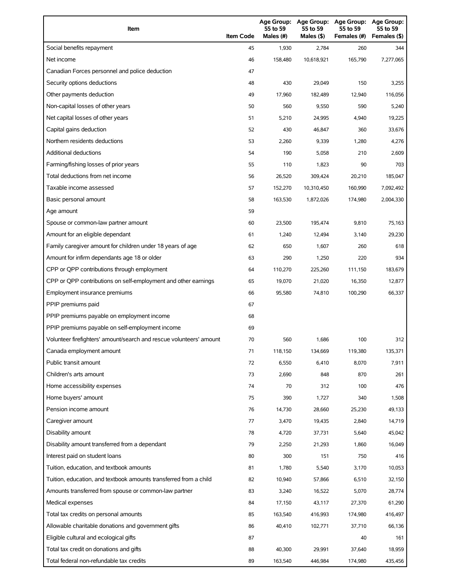| Item                                                                | <b>Item Code</b> | Age Group:<br>55 to 59<br>Males (#) | Age Group:<br>55 to 59<br>Males (\$) | <b>Age Group:</b><br>55 to 59<br>Females (#) | Age Group:<br>55 to 59<br>Females (\$) |
|---------------------------------------------------------------------|------------------|-------------------------------------|--------------------------------------|----------------------------------------------|----------------------------------------|
| Social benefits repayment                                           | 45               | 1,930                               | 2,784                                | 260                                          | 344                                    |
| Net income                                                          | 46               | 158,480                             | 10,618,921                           | 165,790                                      | 7,277,065                              |
| Canadian Forces personnel and police deduction                      | 47               |                                     |                                      |                                              |                                        |
| Security options deductions                                         | 48               | 430                                 | 29,049                               | 150                                          | 3,255                                  |
| Other payments deduction                                            | 49               | 17,960                              | 182,489                              | 12,940                                       | 116,056                                |
| Non-capital losses of other years                                   | 50               | 560                                 | 9,550                                | 590                                          | 5,240                                  |
| Net capital losses of other years                                   | 51               | 5,210                               | 24,995                               | 4,940                                        | 19,225                                 |
| Capital gains deduction                                             | 52               | 430                                 | 46,847                               | 360                                          | 33,676                                 |
| Northern residents deductions                                       | 53               | 2,260                               | 9,339                                | 1,280                                        | 4,276                                  |
| <b>Additional deductions</b>                                        | 54               | 190                                 | 5,058                                | 210                                          | 2,609                                  |
| Farming/fishing losses of prior years                               | 55               | 110                                 | 1,823                                | 90                                           | 703                                    |
| Total deductions from net income                                    | 56               | 26,520                              | 309,424                              | 20,210                                       | 185,047                                |
| Taxable income assessed                                             | 57               | 152,270                             | 10,310,450                           | 160,990                                      | 7,092,492                              |
| Basic personal amount                                               | 58               | 163,530                             | 1,872,026                            | 174,980                                      | 2,004,330                              |
| Age amount                                                          | 59               |                                     |                                      |                                              |                                        |
| Spouse or common-law partner amount                                 | 60               | 23,500                              | 195,474                              | 9,810                                        | 75,163                                 |
| Amount for an eligible dependant                                    | 61               | 1,240                               | 12,494                               | 3,140                                        | 29,230                                 |
| Family caregiver amount for children under 18 years of age          | 62               | 650                                 | 1,607                                | 260                                          | 618                                    |
| Amount for infirm dependants age 18 or older                        | 63               | 290                                 | 1,250                                | 220                                          | 934                                    |
| CPP or QPP contributions through employment                         | 64               | 110,270                             | 225,260                              | 111,150                                      | 183,679                                |
| CPP or QPP contributions on self-employment and other earnings      | 65               | 19,070                              | 21,020                               | 16,350                                       | 12,877                                 |
| Employment insurance premiums                                       | 66               | 95,580                              | 74,810                               | 100,290                                      | 66,337                                 |
| PPIP premiums paid                                                  | 67               |                                     |                                      |                                              |                                        |
| PPIP premiums payable on employment income                          | 68               |                                     |                                      |                                              |                                        |
| PPIP premiums payable on self-employment income                     | 69               |                                     |                                      |                                              |                                        |
| Volunteer firefighters' amount/search and rescue volunteers' amount | 70               | 560                                 | 1,686                                | 100                                          | 312                                    |
| Canada employment amount                                            | 71               | 118,150                             | 134,669                              | 119,380                                      | 135,371                                |
| Public transit amount                                               | 72               | 6,550                               | 6,410                                | 8,070                                        | 7,911                                  |
| Children's arts amount                                              | 73               | 2,690                               | 848                                  | 870                                          | 261                                    |
| Home accessibility expenses                                         | 74               | 70                                  | 312                                  | 100                                          | 476                                    |
| Home buyers' amount                                                 | 75               | 390                                 | 1,727                                | 340                                          | 1,508                                  |
| Pension income amount                                               | 76               | 14,730                              | 28,660                               | 25,230                                       | 49,133                                 |
| Caregiver amount                                                    | 77               | 3,470                               | 19,435                               | 2,840                                        | 14,719                                 |
| Disability amount                                                   | 78               | 4,720                               | 37,731                               | 5,640                                        | 45,042                                 |
| Disability amount transferred from a dependant                      | 79               | 2,250                               | 21,293                               | 1,860                                        | 16,049                                 |
| Interest paid on student loans                                      | 80               | 300                                 | 151                                  | 750                                          | 416                                    |
| Tuition, education, and textbook amounts                            | 81               | 1,780                               | 5,540                                | 3,170                                        | 10,053                                 |
| Tuition, education, and textbook amounts transferred from a child   | 82               | 10,940                              | 57,866                               | 6,510                                        | 32,150                                 |
| Amounts transferred from spouse or common-law partner               | 83               | 3,240                               | 16,522                               | 5,070                                        | 28,774                                 |
| Medical expenses                                                    | 84               | 17,150                              | 43,117                               | 27,370                                       | 61,290                                 |
| Total tax credits on personal amounts                               | 85               | 163,540                             | 416,993                              | 174,980                                      | 416,497                                |
| Allowable charitable donations and government gifts                 | 86               | 40,410                              | 102,771                              | 37,710                                       | 66,136                                 |
| Eligible cultural and ecological gifts                              | 87               |                                     |                                      | 40                                           | 161                                    |
| Total tax credit on donations and gifts                             | 88               | 40,300                              | 29,991                               | 37,640                                       | 18,959                                 |
| Total federal non-refundable tax credits                            | 89               | 163,540                             | 446,984                              | 174,980                                      | 435,456                                |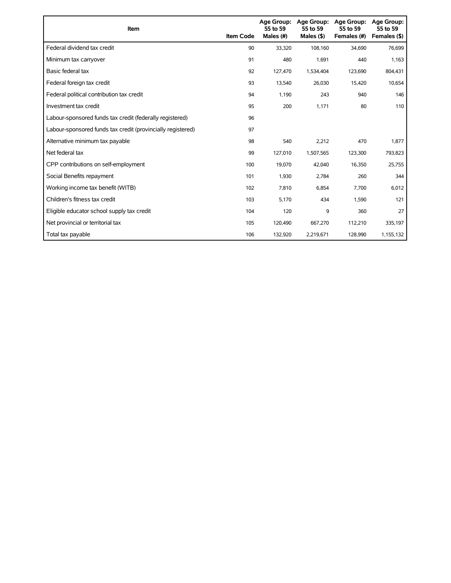| Item                                                        | <b>Item Code</b> | Age Group:<br>55 to 59<br>Males (#) | Age Group:<br>55 to 59<br>Males $(§)$ | <b>Age Group:</b><br>55 to 59<br>Females (#) | <b>Age Group:</b><br>55 to 59<br>Females (\$) |
|-------------------------------------------------------------|------------------|-------------------------------------|---------------------------------------|----------------------------------------------|-----------------------------------------------|
| Federal dividend tax credit                                 | 90               | 33,320                              | 108,160                               | 34,690                                       | 76,699                                        |
| Minimum tax carryover                                       | 91               | 480                                 | 1,691                                 | 440                                          | 1,163                                         |
| Basic federal tax                                           | 92               | 127.470                             | 1,534,404                             | 123.690                                      | 804,431                                       |
| Federal foreign tax credit                                  | 93               | 13,540                              | 26,030                                | 15,420                                       | 10,654                                        |
| Federal political contribution tax credit                   | 94               | 1,190                               | 243                                   | 940                                          | 146                                           |
| Investment tax credit                                       | 95               | 200                                 | 1,171                                 | 80                                           | 110                                           |
| Labour-sponsored funds tax credit (federally registered)    | 96               |                                     |                                       |                                              |                                               |
| Labour-sponsored funds tax credit (provincially registered) | 97               |                                     |                                       |                                              |                                               |
| Alternative minimum tax payable                             | 98               | 540                                 | 2,212                                 | 470                                          | 1,877                                         |
| Net federal tax                                             | 99               | 127,010                             | 1,507,565                             | 123,300                                      | 793,823                                       |
| CPP contributions on self-employment                        | 100              | 19,070                              | 42,040                                | 16,350                                       | 25,755                                        |
| Social Benefits repayment                                   | 101              | 1,930                               | 2,784                                 | 260                                          | 344                                           |
| Working income tax benefit (WITB)                           | 102              | 7,810                               | 6,854                                 | 7,700                                        | 6,012                                         |
| Children's fitness tax credit                               | 103              | 5,170                               | 434                                   | 1,590                                        | 121                                           |
| Eligible educator school supply tax credit                  | 104              | 120                                 | 9                                     | 360                                          | 27                                            |
| Net provincial or territorial tax                           | 105              | 120,490                             | 667,270                               | 112,210                                      | 335,197                                       |
| Total tax payable                                           | 106              | 132,920                             | 2,219,671                             | 128,990                                      | 1,155,132                                     |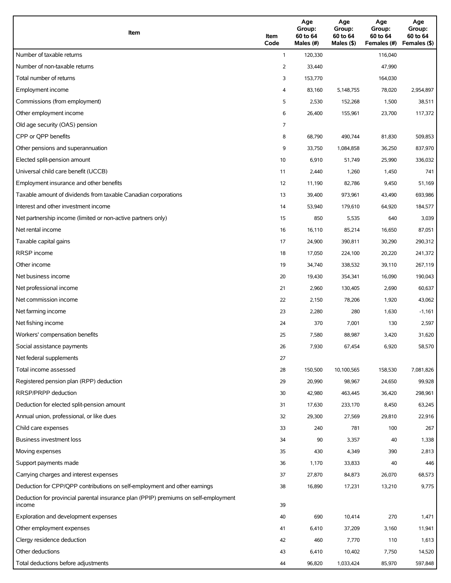| Item                                                                                          | Item<br>Code | Age<br>Group:<br>60 to 64<br>Males (#) | Age<br>Group:<br>60 to 64<br>Males (\$) | Age<br>Group:<br>60 to 64<br>Females (#) | Age<br>Group:<br>60 to 64<br>Females (\$) |
|-----------------------------------------------------------------------------------------------|--------------|----------------------------------------|-----------------------------------------|------------------------------------------|-------------------------------------------|
| Number of taxable returns                                                                     | $\mathbf{1}$ | 120,330                                |                                         | 116,040                                  |                                           |
| Number of non-taxable returns                                                                 | 2            | 33,440                                 |                                         | 47,990                                   |                                           |
| Total number of returns                                                                       | 3            | 153,770                                |                                         | 164,030                                  |                                           |
| Employment income                                                                             | 4            | 83,160                                 | 5,148,755                               | 78,020                                   | 2,954,897                                 |
| Commissions (from employment)                                                                 | 5            | 2,530                                  | 152,268                                 | 1,500                                    | 38,511                                    |
| Other employment income                                                                       | 6            | 26,400                                 | 155,961                                 | 23,700                                   | 117,372                                   |
| Old age security (OAS) pension                                                                | 7            |                                        |                                         |                                          |                                           |
| CPP or OPP benefits                                                                           | 8            | 68,790                                 | 490,744                                 | 81,830                                   | 509,853                                   |
| Other pensions and superannuation                                                             | 9            | 33,750                                 | 1,084,858                               | 36,250                                   | 837,970                                   |
| Elected split-pension amount                                                                  | 10           | 6,910                                  | 51,749                                  | 25,990                                   | 336,032                                   |
| Universal child care benefit (UCCB)                                                           | 11           | 2,440                                  | 1,260                                   | 1,450                                    | 741                                       |
| Employment insurance and other benefits                                                       | 12           | 11,190                                 | 82,786                                  | 9,450                                    | 51,169                                    |
| Taxable amount of dividends from taxable Canadian corporations                                | 13           | 39,400                                 | 973,961                                 | 43,490                                   | 693,986                                   |
| Interest and other investment income                                                          | 14           | 53,940                                 | 179,610                                 | 64,920                                   | 184,577                                   |
| Net partnership income (limited or non-active partners only)                                  | 15           | 850                                    | 5,535                                   | 640                                      | 3,039                                     |
| Net rental income                                                                             | 16           | 16,110                                 | 85,214                                  | 16,650                                   | 87,051                                    |
| Taxable capital gains                                                                         | 17           | 24,900                                 | 390,811                                 | 30,290                                   | 290,312                                   |
| <b>RRSP</b> income                                                                            | 18           | 17,050                                 | 224,100                                 | 20,220                                   | 241,372                                   |
| Other income                                                                                  | 19           | 34,740                                 | 338,532                                 | 39,110                                   | 267,119                                   |
| Net business income                                                                           | 20           | 19,430                                 | 354,341                                 | 16,090                                   | 190,043                                   |
| Net professional income                                                                       | 21           | 2,960                                  | 130,405                                 | 2,690                                    | 60,637                                    |
| Net commission income                                                                         | 22           | 2,150                                  | 78,206                                  | 1,920                                    | 43,062                                    |
| Net farming income                                                                            | 23           | 2,280                                  | 280                                     | 1,630                                    | $-1,161$                                  |
| Net fishing income                                                                            | 24           | 370                                    | 7,001                                   | 130                                      | 2,597                                     |
| Workers' compensation benefits                                                                | 25           | 7,580                                  | 88,987                                  | 3,420                                    | 31,620                                    |
| Social assistance payments                                                                    | 26           | 7,930                                  | 67,454                                  | 6,920                                    | 58,570                                    |
| Net federal supplements                                                                       | 27           |                                        |                                         |                                          |                                           |
| Total income assessed                                                                         | 28           | 150,500                                | 10,100,565                              | 158,530                                  | 7,081,826                                 |
| Registered pension plan (RPP) deduction                                                       | 29           | 20,990                                 | 98,967                                  | 24,650                                   | 99,928                                    |
| RRSP/PRPP deduction                                                                           | 30           | 42,980                                 | 463,445                                 | 36,420                                   | 298,961                                   |
| Deduction for elected split-pension amount                                                    | 31           | 17,630                                 | 233,170                                 | 8,450                                    | 63,245                                    |
| Annual union, professional, or like dues                                                      | 32           | 29,300                                 | 27,569                                  | 29,810                                   | 22,916                                    |
| Child care expenses                                                                           | 33           | 240                                    | 781                                     | 100                                      | 267                                       |
| Business investment loss                                                                      | 34           | 90                                     | 3,357                                   | 40                                       | 1,338                                     |
| Moving expenses                                                                               | 35           | 430                                    | 4,349                                   | 390                                      | 2,813                                     |
| Support payments made                                                                         | 36           | 1,170                                  | 33,833                                  | 40                                       | 446                                       |
| Carrying charges and interest expenses                                                        | 37           | 27,870                                 | 84,873                                  | 26,070                                   | 68,573                                    |
| Deduction for CPP/QPP contributions on self-employment and other earnings                     | 38           | 16,890                                 | 17,231                                  | 13,210                                   | 9,775                                     |
| Deduction for provincial parental insurance plan (PPIP) premiums on self-employment<br>income | 39           |                                        |                                         |                                          |                                           |
| Exploration and development expenses                                                          | 40           | 690                                    | 10,414                                  | 270                                      | 1,471                                     |
| Other employment expenses                                                                     | 41           | 6,410                                  | 37,209                                  | 3,160                                    | 11,941                                    |
| Clergy residence deduction                                                                    | 42           | 460                                    | 7,770                                   | 110                                      | 1,613                                     |
| Other deductions                                                                              | 43           | 6,410                                  | 10,402                                  | 7,750                                    | 14,520                                    |
| Total deductions before adjustments                                                           | 44           | 96,820                                 | 1,033,424                               | 85,970                                   | 597,848                                   |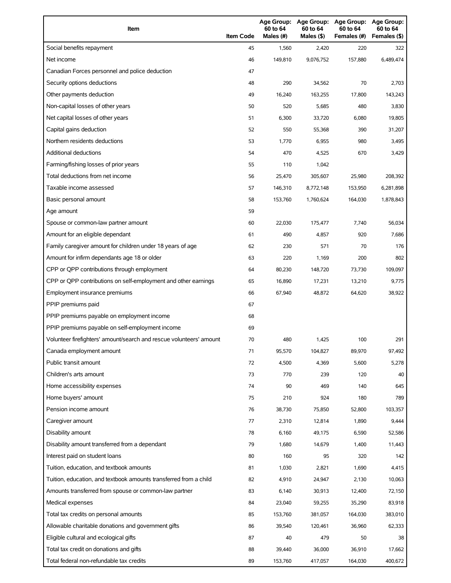| Item                                                                | <b>Item Code</b> | 60 to 64<br>Males (#) | 60 to 64<br>Males (\$) | Age Group: Age Group: Age Group:<br>60 to 64<br>Females (#) | Age Group:<br>60 to 64<br>Females (\$) |
|---------------------------------------------------------------------|------------------|-----------------------|------------------------|-------------------------------------------------------------|----------------------------------------|
| Social benefits repayment                                           | 45               | 1,560                 | 2,420                  | 220                                                         | 322                                    |
| Net income                                                          | 46               | 149,810               | 9,076,752              | 157,880                                                     | 6,489,474                              |
| Canadian Forces personnel and police deduction                      | 47               |                       |                        |                                                             |                                        |
| Security options deductions                                         | 48               | 290                   | 34,562                 | 70                                                          | 2,703                                  |
| Other payments deduction                                            | 49               | 16,240                | 163,255                | 17,800                                                      | 143,243                                |
| Non-capital losses of other years                                   | 50               | 520                   | 5,685                  | 480                                                         | 3,830                                  |
| Net capital losses of other years                                   | 51               | 6,300                 | 33,720                 | 6,080                                                       | 19,805                                 |
| Capital gains deduction                                             | 52               | 550                   | 55,368                 | 390                                                         | 31,207                                 |
| Northern residents deductions                                       | 53               | 1,770                 | 6,955                  | 980                                                         | 3,495                                  |
| Additional deductions                                               | 54               | 470                   | 4,525                  | 670                                                         | 3,429                                  |
| Farming/fishing losses of prior years                               | 55               | 110                   | 1,042                  |                                                             |                                        |
| Total deductions from net income                                    | 56               | 25,470                | 305,607                | 25,980                                                      | 208,392                                |
| Taxable income assessed                                             | 57               | 146,310               | 8,772,148              | 153,950                                                     | 6,281,898                              |
| Basic personal amount                                               | 58               | 153,760               | 1,760,624              | 164,030                                                     | 1,878,843                              |
| Age amount                                                          | 59               |                       |                        |                                                             |                                        |
| Spouse or common-law partner amount                                 | 60               | 22,030                | 175,477                | 7,740                                                       | 56,034                                 |
| Amount for an eligible dependant                                    | 61               | 490                   | 4,857                  | 920                                                         | 7,686                                  |
| Family caregiver amount for children under 18 years of age          | 62               | 230                   | 571                    | 70                                                          | 176                                    |
| Amount for infirm dependants age 18 or older                        | 63               | 220                   | 1,169                  | 200                                                         | 802                                    |
| CPP or QPP contributions through employment                         | 64               | 80,230                | 148,720                | 73,730                                                      | 109,097                                |
| CPP or QPP contributions on self-employment and other earnings      | 65               | 16,890                | 17,231                 | 13,210                                                      | 9,775                                  |
| Employment insurance premiums                                       | 66               | 67,940                | 48,872                 | 64,620                                                      | 38,922                                 |
| PPIP premiums paid                                                  | 67               |                       |                        |                                                             |                                        |
| PPIP premiums payable on employment income                          | 68               |                       |                        |                                                             |                                        |
| PPIP premiums payable on self-employment income                     | 69               |                       |                        |                                                             |                                        |
| Volunteer firefighters' amount/search and rescue volunteers' amount | 70               | 480                   | 1,425                  | 100                                                         | 291                                    |
| Canada employment amount                                            | 71               | 95,570                | 104,827                | 89,970                                                      | 97,492                                 |
| Public transit amount                                               | 72               | 4,500                 | 4,369                  | 5,600                                                       | 5,278                                  |
| Children's arts amount                                              | 73               | 770                   | 239                    | 120                                                         | 40                                     |
| Home accessibility expenses                                         | 74               | 90                    | 469                    | 140                                                         | 645                                    |
| Home buyers' amount                                                 | 75               | 210                   | 924                    | 180                                                         | 789                                    |
| Pension income amount                                               | 76               | 38,730                | 75,850                 | 52,800                                                      | 103,357                                |
| Caregiver amount                                                    | 77               | 2,310                 | 12,814                 | 1,890                                                       | 9,444                                  |
| Disability amount                                                   | 78               | 6,160                 | 49,175                 | 6,590                                                       | 52,586                                 |
| Disability amount transferred from a dependant                      | 79               | 1,680                 | 14,679                 | 1,400                                                       | 11,443                                 |
| Interest paid on student loans                                      | 80               | 160                   | 95                     | 320                                                         | 142                                    |
| Tuition, education, and textbook amounts                            | 81               | 1,030                 | 2,821                  | 1,690                                                       | 4,415                                  |
| Tuition, education, and textbook amounts transferred from a child   | 82               | 4,910                 | 24,947                 | 2,130                                                       | 10,063                                 |
| Amounts transferred from spouse or common-law partner               | 83               | 6,140                 | 30,913                 | 12,400                                                      | 72,150                                 |
| Medical expenses                                                    | 84               | 23,040                | 59,255                 | 35,290                                                      | 83,918                                 |
| Total tax credits on personal amounts                               | 85               | 153,760               | 381,057                | 164,030                                                     | 383,010                                |
| Allowable charitable donations and government gifts                 | 86               | 39,540                | 120,461                | 36,960                                                      | 62,333                                 |
| Eligible cultural and ecological gifts                              | 87               | 40                    | 479                    | 50                                                          | 38                                     |
| Total tax credit on donations and gifts                             | 88               | 39,440                | 36,000                 | 36,910                                                      | 17,662                                 |
| Total federal non-refundable tax credits                            | 89               | 153,760               | 417,057                | 164,030                                                     | 400,672                                |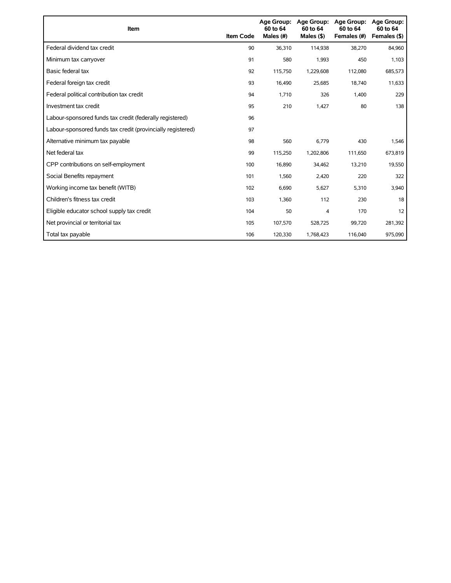| <b>Item</b>                                                 | <b>Item Code</b> | <b>Age Group:</b><br>60 to 64<br>Males (#) | Age Group:<br>60 to 64<br>Males $($ \$) | Age Group:<br>60 to 64<br>Females (#) | <b>Age Group:</b><br>60 to 64<br>Females (\$) |
|-------------------------------------------------------------|------------------|--------------------------------------------|-----------------------------------------|---------------------------------------|-----------------------------------------------|
| Federal dividend tax credit                                 | 90               | 36,310                                     | 114,938                                 | 38,270                                | 84,960                                        |
| Minimum tax carryover                                       | 91               | 580                                        | 1,993                                   | 450                                   | 1,103                                         |
| Basic federal tax                                           | 92               | 115,750                                    | 1,229,608                               | 112,080                               | 685,573                                       |
| Federal foreign tax credit                                  | 93               | 16,490                                     | 25,685                                  | 18,740                                | 11,633                                        |
| Federal political contribution tax credit                   | 94               | 1,710                                      | 326                                     | 1,400                                 | 229                                           |
| Investment tax credit                                       | 95               | 210                                        | 1,427                                   | 80                                    | 138                                           |
| Labour-sponsored funds tax credit (federally registered)    | 96               |                                            |                                         |                                       |                                               |
| Labour-sponsored funds tax credit (provincially registered) | 97               |                                            |                                         |                                       |                                               |
| Alternative minimum tax payable                             | 98               | 560                                        | 6,779                                   | 430                                   | 1,546                                         |
| Net federal tax                                             | 99               | 115,250                                    | 1,202,806                               | 111,650                               | 673,819                                       |
| CPP contributions on self-employment                        | 100              | 16,890                                     | 34,462                                  | 13,210                                | 19,550                                        |
| Social Benefits repayment                                   | 101              | 1,560                                      | 2,420                                   | 220                                   | 322                                           |
| Working income tax benefit (WITB)                           | 102              | 6,690                                      | 5,627                                   | 5,310                                 | 3,940                                         |
| Children's fitness tax credit                               | 103              | 1,360                                      | 112                                     | 230                                   | 18                                            |
| Eligible educator school supply tax credit                  | 104              | 50                                         | 4                                       | 170                                   | 12                                            |
| Net provincial or territorial tax                           | 105              | 107,570                                    | 528,725                                 | 99,720                                | 281,392                                       |
| Total tax payable                                           | 106              | 120,330                                    | 1,768,423                               | 116,040                               | 975,090                                       |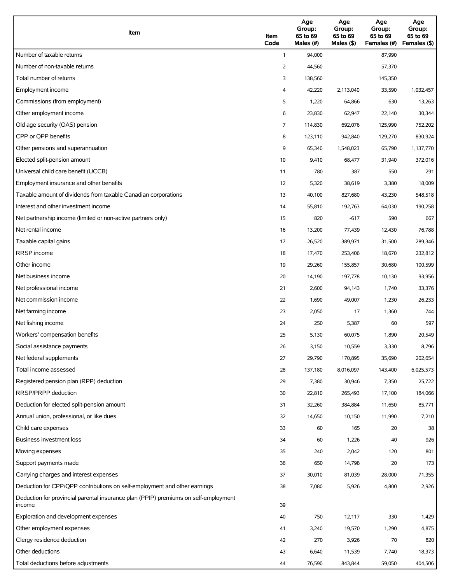| Item                                                                                          | Item<br>Code   | Age<br>Group:<br>65 to 69<br>Males (#) | Age<br>Group:<br>65 to 69<br>Males (\$) | Age<br>Group:<br>65 to 69<br>Females (#) | Age<br>Group:<br>65 to 69<br>Females (\$) |
|-----------------------------------------------------------------------------------------------|----------------|----------------------------------------|-----------------------------------------|------------------------------------------|-------------------------------------------|
| Number of taxable returns                                                                     | $\mathbf{1}$   | 94,000                                 |                                         | 87,990                                   |                                           |
| Number of non-taxable returns                                                                 | 2              | 44,560                                 |                                         | 57,370                                   |                                           |
| Total number of returns                                                                       | 3              | 138,560                                |                                         | 145,350                                  |                                           |
| Employment income                                                                             | 4              | 42,220                                 | 2,113,040                               | 33,590                                   | 1,032,457                                 |
| Commissions (from employment)                                                                 | 5              | 1,220                                  | 64,866                                  | 630                                      | 13,263                                    |
| Other employment income                                                                       | 6              | 23,830                                 | 62,947                                  | 22,140                                   | 30,344                                    |
| Old age security (OAS) pension                                                                | $\overline{7}$ | 114,830                                | 692,076                                 | 125,990                                  | 752,202                                   |
| CPP or OPP benefits                                                                           | 8              | 123,110                                | 942,840                                 | 129,270                                  | 830,924                                   |
| Other pensions and superannuation                                                             | 9              | 65,340                                 | 1,548,023                               | 65,790                                   | 1,137,770                                 |
| Elected split-pension amount                                                                  | 10             | 9,410                                  | 68,477                                  | 31,940                                   | 372,016                                   |
| Universal child care benefit (UCCB)                                                           | 11             | 780                                    | 387                                     | 550                                      | 291                                       |
| Employment insurance and other benefits                                                       | 12             | 5,320                                  | 38,619                                  | 3,380                                    | 18,009                                    |
| Taxable amount of dividends from taxable Canadian corporations                                | 13             | 40,100                                 | 827,680                                 | 43,230                                   | 548,518                                   |
| Interest and other investment income                                                          | 14             | 55,810                                 | 192,763                                 | 64,030                                   | 190,258                                   |
| Net partnership income (limited or non-active partners only)                                  | 15             | 820                                    | $-617$                                  | 590                                      | 667                                       |
| Net rental income                                                                             | 16             | 13,200                                 | 77,439                                  | 12,430                                   | 76,788                                    |
| Taxable capital gains                                                                         | 17             | 26,520                                 | 389,971                                 | 31,500                                   | 289,346                                   |
| <b>RRSP</b> income                                                                            | 18             | 17,470                                 | 253,406                                 | 18,670                                   | 232,812                                   |
| Other income                                                                                  | 19             | 29,260                                 | 155,857                                 | 30,680                                   | 100,599                                   |
| Net business income                                                                           | 20             | 14,190                                 | 197,778                                 | 10,130                                   | 93,956                                    |
| Net professional income                                                                       | 21             | 2,600                                  | 94,143                                  | 1,740                                    | 33,376                                    |
| Net commission income                                                                         | 22             | 1,690                                  | 49,007                                  | 1,230                                    | 26,233                                    |
| Net farming income                                                                            | 23             | 2,050                                  | 17                                      | 1,360                                    | $-744$                                    |
| Net fishing income                                                                            | 24             | 250                                    | 5,387                                   | 60                                       | 597                                       |
| Workers' compensation benefits                                                                | 25             | 5,130                                  | 60,075                                  | 1,890                                    | 20,549                                    |
| Social assistance payments                                                                    | 26             | 3,150                                  | 10,559                                  | 3,330                                    | 8,796                                     |
| Net federal supplements                                                                       | 27             | 29,790                                 | 170,895                                 | 35,690                                   | 202,654                                   |
| Total income assessed                                                                         | 28             | 137,180                                | 8,016,097                               | 143,400                                  | 6,025,573                                 |
| Registered pension plan (RPP) deduction                                                       | 29             | 7,380                                  | 30,946                                  | 7,350                                    | 25,722                                    |
| RRSP/PRPP deduction                                                                           | 30             | 22,810                                 | 265,493                                 | 17,100                                   | 184,066                                   |
| Deduction for elected split-pension amount                                                    | 31             | 32,260                                 | 384,884                                 | 11,650                                   | 85,771                                    |
| Annual union, professional, or like dues                                                      | 32             | 14,650                                 | 10,150                                  | 11,990                                   | 7,210                                     |
| Child care expenses                                                                           | 33             | 60                                     | 165                                     | 20                                       | 38                                        |
| Business investment loss                                                                      | 34             | 60                                     | 1,226                                   | 40                                       | 926                                       |
| Moving expenses                                                                               | 35             | 240                                    | 2,042                                   | 120                                      | 801                                       |
| Support payments made                                                                         | 36             | 650                                    | 14,798                                  | 20                                       | 173                                       |
| Carrying charges and interest expenses                                                        | 37             | 30,010                                 | 81,039                                  | 28,000                                   | 71,355                                    |
| Deduction for CPP/QPP contributions on self-employment and other earnings                     | 38             | 7,080                                  | 5,926                                   | 4,800                                    | 2,926                                     |
| Deduction for provincial parental insurance plan (PPIP) premiums on self-employment<br>income | 39             |                                        |                                         |                                          |                                           |
| Exploration and development expenses                                                          | 40             | 750                                    | 12,117                                  | 330                                      | 1,429                                     |
| Other employment expenses                                                                     | 41             | 3,240                                  | 19,570                                  | 1,290                                    | 4,875                                     |
| Clergy residence deduction                                                                    | 42             | 270                                    | 3,926                                   | 70                                       | 820                                       |
| Other deductions                                                                              | 43             | 6,640                                  | 11,539                                  | 7,740                                    | 18,373                                    |
| Total deductions before adjustments                                                           | 44             | 76,590                                 | 843,844                                 | 59,050                                   | 404,506                                   |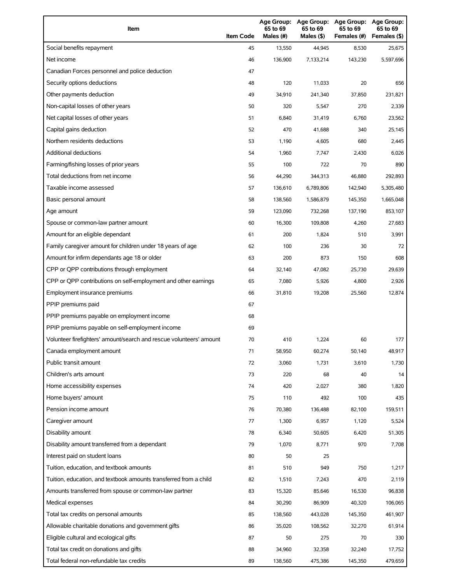| Item                                                                | <b>Item Code</b> | 65 to 69<br>Males (#) | 65 to 69<br>Males (\$) | Age Group: Age Group: Age Group:<br>65 to 69<br>Females (#) | Age Group:<br>65 to 69<br>Females (\$) |
|---------------------------------------------------------------------|------------------|-----------------------|------------------------|-------------------------------------------------------------|----------------------------------------|
| Social benefits repayment                                           | 45               | 13,550                | 44,945                 | 8,530                                                       | 25,675                                 |
| Net income                                                          | 46               | 136,900               | 7,133,214              | 143,230                                                     | 5,597,696                              |
| Canadian Forces personnel and police deduction                      | 47               |                       |                        |                                                             |                                        |
| Security options deductions                                         | 48               | 120                   | 11,033                 | 20                                                          | 656                                    |
| Other payments deduction                                            | 49               | 34,910                | 241,340                | 37,850                                                      | 231,821                                |
| Non-capital losses of other years                                   | 50               | 320                   | 5,547                  | 270                                                         | 2,339                                  |
| Net capital losses of other years                                   | 51               | 6,840                 | 31,419                 | 6,760                                                       | 23,562                                 |
| Capital gains deduction                                             | 52               | 470                   | 41,688                 | 340                                                         | 25,145                                 |
| Northern residents deductions                                       | 53               | 1,190                 | 4,605                  | 680                                                         | 2,445                                  |
| Additional deductions                                               | 54               | 1,960                 | 7,747                  | 2,430                                                       | 6,026                                  |
| Farming/fishing losses of prior years                               | 55               | 100                   | 722                    | 70                                                          | 890                                    |
| Total deductions from net income                                    | 56               | 44,290                | 344,313                | 46,880                                                      | 292,893                                |
| Taxable income assessed                                             | 57               | 136,610               | 6,789,806              | 142,940                                                     | 5,305,480                              |
| Basic personal amount                                               | 58               | 138,560               | 1,586,879              | 145,350                                                     | 1,665,048                              |
| Age amount                                                          | 59               | 123,090               | 732,268                | 137,190                                                     | 853,107                                |
| Spouse or common-law partner amount                                 | 60               | 16,300                | 109,808                | 4,260                                                       | 27,683                                 |
| Amount for an eligible dependant                                    | 61               | 200                   | 1,824                  | 510                                                         | 3,991                                  |
| Family caregiver amount for children under 18 years of age          | 62               | 100                   | 236                    | 30                                                          | 72                                     |
| Amount for infirm dependants age 18 or older                        | 63               | 200                   | 873                    | 150                                                         | 608                                    |
| CPP or QPP contributions through employment                         | 64               | 32,140                | 47,082                 | 25,730                                                      | 29,639                                 |
| CPP or QPP contributions on self-employment and other earnings      | 65               | 7,080                 | 5,926                  | 4,800                                                       | 2,926                                  |
| Employment insurance premiums                                       | 66               | 31,810                | 19,208                 | 25,560                                                      | 12,874                                 |
| PPIP premiums paid                                                  | 67               |                       |                        |                                                             |                                        |
| PPIP premiums payable on employment income                          | 68               |                       |                        |                                                             |                                        |
| PPIP premiums payable on self-employment income                     | 69               |                       |                        |                                                             |                                        |
| Volunteer firefighters' amount/search and rescue volunteers' amount | 70               | 410                   | 1,224                  | 60                                                          | 177                                    |
| Canada employment amount                                            | 71               | 58,950                | 60,274                 | 50,140                                                      | 48,917                                 |
| Public transit amount                                               | 72               | 3,060                 | 1,731                  | 3,610                                                       | 1,730                                  |
| Children's arts amount                                              | 73               | 220                   | 68                     | 40                                                          | 14                                     |
| Home accessibility expenses                                         | 74               | 420                   | 2,027                  | 380                                                         | 1,820                                  |
| Home buyers' amount                                                 | 75               | 110                   | 492                    | 100                                                         | 435                                    |
| Pension income amount                                               | 76               | 70,380                | 136,488                | 82,100                                                      | 159,511                                |
| Caregiver amount                                                    | 77               | 1,300                 | 6,957                  | 1,120                                                       | 5,524                                  |
| Disability amount                                                   | 78               | 6,340                 | 50,605                 | 6,420                                                       | 51,305                                 |
| Disability amount transferred from a dependant                      | 79               | 1,070                 | 8,771                  | 970                                                         | 7,708                                  |
| Interest paid on student loans                                      | 80               | 50                    | 25                     |                                                             |                                        |
| Tuition, education, and textbook amounts                            | 81               | 510                   | 949                    | 750                                                         | 1,217                                  |
| Tuition, education, and textbook amounts transferred from a child   | 82               | 1,510                 | 7,243                  | 470                                                         | 2,119                                  |
| Amounts transferred from spouse or common-law partner               | 83               | 15,320                | 85,646                 | 16,530                                                      | 96,838                                 |
| Medical expenses                                                    | 84               | 30,290                | 86,909                 | 40,320                                                      | 106,065                                |
| Total tax credits on personal amounts                               | 85               | 138,560               | 443,028                | 145,350                                                     | 461,907                                |
| Allowable charitable donations and government gifts                 | 86               | 35,020                | 108,562                | 32,270                                                      | 61,914                                 |
| Eligible cultural and ecological gifts                              | 87               | 50                    | 275                    | 70                                                          | 330                                    |
| Total tax credit on donations and gifts                             | 88               | 34,960                | 32,358                 | 32,240                                                      | 17,752                                 |
| Total federal non-refundable tax credits                            | 89               | 138,560               | 475,386                | 145,350                                                     | 479,659                                |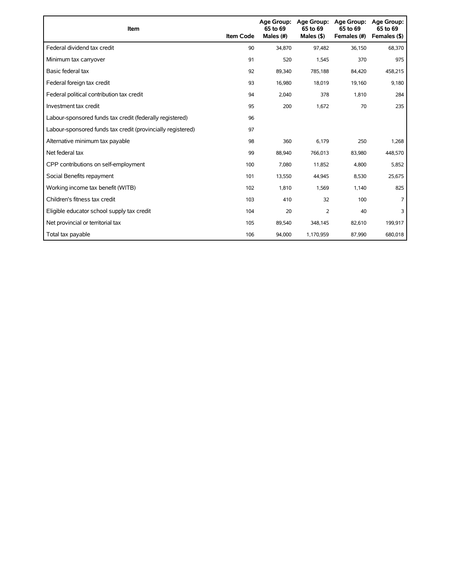| Item                                                        | <b>Item Code</b> | <b>Age Group:</b><br>65 to 69<br>Males (#) | Age Group:<br>65 to 69<br>Males $($ \$) | <b>Age Group:</b><br>65 to 69<br>Females (#) | <b>Age Group:</b><br>65 to 69<br>Females (\$) |
|-------------------------------------------------------------|------------------|--------------------------------------------|-----------------------------------------|----------------------------------------------|-----------------------------------------------|
| Federal dividend tax credit                                 | 90               | 34,870                                     | 97,482                                  | 36,150                                       | 68,370                                        |
| Minimum tax carryover                                       | 91               | 520                                        | 1,545                                   | 370                                          | 975                                           |
| Basic federal tax                                           | 92               | 89,340                                     | 785,188                                 | 84,420                                       | 458,215                                       |
| Federal foreign tax credit                                  | 93               | 16,980                                     | 18,019                                  | 19,160                                       | 9,180                                         |
| Federal political contribution tax credit                   | 94               | 2,040                                      | 378                                     | 1,810                                        | 284                                           |
| Investment tax credit                                       | 95               | 200                                        | 1,672                                   | 70                                           | 235                                           |
| Labour-sponsored funds tax credit (federally registered)    | 96               |                                            |                                         |                                              |                                               |
| Labour-sponsored funds tax credit (provincially registered) | 97               |                                            |                                         |                                              |                                               |
| Alternative minimum tax payable                             | 98               | 360                                        | 6,179                                   | 250                                          | 1,268                                         |
| Net federal tax                                             | 99               | 88,940                                     | 766,013                                 | 83,980                                       | 448,570                                       |
| CPP contributions on self-employment                        | 100              | 7,080                                      | 11,852                                  | 4,800                                        | 5,852                                         |
| Social Benefits repayment                                   | 101              | 13,550                                     | 44,945                                  | 8,530                                        | 25,675                                        |
| Working income tax benefit (WITB)                           | 102              | 1,810                                      | 1,569                                   | 1,140                                        | 825                                           |
| Children's fitness tax credit                               | 103              | 410                                        | 32                                      | 100                                          |                                               |
| Eligible educator school supply tax credit                  | 104              | 20                                         | $\overline{2}$                          | 40                                           | 3                                             |
| Net provincial or territorial tax                           | 105              | 89,540                                     | 348,145                                 | 82,610                                       | 199,917                                       |
| Total tax payable                                           | 106              | 94,000                                     | 1,170,959                               | 87,990                                       | 680,018                                       |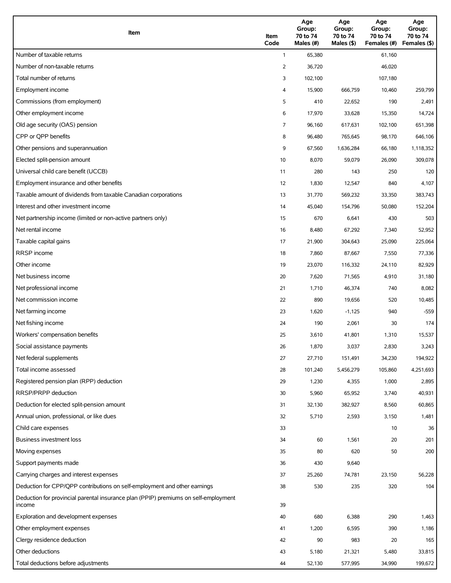| Item                                                                                          | Item<br>Code   | Age<br>Group:<br>70 to 74<br>Males (#) | Age<br>Group:<br>70 to 74<br>Males (\$) | Age<br>Group:<br>70 to 74<br>Females (#) | Age<br>Group:<br>70 to 74<br>Females (\$) |
|-----------------------------------------------------------------------------------------------|----------------|----------------------------------------|-----------------------------------------|------------------------------------------|-------------------------------------------|
| Number of taxable returns                                                                     | $\mathbf{1}$   | 65,380                                 |                                         | 61,160                                   |                                           |
| Number of non-taxable returns                                                                 | 2              | 36,720                                 |                                         | 46,020                                   |                                           |
| Total number of returns                                                                       | 3              | 102,100                                |                                         | 107,180                                  |                                           |
| Employment income                                                                             | 4              | 15,900                                 | 666,759                                 | 10,460                                   | 259,799                                   |
| Commissions (from employment)                                                                 | 5              | 410                                    | 22,652                                  | 190                                      | 2,491                                     |
| Other employment income                                                                       | 6              | 17,970                                 | 33,628                                  | 15,350                                   | 14,724                                    |
| Old age security (OAS) pension                                                                | $\overline{7}$ | 96,160                                 | 617,631                                 | 102,100                                  | 651,398                                   |
| CPP or OPP benefits                                                                           | 8              | 96,480                                 | 765,645                                 | 98,170                                   | 646,106                                   |
| Other pensions and superannuation                                                             | 9              | 67,560                                 | 1,636,284                               | 66,180                                   | 1,118,352                                 |
| Elected split-pension amount                                                                  | 10             | 8,070                                  | 59,079                                  | 26,090                                   | 309,078                                   |
| Universal child care benefit (UCCB)                                                           | 11             | 280                                    | 143                                     | 250                                      | 120                                       |
| Employment insurance and other benefits                                                       | 12             | 1,830                                  | 12,547                                  | 840                                      | 4,107                                     |
| Taxable amount of dividends from taxable Canadian corporations                                | 13             | 31,770                                 | 569,232                                 | 33,350                                   | 383,743                                   |
| Interest and other investment income                                                          | 14             | 45,040                                 | 154,796                                 | 50,080                                   | 152,204                                   |
| Net partnership income (limited or non-active partners only)                                  | 15             | 670                                    | 6,641                                   | 430                                      | 503                                       |
| Net rental income                                                                             | 16             | 8,480                                  | 67,292                                  | 7,340                                    | 52,952                                    |
| Taxable capital gains                                                                         | 17             | 21,900                                 | 304,643                                 | 25,090                                   | 225,064                                   |
| <b>RRSP</b> income                                                                            | 18             | 7,860                                  | 87,667                                  | 7,550                                    | 77,336                                    |
| Other income                                                                                  | 19             | 23,070                                 | 116,332                                 | 24,110                                   | 82,929                                    |
| Net business income                                                                           | 20             | 7,620                                  | 71,565                                  | 4,910                                    | 31,180                                    |
| Net professional income                                                                       | 21             | 1,710                                  | 46,374                                  | 740                                      | 8,082                                     |
| Net commission income                                                                         | 22             | 890                                    | 19,656                                  | 520                                      | 10,485                                    |
| Net farming income                                                                            | 23             | 1,620                                  | $-1,125$                                | 940                                      | $-559$                                    |
| Net fishing income                                                                            | 24             | 190                                    | 2,061                                   | 30                                       | 174                                       |
| Workers' compensation benefits                                                                | 25             | 3,610                                  | 41,801                                  | 1,310                                    | 15,537                                    |
| Social assistance payments                                                                    | 26             | 1,870                                  | 3,037                                   | 2,830                                    | 3,243                                     |
| Net federal supplements                                                                       | 27             | 27,710                                 | 151,491                                 | 34,230                                   | 194,922                                   |
| Total income assessed                                                                         | 28             | 101,240                                | 5,456,279                               | 105,860                                  | 4,251,693                                 |
| Registered pension plan (RPP) deduction                                                       | 29             | 1,230                                  | 4,355                                   | 1,000                                    | 2,895                                     |
| RRSP/PRPP deduction                                                                           | 30             | 5,960                                  | 65,952                                  | 3,740                                    | 40,931                                    |
| Deduction for elected split-pension amount                                                    | 31             | 32,130                                 | 382,927                                 | 8,560                                    | 60,865                                    |
| Annual union, professional, or like dues                                                      | 32             | 5,710                                  | 2,593                                   | 3,150                                    | 1,481                                     |
| Child care expenses                                                                           | 33             |                                        |                                         | 10                                       | 36                                        |
| <b>Business investment loss</b>                                                               | 34             | 60                                     | 1,561                                   | 20                                       | 201                                       |
| Moving expenses                                                                               | 35             | 80                                     | 620                                     | 50                                       | 200                                       |
| Support payments made                                                                         | 36             | 430                                    | 9,640                                   |                                          |                                           |
| Carrying charges and interest expenses                                                        | 37             | 25,260                                 | 74,781                                  | 23,150                                   | 56,228                                    |
| Deduction for CPP/QPP contributions on self-employment and other earnings                     | 38             | 530                                    | 235                                     | 320                                      | 104                                       |
| Deduction for provincial parental insurance plan (PPIP) premiums on self-employment<br>income | 39             |                                        |                                         |                                          |                                           |
| Exploration and development expenses                                                          | 40             | 680                                    | 6,388                                   | 290                                      | 1,463                                     |
| Other employment expenses                                                                     | 41             | 1,200                                  | 6,595                                   | 390                                      | 1,186                                     |
| Clergy residence deduction                                                                    | 42             | 90                                     | 983                                     | 20                                       | 165                                       |
| Other deductions                                                                              | 43             | 5,180                                  | 21,321                                  | 5,480                                    | 33,815                                    |
| Total deductions before adjustments                                                           | 44             | 52,130                                 | 577,995                                 | 34,990                                   | 199,672                                   |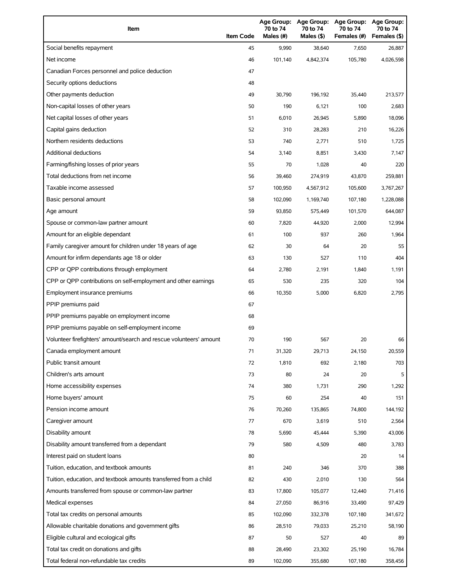| Item                                                                | <b>Item Code</b> | Age Group:<br>70 to 74<br>Males (#) | <b>Age Group:</b><br>70 to 74<br>Males (\$) | <b>Age Group:</b><br>70 to 74<br>Females (#) | <b>Age Group:</b><br>70 to 74<br>Females (\$) |
|---------------------------------------------------------------------|------------------|-------------------------------------|---------------------------------------------|----------------------------------------------|-----------------------------------------------|
| Social benefits repayment                                           | 45               | 9,990                               | 38,640                                      | 7,650                                        | 26,887                                        |
| Net income                                                          | 46               | 101,140                             | 4,842,374                                   | 105,780                                      | 4,026,598                                     |
| Canadian Forces personnel and police deduction                      | 47               |                                     |                                             |                                              |                                               |
| Security options deductions                                         | 48               |                                     |                                             |                                              |                                               |
| Other payments deduction                                            | 49               | 30,790                              | 196,192                                     | 35,440                                       | 213,577                                       |
| Non-capital losses of other years                                   | 50               | 190                                 | 6,121                                       | 100                                          | 2,683                                         |
| Net capital losses of other years                                   | 51               | 6,010                               | 26,945                                      | 5,890                                        | 18,096                                        |
| Capital gains deduction                                             | 52               | 310                                 | 28,283                                      | 210                                          | 16,226                                        |
| Northern residents deductions                                       | 53               | 740                                 | 2,771                                       | 510                                          | 1,725                                         |
| Additional deductions                                               | 54               | 3,140                               | 8,851                                       | 3,430                                        | 7,147                                         |
| Farming/fishing losses of prior years                               | 55               | 70                                  | 1,028                                       | 40                                           | 220                                           |
| Total deductions from net income                                    | 56               | 39,460                              | 274,919                                     | 43,870                                       | 259,881                                       |
| Taxable income assessed                                             | 57               | 100,950                             | 4,567,912                                   | 105,600                                      | 3,767,267                                     |
| Basic personal amount                                               | 58               | 102,090                             | 1,169,740                                   | 107,180                                      | 1,228,088                                     |
| Age amount                                                          | 59               | 93,850                              | 575,449                                     | 101,570                                      | 644,087                                       |
| Spouse or common-law partner amount                                 | 60               | 7,820                               | 44,920                                      | 2,000                                        | 12,994                                        |
| Amount for an eligible dependant                                    | 61               | 100                                 | 937                                         | 260                                          | 1,964                                         |
| Family caregiver amount for children under 18 years of age          | 62               | 30                                  | 64                                          | 20                                           | 55                                            |
| Amount for infirm dependants age 18 or older                        | 63               | 130                                 | 527                                         | 110                                          | 404                                           |
| CPP or QPP contributions through employment                         | 64               | 2,780                               | 2,191                                       | 1,840                                        | 1,191                                         |
| CPP or QPP contributions on self-employment and other earnings      | 65               | 530                                 | 235                                         | 320                                          | 104                                           |
| Employment insurance premiums                                       | 66               | 10,350                              | 5,000                                       | 6,820                                        | 2,795                                         |
| PPIP premiums paid                                                  | 67               |                                     |                                             |                                              |                                               |
| PPIP premiums payable on employment income                          | 68               |                                     |                                             |                                              |                                               |
| PPIP premiums payable on self-employment income                     | 69               |                                     |                                             |                                              |                                               |
| Volunteer firefighters' amount/search and rescue volunteers' amount | 70               | 190                                 | 567                                         | 20                                           | 66                                            |
| Canada employment amount                                            | 71               | 31,320                              | 29,713                                      | 24,150                                       | 20,559                                        |
| Public transit amount                                               | 72               | 1,810                               | 692                                         | 2,180                                        | 703                                           |
| Children's arts amount                                              | 73               | 80                                  | 24                                          | 20                                           | 5                                             |
| Home accessibility expenses                                         | 74               | 380                                 | 1,731                                       | 290                                          | 1,292                                         |
| Home buyers' amount                                                 | 75               | 60                                  | 254                                         | 40                                           | 151                                           |
| Pension income amount                                               | 76               | 70,260                              | 135,865                                     | 74,800                                       | 144,192                                       |
| Caregiver amount                                                    | 77               | 670                                 | 3,619                                       | 510                                          | 2,564                                         |
| Disability amount                                                   | 78               | 5,690                               | 45,444                                      | 5,390                                        | 43,006                                        |
| Disability amount transferred from a dependant                      | 79               | 580                                 | 4,509                                       | 480                                          | 3,783                                         |
| Interest paid on student loans                                      | 80               |                                     |                                             | 20                                           | 14                                            |
| Tuition, education, and textbook amounts                            | 81               | 240                                 | 346                                         | 370                                          | 388                                           |
| Tuition, education, and textbook amounts transferred from a child   | 82               | 430                                 | 2,010                                       | 130                                          | 564                                           |
| Amounts transferred from spouse or common-law partner               | 83               | 17,800                              | 105,077                                     | 12,440                                       | 71,416                                        |
| Medical expenses                                                    | 84               | 27,050                              | 86,916                                      | 33,490                                       | 97,429                                        |
| Total tax credits on personal amounts                               | 85               | 102,090                             | 332,378                                     | 107,180                                      | 341,672                                       |
| Allowable charitable donations and government gifts                 | 86               | 28,510                              | 79,033                                      | 25,210                                       | 58,190                                        |
| Eligible cultural and ecological gifts                              | 87               | 50                                  | 527                                         | 40                                           | 89                                            |
| Total tax credit on donations and gifts                             | 88               | 28,490                              | 23,302                                      | 25,190                                       | 16,784                                        |
| Total federal non-refundable tax credits                            | 89               | 102,090                             | 355,680                                     | 107,180                                      | 358,456                                       |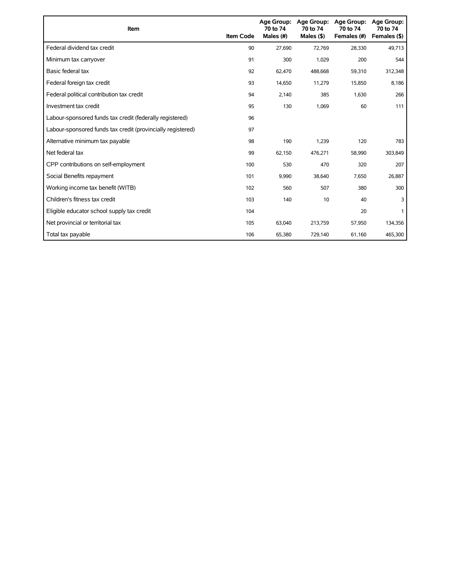| Item                                                        | <b>Item Code</b> | 70 to 74<br>Males (#) | Age Group: Age Group:<br>70 to 74<br>Males $($ \$) | Age Group:<br>70 to 74<br>Females (#) | <b>Age Group:</b><br>70 to 74<br>Females (\$) |
|-------------------------------------------------------------|------------------|-----------------------|----------------------------------------------------|---------------------------------------|-----------------------------------------------|
| Federal dividend tax credit                                 | 90               | 27,690                | 72,769                                             | 28,330                                | 49,713                                        |
| Minimum tax carryover                                       | 91               | 300                   | 1,029                                              | 200                                   | 544                                           |
| Basic federal tax                                           | 92               | 62,470                | 488,668                                            | 59,310                                | 312,348                                       |
| Federal foreign tax credit                                  | 93               | 14,650                | 11,279                                             | 15,850                                | 8,186                                         |
| Federal political contribution tax credit                   | 94               | 2,140                 | 385                                                | 1,630                                 | 266                                           |
| Investment tax credit                                       | 95               | 130                   | 1,069                                              | 60                                    | 111                                           |
| Labour-sponsored funds tax credit (federally registered)    | 96               |                       |                                                    |                                       |                                               |
| Labour-sponsored funds tax credit (provincially registered) | 97               |                       |                                                    |                                       |                                               |
| Alternative minimum tax payable                             | 98               | 190                   | 1,239                                              | 120                                   | 783                                           |
| Net federal tax                                             | 99               | 62,150                | 476,271                                            | 58,990                                | 303,849                                       |
| CPP contributions on self-employment                        | 100              | 530                   | 470                                                | 320                                   | 207                                           |
| Social Benefits repayment                                   | 101              | 9,990                 | 38,640                                             | 7,650                                 | 26,887                                        |
| Working income tax benefit (WITB)                           | 102              | 560                   | 507                                                | 380                                   | 300                                           |
| Children's fitness tax credit                               | 103              | 140                   | 10                                                 | 40                                    | 3                                             |
| Eligible educator school supply tax credit                  | 104              |                       |                                                    | 20                                    |                                               |
| Net provincial or territorial tax                           | 105              | 63,040                | 213,759                                            | 57,950                                | 134,356                                       |
| Total tax payable                                           | 106              | 65,380                | 729,140                                            | 61,160                                | 465,300                                       |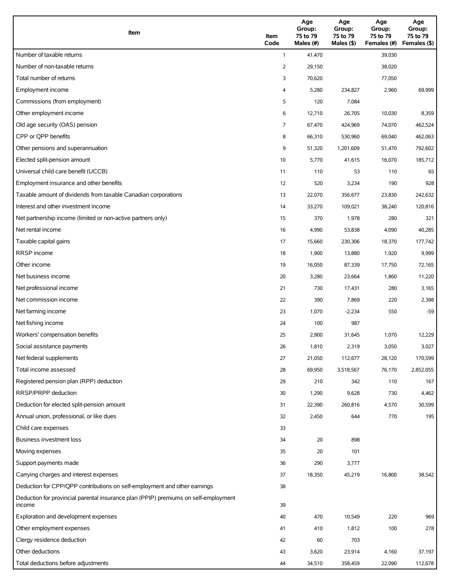| Item                                                                                          | Item<br>Code   | Age<br>Group:<br>75 to 79<br>Males (#) | Age<br>Group:<br>75 to 79<br>Males (\$) | Age<br>Group:<br>75 to 79<br>Females (#) | Age<br>Group:<br>75 to 79<br>Females (\$) |
|-----------------------------------------------------------------------------------------------|----------------|----------------------------------------|-----------------------------------------|------------------------------------------|-------------------------------------------|
| Number of taxable returns                                                                     | $\mathbf{1}$   | 41,470                                 |                                         | 39,030                                   |                                           |
| Number of non-taxable returns                                                                 | $\overline{2}$ | 29,150                                 |                                         | 38,020                                   |                                           |
| Total number of returns                                                                       | 3              | 70,620                                 |                                         | 77,050                                   |                                           |
| Employment income                                                                             | 4              | 5,280                                  | 234,827                                 | 2,960                                    | 69,999                                    |
| Commissions (from employment)                                                                 | 5              | 120                                    | 7,084                                   |                                          |                                           |
| Other employment income                                                                       | 6              | 12,710                                 | 26,705                                  | 10,030                                   | 8,359                                     |
| Old age security (OAS) pension                                                                | 7              | 67,470                                 | 424,969                                 | 74,070                                   | 462,524                                   |
| CPP or QPP benefits                                                                           | 8              | 66,310                                 | 530,960                                 | 69,040                                   | 462,063                                   |
| Other pensions and superannuation                                                             | 9              | 51,320                                 | 1,201,609                               | 51,470                                   | 792,602                                   |
| Elected split-pension amount                                                                  | 10             | 5,770                                  | 41,615                                  | 16,070                                   | 185,712                                   |
| Universal child care benefit (UCCB)                                                           | 11             | 110                                    | 53                                      | 110                                      | 65                                        |
| Employment insurance and other benefits                                                       | 12             | 520                                    | 3,234                                   | 190                                      | 928                                       |
| Taxable amount of dividends from taxable Canadian corporations                                | 13             | 22,070                                 | 356,677                                 | 23,830                                   | 242,632                                   |
| Interest and other investment income                                                          | 14             | 33,270                                 | 109,021                                 | 38,240                                   | 120,816                                   |
| Net partnership income (limited or non-active partners only)                                  | 15             | 370                                    | 1,978                                   | 280                                      | 321                                       |
| Net rental income                                                                             | 16             | 4,990                                  | 53,838                                  | 4,090                                    | 40,285                                    |
| Taxable capital gains                                                                         | 17             | 15,660                                 | 230,306                                 | 18,370                                   | 177,742                                   |
| <b>RRSP</b> income                                                                            | 18             | 1,900                                  | 13,880                                  | 1,920                                    | 9,999                                     |
| Other income                                                                                  | 19             | 16,050                                 | 87,339                                  | 17,750                                   | 72,165                                    |
| Net business income                                                                           | 20             | 3,280                                  | 23,664                                  | 1,860                                    | 11,220                                    |
| Net professional income                                                                       | 21             | 730                                    | 17,431                                  | 280                                      | 3,165                                     |
| Net commission income                                                                         | 22             | 390                                    | 7,869                                   | 220                                      | 2,398                                     |
| Net farming income                                                                            | 23             | 1,070                                  | $-2,234$                                | 550                                      | $-59$                                     |
| Net fishing income                                                                            | 24             | 100                                    | 987                                     |                                          |                                           |
| Workers' compensation benefits                                                                | 25             | 2,900                                  | 31,645                                  | 1,070                                    | 12,229                                    |
| Social assistance payments                                                                    | 26             | 1,810                                  | 2,319                                   | 3,050                                    | 3,027                                     |
| Net federal supplements                                                                       | 27             | 21,050                                 | 112,677                                 | 28,120                                   | 170,599                                   |
| Total income assessed                                                                         | 28             | 69,950                                 | 3,518,567                               | 76,170                                   | 2,852,055                                 |
| Registered pension plan (RPP) deduction                                                       | 29             | 210                                    | 342                                     | 110                                      | 167                                       |
| RRSP/PRPP deduction                                                                           | 30             | 1,290                                  | 9,628                                   | 730                                      | 4,462                                     |
| Deduction for elected split-pension amount                                                    | 31             | 22,390                                 | 260,816                                 | 4,570                                    | 30,599                                    |
| Annual union, professional, or like dues                                                      | 32             | 2,450                                  | 644                                     | 770                                      | 195                                       |
| Child care expenses                                                                           | 33             |                                        |                                         |                                          |                                           |
| Business investment loss                                                                      | 34             | 20                                     | 898                                     |                                          |                                           |
| Moving expenses                                                                               | 35             | 20                                     | 101                                     |                                          |                                           |
| Support payments made                                                                         | 36             | 290                                    | 3,777                                   |                                          |                                           |
| Carrying charges and interest expenses                                                        | 37             | 18,350                                 | 45,219                                  | 16,800                                   | 38,542                                    |
| Deduction for CPP/QPP contributions on self-employment and other earnings                     | 38             |                                        |                                         |                                          |                                           |
| Deduction for provincial parental insurance plan (PPIP) premiums on self-employment<br>income | 39             |                                        |                                         |                                          |                                           |
| Exploration and development expenses                                                          | 40             | 470                                    | 10,549                                  | 220                                      | 969                                       |
| Other employment expenses                                                                     | 41             | 410                                    | 1,812                                   | 100                                      | 278                                       |
| Clergy residence deduction                                                                    | 42             | 60                                     | 703                                     |                                          |                                           |
| Other deductions                                                                              | 43             | 3,620                                  | 23,914                                  | 4,160                                    | 37,197                                    |
| Total deductions before adjustments                                                           | 44             | 34,510                                 | 358,459                                 | 22,090                                   | 112,678                                   |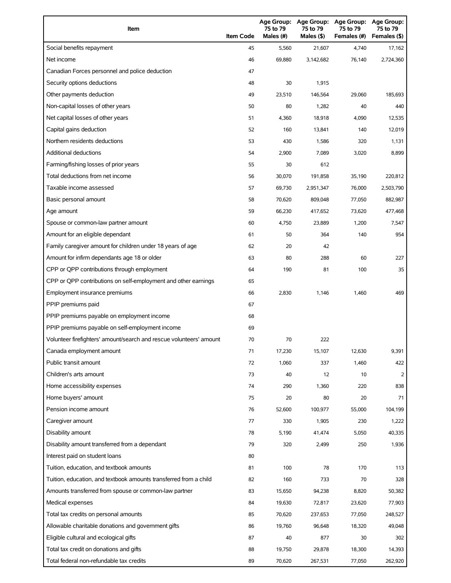| Item                                                                | <b>Item Code</b> | Age Group:<br>75 to 79<br>Males (#) | <b>Age Group:</b><br>75 to 79<br>Males (\$) | <b>Age Group:</b><br>75 to 79<br>Females (#) | <b>Age Group:</b><br>75 to 79<br>Females (\$) |
|---------------------------------------------------------------------|------------------|-------------------------------------|---------------------------------------------|----------------------------------------------|-----------------------------------------------|
| Social benefits repayment                                           | 45               | 5,560                               | 21,607                                      | 4,740                                        | 17,162                                        |
| Net income                                                          | 46               | 69,880                              | 3,142,682                                   | 76,140                                       | 2,724,360                                     |
| Canadian Forces personnel and police deduction                      | 47               |                                     |                                             |                                              |                                               |
| Security options deductions                                         | 48               | 30                                  | 1,915                                       |                                              |                                               |
| Other payments deduction                                            | 49               | 23,510                              | 146,564                                     | 29,060                                       | 185,693                                       |
| Non-capital losses of other years                                   | 50               | 80                                  | 1,282                                       | 40                                           | 440                                           |
| Net capital losses of other years                                   | 51               | 4,360                               | 18,918                                      | 4,090                                        | 12,535                                        |
| Capital gains deduction                                             | 52               | 160                                 | 13,841                                      | 140                                          | 12,019                                        |
| Northern residents deductions                                       | 53               | 430                                 | 1,586                                       | 320                                          | 1,131                                         |
| <b>Additional deductions</b>                                        | 54               | 2,900                               | 7,089                                       | 3,020                                        | 8,899                                         |
| Farming/fishing losses of prior years                               | 55               | 30                                  | 612                                         |                                              |                                               |
| Total deductions from net income                                    | 56               | 30,070                              | 191,858                                     | 35,190                                       | 220,812                                       |
| Taxable income assessed                                             | 57               | 69,730                              | 2,951,347                                   | 76,000                                       | 2,503,790                                     |
| Basic personal amount                                               | 58               | 70,620                              | 809,048                                     | 77,050                                       | 882,987                                       |
| Age amount                                                          | 59               | 66,230                              | 417,652                                     | 73,620                                       | 477,468                                       |
| Spouse or common-law partner amount                                 | 60               | 4,750                               | 23,889                                      | 1,200                                        | 7,547                                         |
| Amount for an eligible dependant                                    | 61               | 50                                  | 364                                         | 140                                          | 954                                           |
| Family caregiver amount for children under 18 years of age          | 62               | 20                                  | 42                                          |                                              |                                               |
| Amount for infirm dependants age 18 or older                        | 63               | 80                                  | 288                                         | 60                                           | 227                                           |
| CPP or QPP contributions through employment                         | 64               | 190                                 | 81                                          | 100                                          | 35                                            |
| CPP or QPP contributions on self-employment and other earnings      | 65               |                                     |                                             |                                              |                                               |
| Employment insurance premiums                                       | 66               | 2,830                               | 1,146                                       | 1,460                                        | 469                                           |
| PPIP premiums paid                                                  | 67               |                                     |                                             |                                              |                                               |
| PPIP premiums payable on employment income                          | 68               |                                     |                                             |                                              |                                               |
| PPIP premiums payable on self-employment income                     | 69               |                                     |                                             |                                              |                                               |
| Volunteer firefighters' amount/search and rescue volunteers' amount | 70               | 70                                  | 222                                         |                                              |                                               |
| Canada employment amount                                            | 71               | 17,230                              | 15,107                                      | 12,630                                       | 9,391                                         |
| Public transit amount                                               | 72               | 1,060                               | 337                                         | 1,460                                        | 422                                           |
| Children's arts amount                                              | 73               | 40                                  | 12                                          | 10                                           | 2                                             |
| Home accessibility expenses                                         | 74               | 290                                 | 1,360                                       | 220                                          | 838                                           |
| Home buyers' amount                                                 | 75               | 20                                  | 80                                          | 20                                           | 71                                            |
| Pension income amount                                               | 76               | 52,600                              | 100,977                                     | 55,000                                       | 104,199                                       |
| Caregiver amount                                                    | 77               | 330                                 | 1,905                                       | 230                                          | 1,222                                         |
| Disability amount                                                   | 78               | 5,190                               | 41,474                                      | 5,050                                        | 40,335                                        |
| Disability amount transferred from a dependant                      | 79               | 320                                 | 2,499                                       | 250                                          | 1,936                                         |
| Interest paid on student loans                                      | 80               |                                     |                                             |                                              |                                               |
| Tuition, education, and textbook amounts                            | 81               | 100                                 | 78                                          | 170                                          | 113                                           |
| Tuition, education, and textbook amounts transferred from a child   | 82               | 160                                 | 733                                         | 70                                           | 328                                           |
| Amounts transferred from spouse or common-law partner               | 83               | 15,650                              | 94,238                                      | 8,820                                        | 50,382                                        |
| Medical expenses                                                    | 84               | 19,630                              | 72,817                                      | 23,620                                       | 77,903                                        |
| Total tax credits on personal amounts                               | 85               | 70,620                              | 237,653                                     | 77,050                                       | 248,527                                       |
| Allowable charitable donations and government gifts                 | 86               | 19,760                              | 96,648                                      | 18,320                                       | 49,048                                        |
| Eligible cultural and ecological gifts                              | 87               | 40                                  | 877                                         | 30                                           | 302                                           |
| Total tax credit on donations and gifts                             | 88               | 19,750                              | 29,878                                      | 18,300                                       | 14,393                                        |
| Total federal non-refundable tax credits                            | 89               | 70,620                              | 267,531                                     | 77,050                                       | 262,920                                       |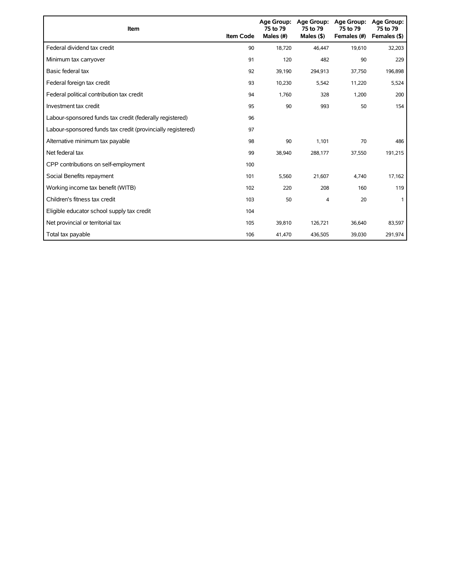| Item                                                        | <b>Item Code</b> | 75 to 79<br>Males (#) | Age Group: Age Group:<br>75 to 79<br>Males $(§)$ | Age Group:<br>75 to 79<br>Females (#) | Age Group:<br>75 to 79<br>Females (\$) |
|-------------------------------------------------------------|------------------|-----------------------|--------------------------------------------------|---------------------------------------|----------------------------------------|
| Federal dividend tax credit                                 | 90               | 18,720                | 46,447                                           | 19,610                                | 32,203                                 |
| Minimum tax carryover                                       | 91               | 120                   | 482                                              | 90                                    | 229                                    |
| Basic federal tax                                           | 92               | 39,190                | 294,913                                          | 37,750                                | 196,898                                |
| Federal foreign tax credit                                  | 93               | 10,230                | 5,542                                            | 11,220                                | 5,524                                  |
| Federal political contribution tax credit                   | 94               | 1,760                 | 328                                              | 1,200                                 | 200                                    |
| Investment tax credit                                       | 95               | 90                    | 993                                              | 50                                    | 154                                    |
| Labour-sponsored funds tax credit (federally registered)    | 96               |                       |                                                  |                                       |                                        |
| Labour-sponsored funds tax credit (provincially registered) | 97               |                       |                                                  |                                       |                                        |
| Alternative minimum tax payable                             | 98               | 90                    | 1,101                                            | 70                                    | 486                                    |
| Net federal tax                                             | 99               | 38,940                | 288,177                                          | 37,550                                | 191,215                                |
| CPP contributions on self-employment                        | 100              |                       |                                                  |                                       |                                        |
| Social Benefits repayment                                   | 101              | 5,560                 | 21,607                                           | 4,740                                 | 17,162                                 |
| Working income tax benefit (WITB)                           | 102              | 220                   | 208                                              | 160                                   | 119                                    |
| Children's fitness tax credit                               | 103              | 50                    | 4                                                | 20                                    |                                        |
| Eligible educator school supply tax credit                  | 104              |                       |                                                  |                                       |                                        |
| Net provincial or territorial tax                           | 105              | 39,810                | 126,721                                          | 36,640                                | 83,597                                 |
| Total tax payable                                           | 106              | 41,470                | 436,505                                          | 39,030                                | 291,974                                |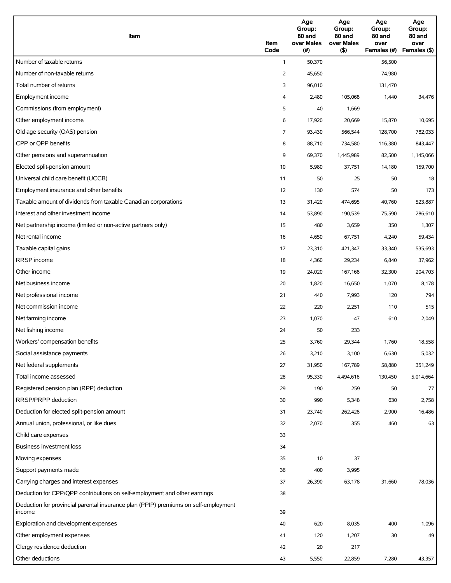| Item                                                                                          | Item<br>Code   | Age<br>Group:<br>80 and<br>over Males<br>(#) | Age<br>Group:<br>80 and<br>over Males<br>(5) | Age<br>Group:<br>80 and<br>over<br>Females (#) | Age<br>Group:<br>80 and<br>over<br>Females (\$) |
|-----------------------------------------------------------------------------------------------|----------------|----------------------------------------------|----------------------------------------------|------------------------------------------------|-------------------------------------------------|
| Number of taxable returns                                                                     | $\mathbf{1}$   | 50,370                                       |                                              | 56,500                                         |                                                 |
| Number of non-taxable returns                                                                 | $\overline{2}$ | 45,650                                       |                                              | 74,980                                         |                                                 |
| Total number of returns                                                                       | 3              | 96,010                                       |                                              | 131,470                                        |                                                 |
| Employment income                                                                             | 4              | 2,480                                        | 105,068                                      | 1,440                                          | 34,476                                          |
| Commissions (from employment)                                                                 | 5              | 40                                           | 1,669                                        |                                                |                                                 |
| Other employment income                                                                       | 6              | 17,920                                       | 20,669                                       | 15,870                                         | 10,695                                          |
| Old age security (OAS) pension                                                                | $\overline{7}$ | 93,430                                       | 566,544                                      | 128,700                                        | 782,033                                         |
| CPP or QPP benefits                                                                           | 8              | 88,710                                       | 734,580                                      | 116,380                                        | 843,447                                         |
| Other pensions and superannuation                                                             | 9              | 69,370                                       | 1,445,989                                    | 82,500                                         | 1,145,066                                       |
| Elected split-pension amount                                                                  | 10             | 5,980                                        | 37,751                                       | 14,180                                         | 159,700                                         |
| Universal child care benefit (UCCB)                                                           | 11             | 50                                           | 25                                           | 50                                             | 18                                              |
| Employment insurance and other benefits                                                       | 12             | 130                                          | 574                                          | 50                                             | 173                                             |
| Taxable amount of dividends from taxable Canadian corporations                                | 13             | 31,420                                       | 474,695                                      | 40,760                                         | 523,887                                         |
| Interest and other investment income                                                          | 14             | 53,890                                       | 190,539                                      | 75,590                                         | 286,610                                         |
| Net partnership income (limited or non-active partners only)                                  | 15             | 480                                          | 3,659                                        | 350                                            | 1,307                                           |
| Net rental income                                                                             | 16             | 4,650                                        | 67,751                                       | 4,240                                          | 59,434                                          |
| Taxable capital gains                                                                         | 17             | 23,310                                       | 421,347                                      | 33,340                                         | 535,693                                         |
| RRSP income                                                                                   | 18             | 4,360                                        | 29,234                                       | 6,840                                          | 37,962                                          |
| Other income                                                                                  | 19             | 24,020                                       | 167,168                                      | 32,300                                         | 204,703                                         |
| Net business income                                                                           | 20             | 1,820                                        | 16,650                                       | 1,070                                          | 8,178                                           |
| Net professional income                                                                       | 21             | 440                                          | 7,993                                        | 120                                            | 794                                             |
| Net commission income                                                                         | 22             | 220                                          | 2,251                                        | 110                                            | 515                                             |
| Net farming income                                                                            | 23             | 1,070                                        | $-47$                                        | 610                                            | 2,049                                           |
| Net fishing income                                                                            | 24             | 50                                           | 233                                          |                                                |                                                 |
| Workers' compensation benefits                                                                | 25             | 3,760                                        | 29,344                                       | 1,760                                          | 18,558                                          |
| Social assistance payments                                                                    | 26             | 3,210                                        | 3,100                                        | 6,630                                          | 5,032                                           |
| Net federal supplements                                                                       | 27             | 31,950                                       | 167,789                                      | 58,880                                         | 351,249                                         |
| Total income assessed                                                                         | 28             | 95,330                                       | 4,494,616                                    | 130,450                                        | 5,014,664                                       |
| Registered pension plan (RPP) deduction                                                       | 29             | 190                                          | 259                                          | 50                                             | 77                                              |
| RRSP/PRPP deduction                                                                           | 30             | 990                                          | 5,348                                        | 630                                            | 2,758                                           |
| Deduction for elected split-pension amount                                                    | 31             | 23,740                                       | 262,428                                      | 2,900                                          | 16,486                                          |
| Annual union, professional, or like dues                                                      | 32             | 2,070                                        | 355                                          | 460                                            | 63                                              |
| Child care expenses                                                                           | 33             |                                              |                                              |                                                |                                                 |
| Business investment loss                                                                      | 34             |                                              |                                              |                                                |                                                 |
| Moving expenses                                                                               | 35             | 10                                           | 37                                           |                                                |                                                 |
| Support payments made                                                                         | 36             | 400                                          | 3,995                                        |                                                |                                                 |
| Carrying charges and interest expenses                                                        | 37             | 26,390                                       | 63,178                                       | 31,660                                         | 78,036                                          |
| Deduction for CPP/QPP contributions on self-employment and other earnings                     | 38             |                                              |                                              |                                                |                                                 |
| Deduction for provincial parental insurance plan (PPIP) premiums on self-employment<br>income | 39             |                                              |                                              |                                                |                                                 |
| Exploration and development expenses                                                          | 40             | 620                                          | 8,035                                        | 400                                            | 1,096                                           |
| Other employment expenses                                                                     | 41             | 120                                          | 1,207                                        | 30                                             | 49                                              |
| Clergy residence deduction                                                                    | 42             | 20                                           | 217                                          |                                                |                                                 |
| Other deductions                                                                              | 43             | 5,550                                        | 22,859                                       | 7,280                                          | 43,357                                          |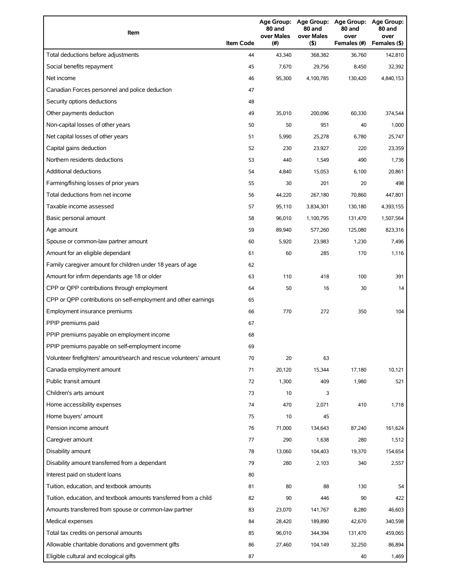| Item                                                                | <b>Item Code</b> | 80 and<br>over Males<br>(#) | 80 and<br>over Males<br>(5) | Age Group: Age Group: Age Group:<br>80 and<br>over<br>Females (#) | <b>Age Group:</b><br>80 and<br>over<br>Females (\$) |
|---------------------------------------------------------------------|------------------|-----------------------------|-----------------------------|-------------------------------------------------------------------|-----------------------------------------------------|
| Total deductions before adjustments                                 | 44               | 43,340                      | 368,382                     | 36,760                                                            | 142,810                                             |
| Social benefits repayment                                           | 45               | 7,670                       | 29,756                      | 8,450                                                             | 32,392                                              |
| Net income                                                          | 46               | 95,300                      | 4,100,785                   | 130,420                                                           | 4,840,153                                           |
| Canadian Forces personnel and police deduction                      | 47               |                             |                             |                                                                   |                                                     |
| Security options deductions                                         | 48               |                             |                             |                                                                   |                                                     |
| Other payments deduction                                            | 49               | 35,010                      | 200,096                     | 60,330                                                            | 374,544                                             |
| Non-capital losses of other years                                   | 50               | 50                          | 951                         | 40                                                                | 1,000                                               |
| Net capital losses of other years                                   | 51               | 5,990                       | 25,278                      | 6,780                                                             | 25,747                                              |
| Capital gains deduction                                             | 52               | 230                         | 23,927                      | 220                                                               | 23,359                                              |
| Northern residents deductions                                       | 53               | 440                         | 1,549                       | 490                                                               | 1,736                                               |
| <b>Additional deductions</b>                                        | 54               | 4,840                       | 15,053                      | 6,100                                                             | 20,861                                              |
| Farming/fishing losses of prior years                               | 55               | 30                          | 201                         | 20                                                                | 498                                                 |
| Total deductions from net income                                    | 56               | 44,220                      | 267,180                     | 70,860                                                            | 447,801                                             |
| Taxable income assessed                                             | 57               | 95,110                      | 3,834,301                   | 130,180                                                           | 4,393,155                                           |
| Basic personal amount                                               | 58               | 96,010                      | 1,100,795                   | 131,470                                                           | 1,507,564                                           |
| Age amount                                                          | 59               | 89,940                      | 577,260                     | 125,080                                                           | 823,316                                             |
| Spouse or common-law partner amount                                 | 60               | 5,920                       | 23,983                      | 1,230                                                             | 7,496                                               |
| Amount for an eligible dependant                                    | 61               | 60                          | 285                         | 170                                                               | 1,116                                               |
| Family caregiver amount for children under 18 years of age          | 62               |                             |                             |                                                                   |                                                     |
| Amount for infirm dependants age 18 or older                        | 63               | 110                         | 418                         | 100                                                               | 391                                                 |
| CPP or QPP contributions through employment                         | 64               | 50                          | 16                          | 30                                                                | 14                                                  |
| CPP or QPP contributions on self-employment and other earnings      | 65               |                             |                             |                                                                   |                                                     |
| Employment insurance premiums                                       | 66               | 770                         | 272                         | 350                                                               | 104                                                 |
| PPIP premiums paid                                                  | 67               |                             |                             |                                                                   |                                                     |
| PPIP premiums payable on employment income                          | 68               |                             |                             |                                                                   |                                                     |
| PPIP premiums payable on self-employment income                     | 69               |                             |                             |                                                                   |                                                     |
| Volunteer firefighters' amount/search and rescue volunteers' amount | 70               | 20                          | 63                          |                                                                   |                                                     |
| Canada employment amount                                            | 71               | 20,120                      | 15,344                      | 17,180                                                            | 10,121                                              |
| Public transit amount                                               | 72               | 1,300                       | 409                         | 1,980                                                             | 521                                                 |
| Children's arts amount                                              | 73               | 10                          | 3                           |                                                                   |                                                     |
| Home accessibility expenses                                         | 74               | 470                         | 2,071                       | 410                                                               | 1,718                                               |
| Home buyers' amount                                                 | 75               | 10                          | 45                          |                                                                   |                                                     |
| Pension income amount                                               | 76               | 71,000                      | 134,643                     | 87,240                                                            | 161,624                                             |
| Caregiver amount                                                    | 77               | 290                         | 1,638                       | 280                                                               | 1,512                                               |
| Disability amount                                                   | 78               | 13,060                      | 104,403                     | 19,370                                                            | 154,654                                             |
| Disability amount transferred from a dependant                      | 79               | 280                         | 2,103                       | 340                                                               | 2,557                                               |
| Interest paid on student loans                                      | 80               |                             |                             |                                                                   |                                                     |
| Tuition, education, and textbook amounts                            | 81               | 80                          | 88                          | 130                                                               | 54                                                  |
| Tuition, education, and textbook amounts transferred from a child   | 82               | 90                          | 446                         | 90                                                                | 422                                                 |
| Amounts transferred from spouse or common-law partner               | 83               | 23,070                      | 141,767                     | 8,280                                                             | 46,603                                              |
| Medical expenses                                                    | 84               | 28,420                      | 189,890                     | 42,670                                                            | 340,598                                             |
| Total tax credits on personal amounts                               | 85               | 96,010                      | 344,394                     | 131,470                                                           | 459,065                                             |
| Allowable charitable donations and government gifts                 | 86               | 27,460                      | 104,149                     | 32,250                                                            | 86,894                                              |
| Eligible cultural and ecological gifts                              | 87               |                             |                             | 40                                                                | 1,469                                               |